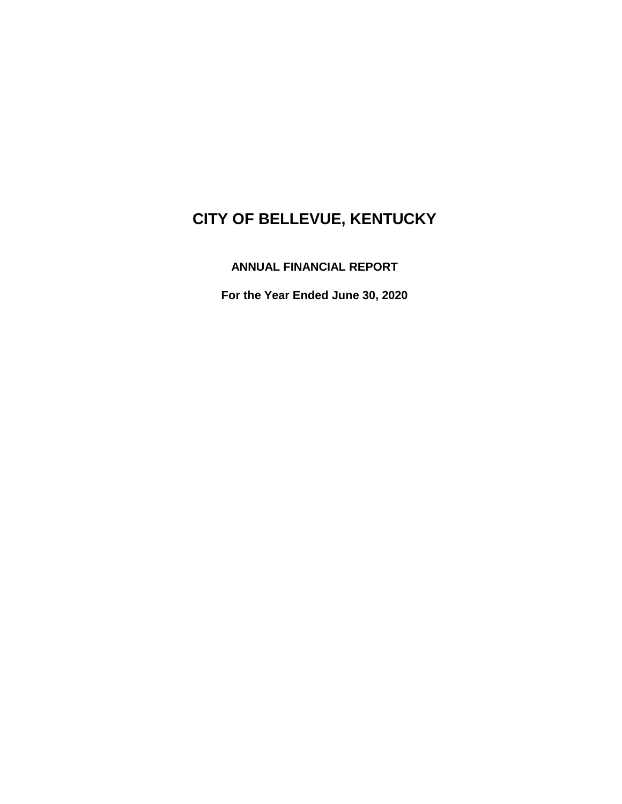# **CITY OF BELLEVUE, KENTUCKY**

**ANNUAL FINANCIAL REPORT**

**For the Year Ended June 30, 2020**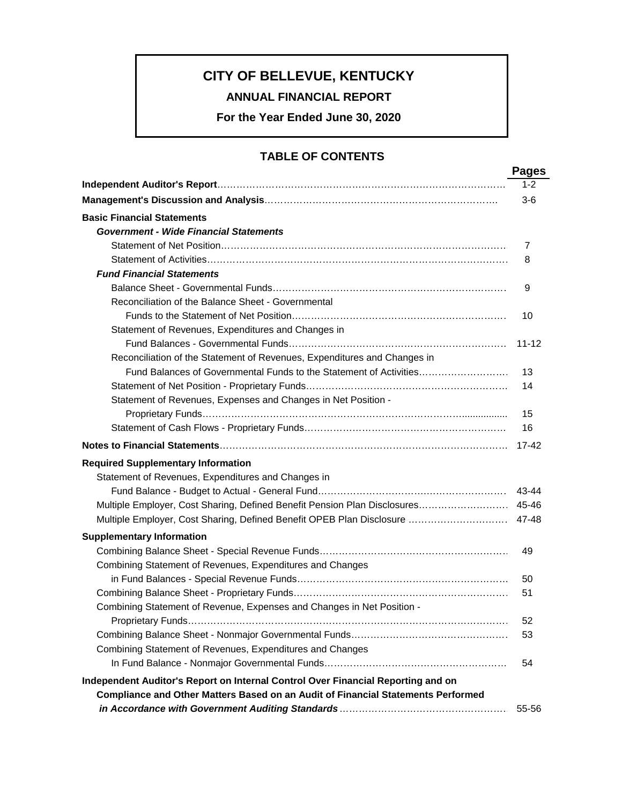# **CITY OF BELLEVUE, KENTUCKY**

**ANNUAL FINANCIAL REPORT**

**For the Year Ended June 30, 2020**

### **TABLE OF CONTENTS**

|                                                                                         | <b>Pages</b> |
|-----------------------------------------------------------------------------------------|--------------|
|                                                                                         | -1-2         |
|                                                                                         | $3-6$        |
| <b>Basic Financial Statements</b>                                                       |              |
| <b>Government - Wide Financial Statements</b>                                           |              |
|                                                                                         |              |
|                                                                                         |              |
| <b>Fund Financial Statements</b>                                                        |              |
|                                                                                         | - 9          |
| Reconciliation of the Balance Sheet - Governmental                                      |              |
|                                                                                         |              |
| Statement of Revenues, Expenditures and Changes in                                      |              |
|                                                                                         |              |
| Reconciliation of the Statement of Revenues, Expenditures and Changes in                |              |
|                                                                                         |              |
|                                                                                         |              |
| Statement of Revenues, Expenses and Changes in Net Position -                           |              |
|                                                                                         |              |
|                                                                                         |              |
|                                                                                         |              |
| <b>Required Supplementary Information</b>                                               |              |
| Statement of Revenues, Expenditures and Changes in                                      |              |
|                                                                                         |              |
| Multiple Employer, Cost Sharing, Defined Benefit Pension Plan Disclosures 45-46         |              |
|                                                                                         |              |
|                                                                                         |              |
| <b>Supplementary Information</b>                                                        |              |
|                                                                                         |              |
| Combining Statement of Revenues, Expenditures and Changes                               |              |
|                                                                                         |              |
|                                                                                         |              |
| Combining Statement of Revenue, Expenses and Changes in Net Position -                  |              |
|                                                                                         |              |
|                                                                                         |              |
| Combining Statement of Revenues, Expenditures and Changes                               |              |
|                                                                                         | 54           |
| Independent Auditor's Report on Internal Control Over Financial Reporting and on        |              |
| <b>Compliance and Other Matters Based on an Audit of Financial Statements Performed</b> |              |
|                                                                                         |              |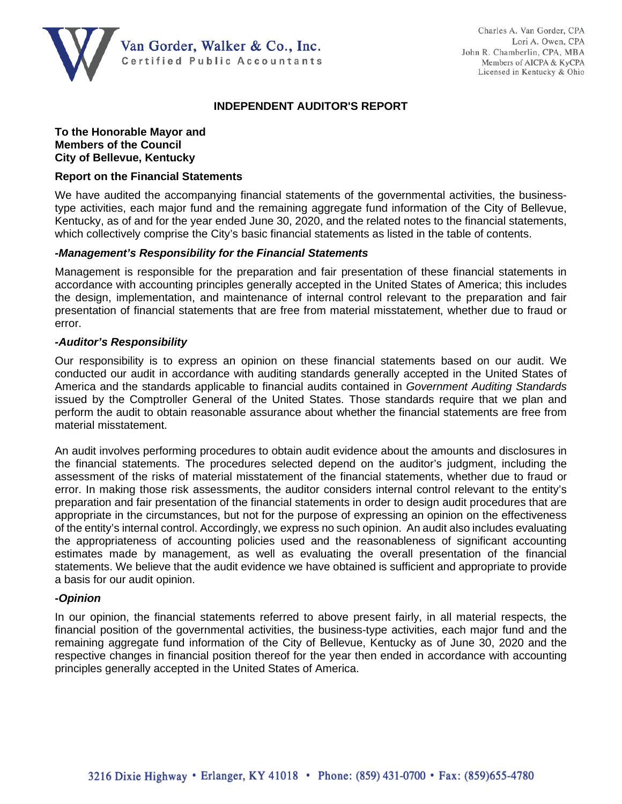

#### **INDEPENDENT AUDITOR'S REPORT**

#### **To the Honorable Mayor and Members of the Council City of Bellevue, Kentucky**

#### **Report on the Financial Statements**

We have audited the accompanying financial statements of the governmental activities, the businesstype activities, each major fund and the remaining aggregate fund information of the City of Bellevue, Kentucky, as of and for the year ended June 30, 2020, and the related notes to the financial statements, which collectively comprise the City's basic financial statements as listed in the table of contents.

#### *-Management's Responsibility for the Financial Statements*

Management is responsible for the preparation and fair presentation of these financial statements in accordance with accounting principles generally accepted in the United States of America; this includes the design, implementation, and maintenance of internal control relevant to the preparation and fair presentation of financial statements that are free from material misstatement, whether due to fraud or error.

#### *-Auditor's Responsibility*

Our responsibility is to express an opinion on these financial statements based on our audit. We conducted our audit in accordance with auditing standards generally accepted in the United States of America and the standards applicable to financial audits contained in *Government Auditing Standards* issued by the Comptroller General of the United States. Those standards require that we plan and perform the audit to obtain reasonable assurance about whether the financial statements are free from material misstatement.

An audit involves performing procedures to obtain audit evidence about the amounts and disclosures in the financial statements. The procedures selected depend on the auditor's judgment, including the assessment of the risks of material misstatement of the financial statements, whether due to fraud or error. In making those risk assessments, the auditor considers internal control relevant to the entity's preparation and fair presentation of the financial statements in order to design audit procedures that are appropriate in the circumstances, but not for the purpose of expressing an opinion on the effectiveness of the entity's internal control. Accordingly, we express no such opinion. An audit also includes evaluating the appropriateness of accounting policies used and the reasonableness of significant accounting estimates made by management, as well as evaluating the overall presentation of the financial statements. We believe that the audit evidence we have obtained is sufficient and appropriate to provide a basis for our audit opinion.

#### *-Opinion*

In our opinion, the financial statements referred to above present fairly, in all material respects, the financial position of the governmental activities, the business-type activities, each major fund and the remaining aggregate fund information of the City of Bellevue, Kentucky as of June 30, 2020 and the respective changes in financial position thereof for the year then ended in accordance with accounting principles generally accepted in the United States of America.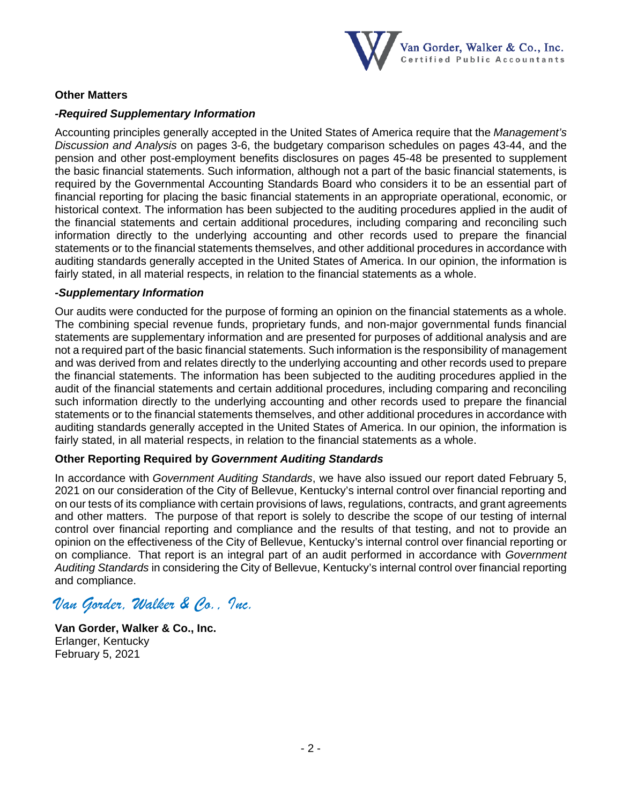

### **Other Matters**

#### *-Required Supplementary Information*

Accounting principles generally accepted in the United States of America require that the *Management's Discussion and Analysis* on pages 3-6, the budgetary comparison schedules on pages 43-44, and the pension and other post-employment benefits disclosures on pages 45-48 be presented to supplement the basic financial statements. Such information, although not a part of the basic financial statements, is required by the Governmental Accounting Standards Board who considers it to be an essential part of financial reporting for placing the basic financial statements in an appropriate operational, economic, or historical context. The information has been subjected to the auditing procedures applied in the audit of the financial statements and certain additional procedures, including comparing and reconciling such information directly to the underlying accounting and other records used to prepare the financial statements or to the financial statements themselves, and other additional procedures in accordance with auditing standards generally accepted in the United States of America. In our opinion, the information is fairly stated, in all material respects, in relation to the financial statements as a whole.

#### *-Supplementary Information*

Our audits were conducted for the purpose of forming an opinion on the financial statements as a whole. The combining special revenue funds, proprietary funds, and non-major governmental funds financial statements are supplementary information and are presented for purposes of additional analysis and are not a required part of the basic financial statements. Such information is the responsibility of management and was derived from and relates directly to the underlying accounting and other records used to prepare the financial statements. The information has been subjected to the auditing procedures applied in the audit of the financial statements and certain additional procedures, including comparing and reconciling such information directly to the underlying accounting and other records used to prepare the financial statements or to the financial statements themselves, and other additional procedures in accordance with auditing standards generally accepted in the United States of America. In our opinion, the information is fairly stated, in all material respects, in relation to the financial statements as a whole.

#### **Other Reporting Required by** *Government Auditing Standards*

In accordance with *Government Auditing Standards*, we have also issued our report dated February 5, 2021 on our consideration of the City of Bellevue, Kentucky's internal control over financial reporting and on our tests of its compliance with certain provisions of laws, regulations, contracts, and grant agreements and other matters. The purpose of that report is solely to describe the scope of our testing of internal control over financial reporting and compliance and the results of that testing, and not to provide an opinion on the effectiveness of the City of Bellevue, Kentucky's internal control over financial reporting or on compliance. That report is an integral part of an audit performed in accordance with *Government Auditing Standards* in considering the City of Bellevue, Kentucky's internal control over financial reporting and compliance.

# *Van Gorder, Walker & Co., Inc.*

**Van Gorder, Walker & Co., Inc.** Erlanger, Kentucky February 5, 2021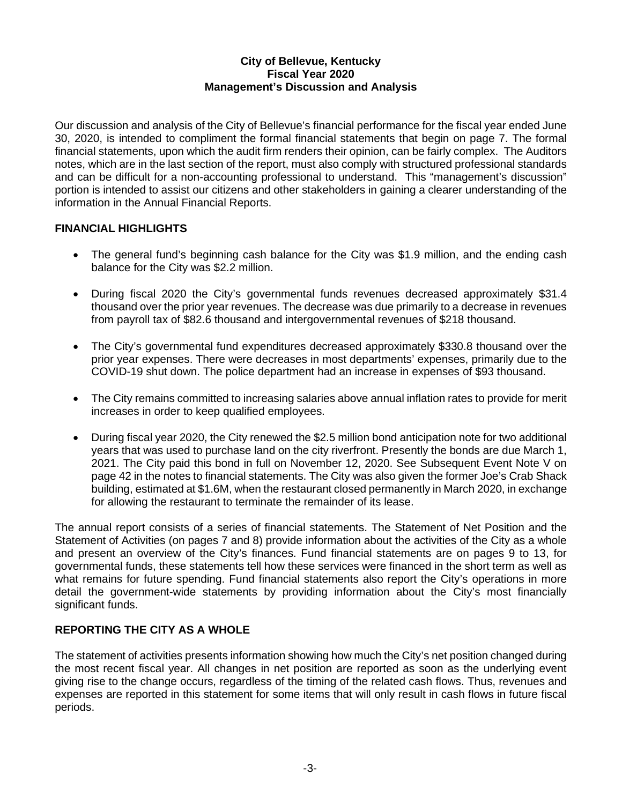#### **City of Bellevue, Kentucky Fiscal Year 2020 Management's Discussion and Analysis**

Our discussion and analysis of the City of Bellevue's financial performance for the fiscal year ended June 30, 2020, is intended to compliment the formal financial statements that begin on page 7. The formal financial statements, upon which the audit firm renders their opinion, can be fairly complex. The Auditors notes, which are in the last section of the report, must also comply with structured professional standards and can be difficult for a non-accounting professional to understand. This "management's discussion" portion is intended to assist our citizens and other stakeholders in gaining a clearer understanding of the information in the Annual Financial Reports.

### **FINANCIAL HIGHLIGHTS**

- The general fund's beginning cash balance for the City was \$1.9 million, and the ending cash balance for the City was \$2.2 million.
- During fiscal 2020 the City's governmental funds revenues decreased approximately \$31.4 thousand over the prior year revenues. The decrease was due primarily to a decrease in revenues from payroll tax of \$82.6 thousand and intergovernmental revenues of \$218 thousand.
- The City's governmental fund expenditures decreased approximately \$330.8 thousand over the prior year expenses. There were decreases in most departments' expenses, primarily due to the COVID-19 shut down. The police department had an increase in expenses of \$93 thousand.
- The City remains committed to increasing salaries above annual inflation rates to provide for merit increases in order to keep qualified employees.
- During fiscal year 2020, the City renewed the \$2.5 million bond anticipation note for two additional years that was used to purchase land on the city riverfront. Presently the bonds are due March 1, 2021. The City paid this bond in full on November 12, 2020. See Subsequent Event Note V on page 42 in the notes to financial statements. The City was also given the former Joe's Crab Shack building, estimated at \$1.6M, when the restaurant closed permanently in March 2020, in exchange for allowing the restaurant to terminate the remainder of its lease.

The annual report consists of a series of financial statements. The Statement of Net Position and the Statement of Activities (on pages 7 and 8) provide information about the activities of the City as a whole and present an overview of the City's finances. Fund financial statements are on pages 9 to 13, for governmental funds, these statements tell how these services were financed in the short term as well as what remains for future spending. Fund financial statements also report the City's operations in more detail the government-wide statements by providing information about the City's most financially significant funds.

#### **REPORTING THE CITY AS A WHOLE**

The statement of activities presents information showing how much the City's net position changed during the most recent fiscal year. All changes in net position are reported as soon as the underlying event giving rise to the change occurs, regardless of the timing of the related cash flows. Thus, revenues and expenses are reported in this statement for some items that will only result in cash flows in future fiscal periods.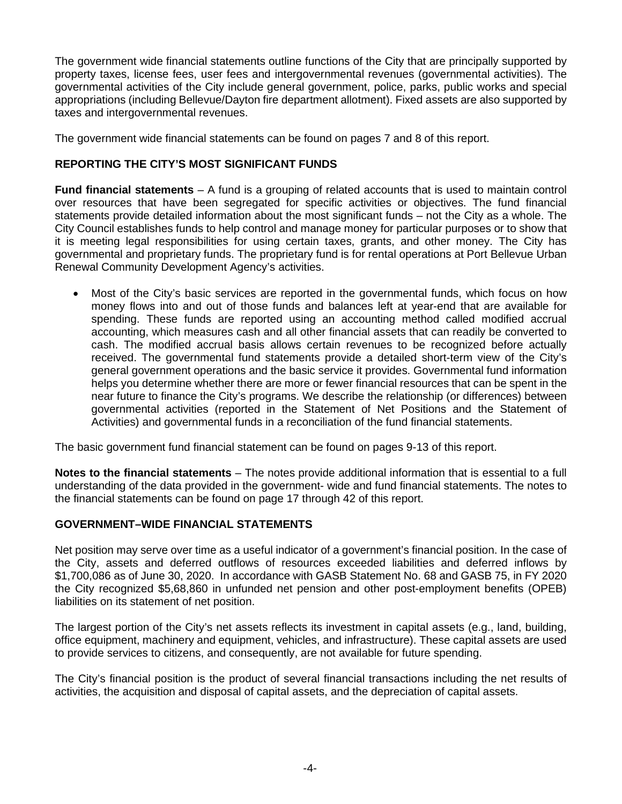The government wide financial statements outline functions of the City that are principally supported by property taxes, license fees, user fees and intergovernmental revenues (governmental activities). The governmental activities of the City include general government, police, parks, public works and special appropriations (including Bellevue/Dayton fire department allotment). Fixed assets are also supported by taxes and intergovernmental revenues.

The government wide financial statements can be found on pages 7 and 8 of this report.

#### **REPORTING THE CITY'S MOST SIGNIFICANT FUNDS**

**Fund financial statements** – A fund is a grouping of related accounts that is used to maintain control over resources that have been segregated for specific activities or objectives. The fund financial statements provide detailed information about the most significant funds – not the City as a whole. The City Council establishes funds to help control and manage money for particular purposes or to show that it is meeting legal responsibilities for using certain taxes, grants, and other money. The City has governmental and proprietary funds. The proprietary fund is for rental operations at Port Bellevue Urban Renewal Community Development Agency's activities.

 Most of the City's basic services are reported in the governmental funds, which focus on how money flows into and out of those funds and balances left at year-end that are available for spending. These funds are reported using an accounting method called modified accrual accounting, which measures cash and all other financial assets that can readily be converted to cash. The modified accrual basis allows certain revenues to be recognized before actually received. The governmental fund statements provide a detailed short-term view of the City's general government operations and the basic service it provides. Governmental fund information helps you determine whether there are more or fewer financial resources that can be spent in the near future to finance the City's programs. We describe the relationship (or differences) between governmental activities (reported in the Statement of Net Positions and the Statement of Activities) and governmental funds in a reconciliation of the fund financial statements.

The basic government fund financial statement can be found on pages 9-13 of this report.

**Notes to the financial statements** – The notes provide additional information that is essential to a full understanding of the data provided in the government- wide and fund financial statements. The notes to the financial statements can be found on page 17 through 42 of this report.

#### **GOVERNMENT–WIDE FINANCIAL STATEMENTS**

Net position may serve over time as a useful indicator of a government's financial position. In the case of the City, assets and deferred outflows of resources exceeded liabilities and deferred inflows by \$1,700,086 as of June 30, 2020. In accordance with GASB Statement No. 68 and GASB 75, in FY 2020 the City recognized \$5,68,860 in unfunded net pension and other post-employment benefits (OPEB) liabilities on its statement of net position.

The largest portion of the City's net assets reflects its investment in capital assets (e.g., land, building, office equipment, machinery and equipment, vehicles, and infrastructure). These capital assets are used to provide services to citizens, and consequently, are not available for future spending.

The City's financial position is the product of several financial transactions including the net results of activities, the acquisition and disposal of capital assets, and the depreciation of capital assets.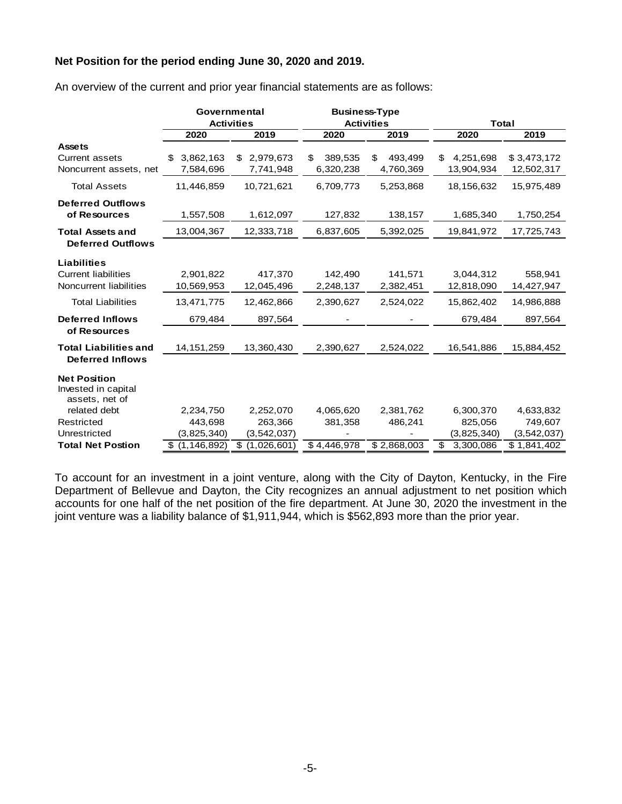#### **Net Position for the period ending June 30, 2020 and 2019.**

|                                                              | Governmental    |                   |                | <b>Business-Type</b> |                 |               |
|--------------------------------------------------------------|-----------------|-------------------|----------------|----------------------|-----------------|---------------|
|                                                              |                 | <b>Activities</b> |                | <b>Activities</b>    | <b>Total</b>    |               |
|                                                              | 2020            | 2019              | 2020           | 2019                 | 2020            | 2019          |
| <b>Assets</b>                                                |                 |                   |                |                      |                 |               |
| <b>Current assets</b>                                        | 3,862,163<br>S. | 2,979,673<br>\$   | 389,535<br>\$. | 493,499<br>\$        | 4,251,698<br>\$ | \$3,473,172   |
| Noncurrent assets, net                                       | 7,584,696       | 7,741,948         | 6,320,238      | 4,760,369            | 13,904,934      | 12,502,317    |
| <b>Total Assets</b>                                          | 11,446,859      | 10,721,621        | 6,709,773      | 5,253,868            | 18,156,632      | 15,975,489    |
| <b>Deferred Outflows</b>                                     |                 |                   |                |                      |                 |               |
| of Resources                                                 | 1,557,508       | 1,612,097         | 127,832        | 138,157              | 1,685,340       | 1,750,254     |
| <b>Total Assets and</b>                                      | 13,004,367      | 12,333,718        | 6,837,605      | 5,392,025            | 19,841,972      | 17,725,743    |
| <b>Deferred Outflows</b>                                     |                 |                   |                |                      |                 |               |
| <b>Liabilities</b>                                           |                 |                   |                |                      |                 |               |
| <b>Current liabilities</b>                                   | 2.901.822       | 417.370           | 142.490        | 141.571              | 3.044.312       | 558.941       |
| Noncurrent liabilities                                       | 10,569,953      | 12,045,496        | 2,248,137      | 2,382,451            | 12,818,090      | 14,427,947    |
| <b>Total Liabilities</b>                                     | 13,471,775      | 12,462,866        | 2,390,627      | 2,524,022            | 15,862,402      | 14,986,888    |
| <b>Deferred Inflows</b>                                      | 679,484         | 897,564           |                |                      | 679,484         | 897,564       |
| of Resources                                                 |                 |                   |                |                      |                 |               |
| <b>Total Liabilities and</b>                                 | 14, 151, 259    | 13,360,430        | 2,390,627      | 2,524,022            | 16,541,886      | 15,884,452    |
| <b>Deferred Inflows</b>                                      |                 |                   |                |                      |                 |               |
| <b>Net Position</b><br>Invested in capital<br>assets, net of |                 |                   |                |                      |                 |               |
| related debt                                                 | 2,234,750       | 2,252,070         | 4,065,620      | 2,381,762            | 6,300,370       | 4,633,832     |
| Restricted                                                   | 443,698         | 263,366           | 381,358        | 486,241              | 825,056         | 749,607       |
| Unrestricted                                                 | (3,825,340)     | (3, 542, 037)     |                |                      | (3,825,340)     | (3, 542, 037) |
| <b>Total Net Postion</b>                                     | \$(1, 146, 892) | \$(1,026,601)     | \$4,446,978    | \$2,868,003          | 3,300,086<br>\$ | \$1,841,402   |

An overview of the current and prior year financial statements are as follows:

To account for an investment in a joint venture, along with the City of Dayton, Kentucky, in the Fire Department of Bellevue and Dayton, the City recognizes an annual adjustment to net position which accounts for one half of the net position of the fire department. At June 30, 2020 the investment in the joint venture was a liability balance of \$1,911,944, which is \$562,893 more than the prior year.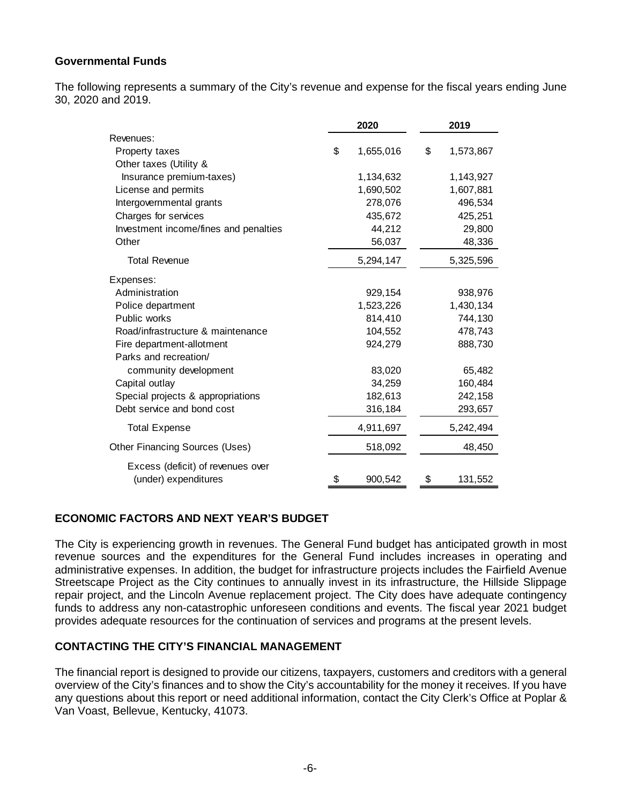#### **Governmental Funds**

The following represents a summary of the City's revenue and expense for the fiscal years ending June 30, 2020 and 2019.

|                                       | 2020            | 2019            |
|---------------------------------------|-----------------|-----------------|
| Revenues:                             |                 |                 |
| Property taxes                        | \$<br>1,655,016 | \$<br>1,573,867 |
| Other taxes (Utility &                |                 |                 |
| Insurance premium-taxes)              | 1,134,632       | 1,143,927       |
| License and permits                   | 1,690,502       | 1,607,881       |
| Intergovernmental grants              | 278,076         | 496,534         |
| Charges for services                  | 435,672         | 425,251         |
| Investment income/fines and penalties | 44,212          | 29,800          |
| Other                                 | 56,037          | 48,336          |
| <b>Total Revenue</b>                  | 5,294,147       | 5,325,596       |
| Expenses:                             |                 |                 |
| Administration                        | 929,154         | 938,976         |
| Police department                     | 1,523,226       | 1,430,134       |
| Public works                          | 814,410         | 744,130         |
| Road/infrastructure & maintenance     | 104,552         | 478,743         |
| Fire department-allotment             | 924,279         | 888,730         |
| Parks and recreation/                 |                 |                 |
| community development                 | 83,020          | 65,482          |
| Capital outlay                        | 34,259          | 160,484         |
| Special projects & appropriations     | 182,613         | 242,158         |
| Debt service and bond cost            | 316,184         | 293,657         |
| <b>Total Expense</b>                  | 4,911,697       | 5,242,494       |
| Other Financing Sources (Uses)        | 518,092         | 48,450          |
| Excess (deficit) of revenues over     |                 |                 |
| (under) expenditures                  | \$<br>900,542   | \$<br>131,552   |

### **ECONOMIC FACTORS AND NEXT YEAR'S BUDGET**

The City is experiencing growth in revenues. The General Fund budget has anticipated growth in most revenue sources and the expenditures for the General Fund includes increases in operating and administrative expenses. In addition, the budget for infrastructure projects includes the Fairfield Avenue Streetscape Project as the City continues to annually invest in its infrastructure, the Hillside Slippage repair project, and the Lincoln Avenue replacement project. The City does have adequate contingency funds to address any non-catastrophic unforeseen conditions and events. The fiscal year 2021 budget provides adequate resources for the continuation of services and programs at the present levels.

#### **CONTACTING THE CITY'S FINANCIAL MANAGEMENT**

The financial report is designed to provide our citizens, taxpayers, customers and creditors with a general overview of the City's finances and to show the City's accountability for the money it receives. If you have any questions about this report or need additional information, contact the City Clerk's Office at Poplar & Van Voast, Bellevue, Kentucky, 41073.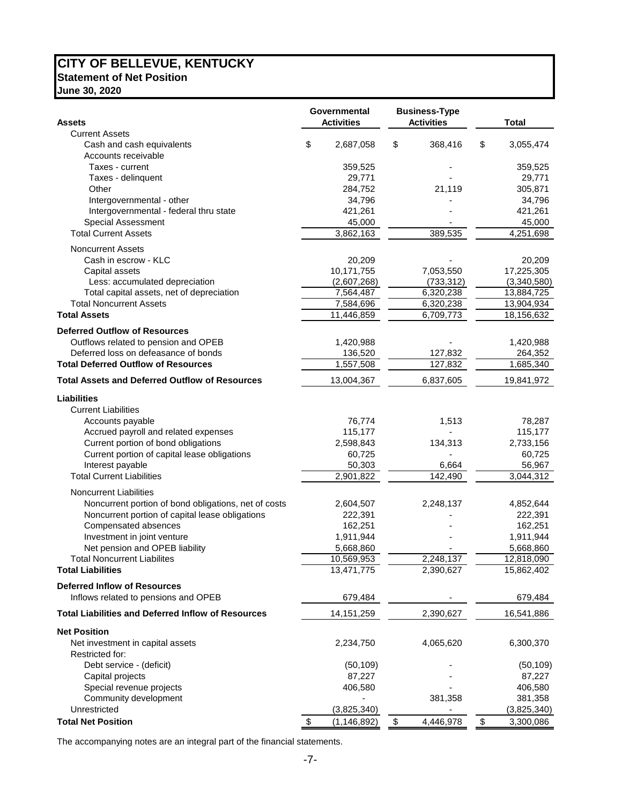# **CITY OF BELLEVUE, KENTUCKY Statement of Net Position**

**June 30, 2020**

| <b>Assets</b>                                             | Governmental<br><b>Activities</b> | <b>Business-Type</b><br><b>Activities</b> | Total                     |
|-----------------------------------------------------------|-----------------------------------|-------------------------------------------|---------------------------|
| <b>Current Assets</b>                                     |                                   |                                           |                           |
| Cash and cash equivalents                                 | \$<br>2,687,058                   | \$<br>368,416                             | \$<br>3,055,474           |
| Accounts receivable                                       |                                   |                                           |                           |
| Taxes - current                                           | 359,525                           |                                           | 359,525                   |
| Taxes - delinquent                                        | 29,771                            |                                           | 29,771                    |
| Other<br>Intergovernmental - other                        | 284,752<br>34,796                 | 21,119                                    | 305,871<br>34,796         |
| Intergovernmental - federal thru state                    | 421,261                           |                                           | 421,261                   |
| Special Assessment                                        | 45,000                            |                                           | 45,000                    |
| <b>Total Current Assets</b>                               | 3,862,163                         | 389,535                                   | 4,251,698                 |
|                                                           |                                   |                                           |                           |
| <b>Noncurrent Assets</b>                                  |                                   |                                           |                           |
| Cash in escrow - KLC                                      | 20,209                            |                                           | 20,209                    |
| Capital assets<br>Less: accumulated depreciation          | 10,171,755<br>(2,607,268)         | 7,053,550<br>(733, 312)                   | 17,225,305<br>(3,340,580) |
| Total capital assets, net of depreciation                 | 7,564,487                         | 6,320,238                                 | 13,884,725                |
| <b>Total Noncurrent Assets</b>                            | 7,584,696                         | 6,320,238                                 | 13,904,934                |
| <b>Total Assets</b>                                       | 11,446,859                        | 6,709,773                                 | 18,156,632                |
| <b>Deferred Outflow of Resources</b>                      |                                   |                                           |                           |
| Outflows related to pension and OPEB                      | 1,420,988                         |                                           | 1,420,988                 |
| Deferred loss on defeasance of bonds                      | 136,520                           | 127,832                                   | 264,352                   |
| <b>Total Deferred Outflow of Resources</b>                | 1,557,508                         | 127,832                                   | 1,685,340                 |
| <b>Total Assets and Deferred Outflow of Resources</b>     | 13,004,367                        | 6,837,605                                 | 19,841,972                |
|                                                           |                                   |                                           |                           |
| <b>Liabilities</b>                                        |                                   |                                           |                           |
| <b>Current Liabilities</b>                                |                                   |                                           |                           |
| Accounts payable<br>Accrued payroll and related expenses  | 76,774<br>115,177                 | 1,513                                     | 78,287<br>115,177         |
| Current portion of bond obligations                       | 2,598,843                         | 134,313                                   | 2,733,156                 |
| Current portion of capital lease obligations              | 60,725                            |                                           | 60,725                    |
| Interest payable                                          | 50,303                            | 6,664                                     | 56,967                    |
| <b>Total Current Liabilities</b>                          | 2,901,822                         | 142,490                                   | 3,044,312                 |
| <b>Noncurrent Liabilities</b>                             |                                   |                                           |                           |
| Noncurrent portion of bond obligations, net of costs      | 2,604,507                         | 2,248,137                                 | 4,852,644                 |
| Noncurrent portion of capital lease obligations           | 222,391                           |                                           | 222,391                   |
| Compensated absences                                      | 162,251                           |                                           | 162,251                   |
| Investment in joint venture                               | 1,911,944                         |                                           | 1,911,944                 |
| Net pension and OPEB liability                            | 5,668,860                         |                                           | 5,668,860                 |
| <b>Total Noncurrent Liabilites</b>                        | 10,569,953                        | 2,248,137                                 | 12,818,090                |
| <b>Total Liabilities</b>                                  | 13,471,775                        | 2,390,627                                 | 15,862,402                |
| <b>Deferred Inflow of Resources</b>                       |                                   |                                           |                           |
| Inflows related to pensions and OPEB                      | 679,484                           |                                           | 679,484                   |
| <b>Total Liabilities and Deferred Inflow of Resources</b> | 14, 151, 259                      | 2,390,627                                 | 16,541,886                |
| <b>Net Position</b>                                       |                                   |                                           |                           |
| Net investment in capital assets<br>Restricted for:       | 2,234,750                         | 4,065,620                                 | 6,300,370                 |
| Debt service - (deficit)                                  | (50, 109)                         |                                           | (50, 109)                 |
| Capital projects                                          | 87,227                            |                                           | 87,227                    |
| Special revenue projects                                  | 406,580                           |                                           | 406,580                   |
| Community development                                     |                                   | 381,358                                   | 381,358                   |
| Unrestricted                                              | (3,825,340)                       |                                           | (3,825,340)               |
| <b>Total Net Position</b>                                 | \$<br>(1, 146, 892)               | \$<br>4,446,978                           | \$<br>3,300,086           |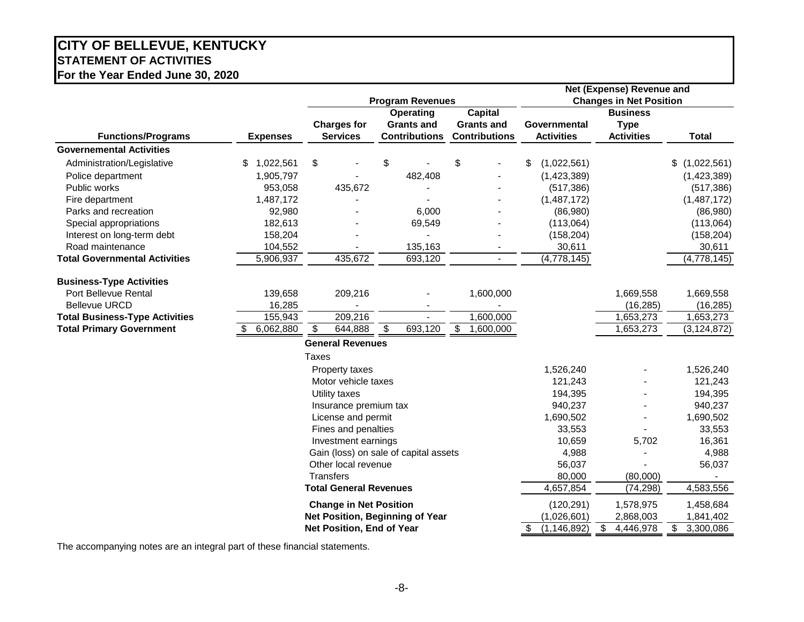### **CITY OF BELLEVUE, KENTUCKY STATEMENT OF ACTIVITIES For the Year Ended June 30, 2020**

|                                       |                  |       |                               |                         |                                       | Net (Expense) Revenue and |                                |    |                   |    |                   |    |               |
|---------------------------------------|------------------|-------|-------------------------------|-------------------------|---------------------------------------|---------------------------|--------------------------------|----|-------------------|----|-------------------|----|---------------|
|                                       |                  |       |                               | <b>Program Revenues</b> |                                       |                           | <b>Changes in Net Position</b> |    |                   |    |                   |    |               |
|                                       |                  |       |                               |                         | Operating                             |                           | <b>Capital</b>                 |    |                   |    | <b>Business</b>   |    |               |
|                                       |                  |       | <b>Charges for</b>            |                         | <b>Grants and</b>                     |                           | <b>Grants and</b>              |    | Governmental      |    | <b>Type</b>       |    |               |
| <b>Functions/Programs</b>             | <b>Expenses</b>  |       | <b>Services</b>               |                         | <b>Contributions</b>                  |                           | <b>Contributions</b>           |    | <b>Activities</b> |    | <b>Activities</b> |    | <b>Total</b>  |
| <b>Governemental Activities</b>       |                  |       |                               |                         |                                       |                           |                                |    |                   |    |                   |    |               |
| Administration/Legislative            | 1,022,561<br>SS. | \$    |                               | \$                      |                                       | \$                        |                                | S  | (1,022,561)       |    |                   |    | \$(1,022,561) |
| Police department                     | 1,905,797        |       |                               |                         | 482,408                               |                           |                                |    | (1,423,389)       |    |                   |    | (1,423,389)   |
| Public works                          | 953,058          |       | 435,672                       |                         |                                       |                           |                                |    | (517, 386)        |    |                   |    | (517, 386)    |
| Fire department                       | 1,487,172        |       |                               |                         |                                       |                           |                                |    | (1,487,172)       |    |                   |    | (1,487,172)   |
| Parks and recreation                  | 92,980           |       |                               |                         | 6,000                                 |                           |                                |    | (86,980)          |    |                   |    | (86,980)      |
| Special appropriations                | 182,613          |       |                               |                         | 69,549                                |                           |                                |    | (113,064)         |    |                   |    | (113,064)     |
| Interest on long-term debt            | 158,204          |       |                               |                         |                                       |                           |                                |    | (158, 204)        |    |                   |    | (158, 204)    |
| Road maintenance                      | 104,552          |       |                               |                         | 135,163                               |                           |                                |    | 30,611            |    |                   |    | 30,611        |
| <b>Total Governmental Activities</b>  | 5,906,937        |       | 435,672                       |                         | 693,120                               |                           |                                |    | (4,778,145)       |    |                   |    | (4,778,145)   |
| <b>Business-Type Activities</b>       |                  |       |                               |                         |                                       |                           |                                |    |                   |    |                   |    |               |
| Port Bellevue Rental                  | 139,658          |       | 209,216                       |                         |                                       |                           | 1,600,000                      |    |                   |    | 1,669,558         |    | 1,669,558     |
| <b>Bellevue URCD</b>                  | 16,285           |       |                               |                         |                                       |                           |                                |    |                   |    | (16, 285)         |    | (16, 285)     |
| <b>Total Business-Type Activities</b> | 155,943          |       | 209,216                       |                         |                                       |                           | 1,600,000                      |    |                   |    | 1,653,273         |    | 1,653,273     |
| <b>Total Primary Government</b>       | 6,062,880<br>\$  | s.    | 644,888                       | s)                      | 693,120                               | $\overline{\$}$           | 1,600,000                      |    |                   |    | 1,653,273         |    | (3, 124, 872) |
|                                       |                  |       | <b>General Revenues</b>       |                         |                                       |                           |                                |    |                   |    |                   |    |               |
|                                       |                  | Taxes |                               |                         |                                       |                           |                                |    |                   |    |                   |    |               |
|                                       |                  |       | Property taxes                |                         |                                       |                           |                                |    | 1,526,240         |    |                   |    | 1,526,240     |
|                                       |                  |       | Motor vehicle taxes           |                         |                                       |                           |                                |    | 121,243           |    |                   |    | 121,243       |
|                                       |                  |       | Utility taxes                 |                         |                                       |                           |                                |    | 194,395           |    |                   |    | 194,395       |
|                                       |                  |       | Insurance premium tax         |                         |                                       |                           |                                |    | 940,237           |    |                   |    | 940,237       |
|                                       |                  |       | License and permit            |                         |                                       |                           |                                |    | 1,690,502         |    |                   |    | 1,690,502     |
|                                       |                  |       | Fines and penalties           |                         |                                       |                           |                                |    | 33,553            |    |                   |    | 33,553        |
|                                       |                  |       | Investment earnings           |                         |                                       |                           |                                |    | 10,659            |    | 5,702             |    | 16,361        |
|                                       |                  |       |                               |                         | Gain (loss) on sale of capital assets |                           |                                |    | 4,988             |    |                   |    | 4,988         |
|                                       |                  |       | Other local revenue           |                         |                                       |                           |                                |    | 56,037            |    |                   |    | 56,037        |
|                                       |                  |       | <b>Transfers</b>              |                         |                                       |                           |                                |    | 80,000            |    | (80,000)          |    |               |
|                                       |                  |       | <b>Total General Revenues</b> |                         |                                       |                           |                                |    | 4,657,854         |    | (74, 298)         |    | 4,583,556     |
|                                       |                  |       | <b>Change in Net Position</b> |                         |                                       |                           |                                |    | (120, 291)        |    | 1,578,975         |    | 1,458,684     |
|                                       |                  |       |                               |                         | Net Position, Beginning of Year       |                           |                                |    | (1,026,601)       |    | 2,868,003         |    | 1,841,402     |
|                                       |                  |       | Net Position, End of Year     |                         |                                       |                           |                                | \$ | (1, 146, 892)     | \$ | 4,446,978         | \$ | 3,300,086     |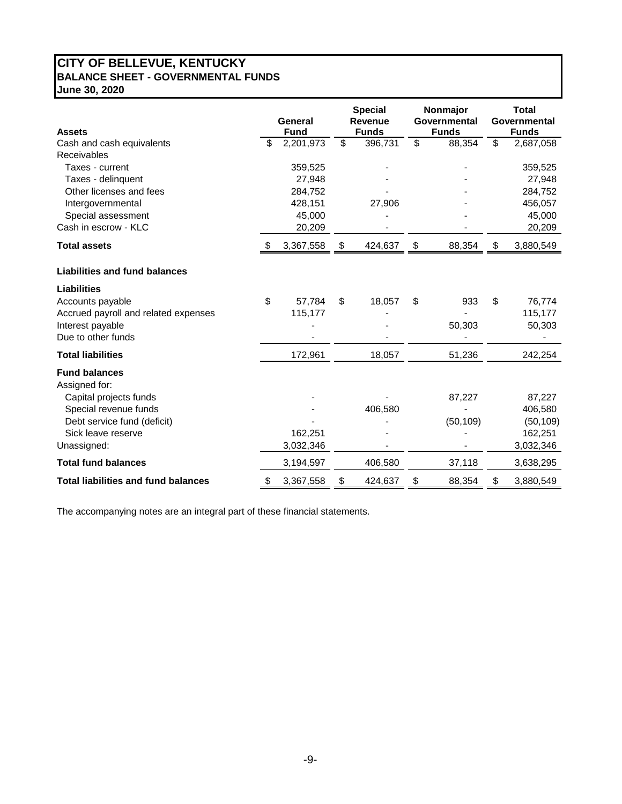### **CITY OF BELLEVUE, KENTUCKY BALANCE SHEET - GOVERNMENTAL FUNDS June 30, 2020**

| <b>Assets</b>                              |    | General<br><b>Fund</b> | <b>Special</b><br><b>Revenue</b><br><b>Funds</b> |    | Nonmajor<br>Governmental<br><b>Funds</b> | <b>Total</b><br>Governmental<br><b>Funds</b> |
|--------------------------------------------|----|------------------------|--------------------------------------------------|----|------------------------------------------|----------------------------------------------|
| Cash and cash equivalents                  | S  | 2,201,973              | \$<br>396,731                                    | \$ | 88,354                                   | \$<br>2,687,058                              |
| <b>Receivables</b>                         |    |                        |                                                  |    |                                          |                                              |
| Taxes - current                            |    | 359,525                |                                                  |    |                                          | 359,525                                      |
| Taxes - delinquent                         |    | 27,948                 |                                                  |    |                                          | 27,948                                       |
| Other licenses and fees                    |    | 284,752                |                                                  |    |                                          | 284,752                                      |
| Intergovernmental                          |    | 428,151                | 27,906                                           |    |                                          | 456,057                                      |
| Special assessment                         |    | 45,000                 |                                                  |    |                                          | 45,000                                       |
| Cash in escrow - KLC                       |    | 20,209                 |                                                  |    |                                          | 20,209                                       |
| <b>Total assets</b>                        | \$ | 3,367,558              | \$<br>424,637                                    | \$ | 88,354                                   | \$<br>3,880,549                              |
| <b>Liabilities and fund balances</b>       |    |                        |                                                  |    |                                          |                                              |
| <b>Liabilities</b>                         |    |                        |                                                  |    |                                          |                                              |
| Accounts payable                           | \$ | 57,784                 | \$<br>18,057                                     | \$ | 933                                      | \$<br>76,774                                 |
| Accrued payroll and related expenses       |    | 115,177                |                                                  |    |                                          | 115,177                                      |
| Interest payable                           |    |                        |                                                  |    | 50,303                                   | 50,303                                       |
| Due to other funds                         |    |                        |                                                  |    |                                          |                                              |
| <b>Total liabilities</b>                   |    | 172,961                | 18,057                                           |    | 51,236                                   | 242,254                                      |
| <b>Fund balances</b>                       |    |                        |                                                  |    |                                          |                                              |
| Assigned for:                              |    |                        |                                                  |    |                                          |                                              |
| Capital projects funds                     |    |                        |                                                  |    | 87,227                                   | 87,227                                       |
| Special revenue funds                      |    |                        | 406,580                                          |    |                                          | 406,580                                      |
| Debt service fund (deficit)                |    |                        |                                                  |    | (50, 109)                                | (50, 109)                                    |
| Sick leave reserve                         |    | 162,251                |                                                  |    |                                          | 162,251                                      |
| Unassigned:                                |    | 3,032,346              |                                                  |    |                                          | 3,032,346                                    |
| <b>Total fund balances</b>                 |    | 3,194,597              | 406,580                                          |    | 37,118                                   | 3,638,295                                    |
| <b>Total liabilities and fund balances</b> | \$ | 3,367,558              | \$<br>424,637                                    | \$ | 88,354                                   | \$<br>3,880,549                              |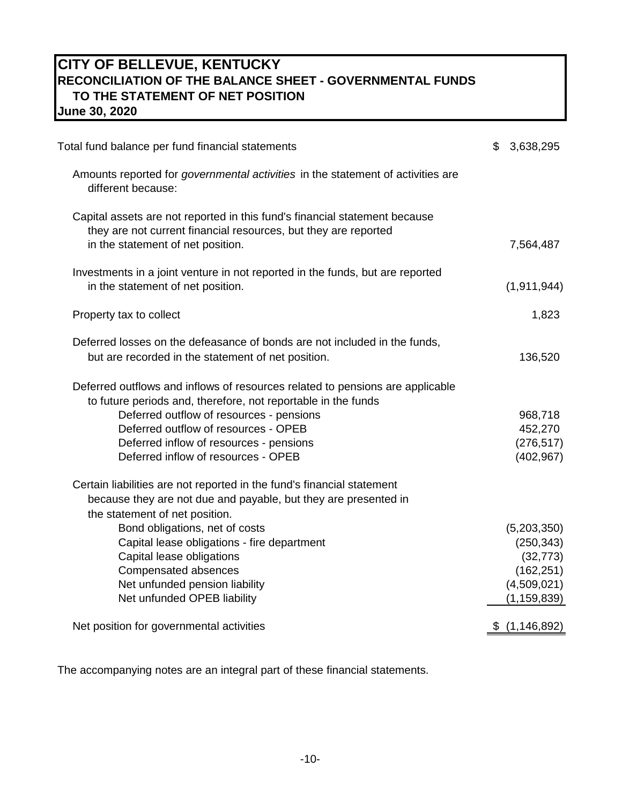# **CITY OF BELLEVUE, KENTUCKY RECONCILIATION OF THE BALANCE SHEET - GOVERNMENTAL FUNDS TO THE STATEMENT OF NET POSITION June 30, 2020**

| Total fund balance per fund financial statements                                                                                                                                   | $\mathfrak{L}$ | 3,638,295       |
|------------------------------------------------------------------------------------------------------------------------------------------------------------------------------------|----------------|-----------------|
| Amounts reported for <i>governmental activities</i> in the statement of activities are<br>different because:                                                                       |                |                 |
| Capital assets are not reported in this fund's financial statement because<br>they are not current financial resources, but they are reported<br>in the statement of net position. |                | 7,564,487       |
| Investments in a joint venture in not reported in the funds, but are reported<br>in the statement of net position.                                                                 |                | (1,911,944)     |
| Property tax to collect                                                                                                                                                            |                | 1,823           |
| Deferred losses on the defeasance of bonds are not included in the funds,<br>but are recorded in the statement of net position.                                                    |                | 136,520         |
| Deferred outflows and inflows of resources related to pensions are applicable<br>to future periods and, therefore, not reportable in the funds                                     |                |                 |
| Deferred outflow of resources - pensions                                                                                                                                           |                | 968,718         |
| Deferred outflow of resources - OPEB                                                                                                                                               |                | 452,270         |
| Deferred inflow of resources - pensions                                                                                                                                            |                | (276, 517)      |
| Deferred inflow of resources - OPEB                                                                                                                                                |                | (402, 967)      |
| Certain liabilities are not reported in the fund's financial statement                                                                                                             |                |                 |
| because they are not due and payable, but they are presented in                                                                                                                    |                |                 |
| the statement of net position.                                                                                                                                                     |                |                 |
| Bond obligations, net of costs                                                                                                                                                     |                | (5,203,350)     |
| Capital lease obligations - fire department                                                                                                                                        |                | (250, 343)      |
| Capital lease obligations                                                                                                                                                          |                | (32, 773)       |
| Compensated absences                                                                                                                                                               |                | (162, 251)      |
| Net unfunded pension liability                                                                                                                                                     |                | (4,509,021)     |
| Net unfunded OPEB liability                                                                                                                                                        |                | (1, 159, 839)   |
| Net position for governmental activities                                                                                                                                           |                | \$(1, 146, 892) |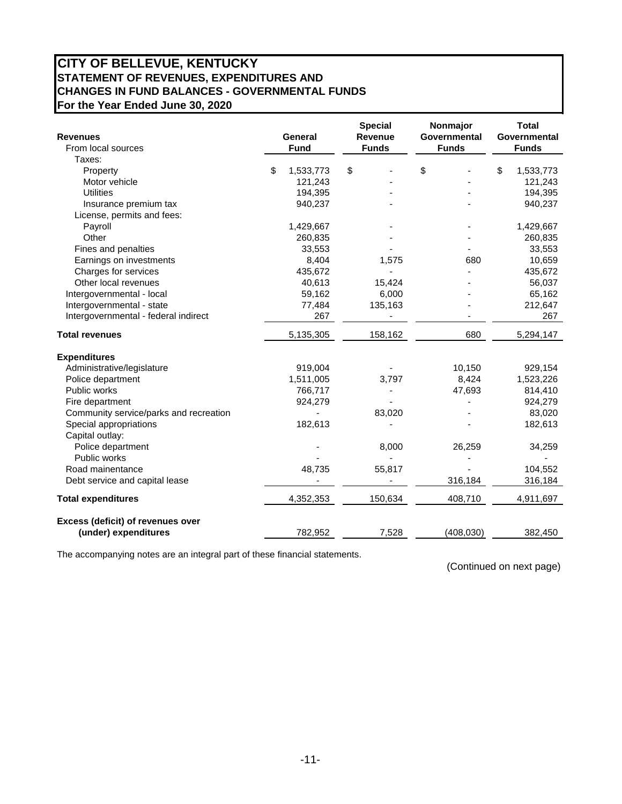### **CITY OF BELLEVUE, KENTUCKY STATEMENT OF REVENUES, EXPENDITURES AND CHANGES IN FUND BALANCES - GOVERNMENTAL FUNDS For the Year Ended June 30, 2020**

| <b>Revenues</b><br>From local sources  | General<br><b>Fund</b> |           | <b>Special</b><br><b>Revenue</b><br><b>Funds</b> |         |    |            | Nonmajor<br><b>Governmental</b><br><b>Funds</b> |  | <b>Total</b><br><b>Governmental</b><br><b>Funds</b> |
|----------------------------------------|------------------------|-----------|--------------------------------------------------|---------|----|------------|-------------------------------------------------|--|-----------------------------------------------------|
| Taxes:                                 |                        |           |                                                  |         |    |            |                                                 |  |                                                     |
| Property                               | \$                     | 1,533,773 | \$                                               |         | \$ |            | \$<br>1,533,773                                 |  |                                                     |
| Motor vehicle                          |                        | 121,243   |                                                  |         |    |            | 121,243                                         |  |                                                     |
| <b>Utilities</b>                       |                        | 194,395   |                                                  |         |    |            | 194,395                                         |  |                                                     |
| Insurance premium tax                  |                        | 940,237   |                                                  |         |    |            | 940,237                                         |  |                                                     |
| License, permits and fees:             |                        |           |                                                  |         |    |            |                                                 |  |                                                     |
| Payroll                                |                        | 1,429,667 |                                                  |         |    |            | 1,429,667                                       |  |                                                     |
| Other                                  |                        | 260,835   |                                                  |         |    |            | 260,835                                         |  |                                                     |
| Fines and penalties                    |                        | 33,553    |                                                  |         |    |            | 33,553                                          |  |                                                     |
| Earnings on investments                |                        | 8,404     |                                                  | 1,575   |    | 680        | 10,659                                          |  |                                                     |
| Charges for services                   |                        | 435,672   |                                                  |         |    |            | 435,672                                         |  |                                                     |
| Other local revenues                   |                        | 40,613    |                                                  | 15,424  |    |            | 56,037                                          |  |                                                     |
| Intergovernmental - local              |                        | 59,162    |                                                  | 6,000   |    |            | 65,162                                          |  |                                                     |
| Intergovernmental - state              |                        | 77,484    |                                                  | 135,163 |    |            | 212,647<br>267                                  |  |                                                     |
| Intergovernmental - federal indirect   |                        | 267       |                                                  |         |    |            |                                                 |  |                                                     |
| <b>Total revenues</b>                  |                        | 5,135,305 |                                                  | 158,162 |    | 680        | 5,294,147                                       |  |                                                     |
| <b>Expenditures</b>                    |                        |           |                                                  |         |    |            |                                                 |  |                                                     |
| Administrative/legislature             |                        | 919,004   |                                                  |         |    | 10,150     | 929,154                                         |  |                                                     |
| Police department                      |                        | 1,511,005 |                                                  | 3,797   |    | 8,424      | 1,523,226                                       |  |                                                     |
| Public works                           |                        | 766,717   |                                                  |         |    | 47,693     | 814,410                                         |  |                                                     |
| Fire department                        |                        | 924,279   |                                                  |         |    |            | 924,279                                         |  |                                                     |
| Community service/parks and recreation |                        |           |                                                  | 83,020  |    |            | 83,020                                          |  |                                                     |
| Special appropriations                 |                        | 182,613   |                                                  |         |    |            | 182,613                                         |  |                                                     |
| Capital outlay:                        |                        |           |                                                  |         |    |            |                                                 |  |                                                     |
| Police department                      |                        |           |                                                  | 8,000   |    | 26,259     | 34,259                                          |  |                                                     |
| Public works                           |                        |           |                                                  |         |    |            |                                                 |  |                                                     |
| Road mainentance                       |                        | 48,735    |                                                  | 55,817  |    |            | 104,552                                         |  |                                                     |
| Debt service and capital lease         |                        |           |                                                  |         |    | 316,184    | 316,184                                         |  |                                                     |
| <b>Total expenditures</b>              |                        | 4,352,353 |                                                  | 150,634 |    | 408,710    | 4,911,697                                       |  |                                                     |
| Excess (deficit) of revenues over      |                        |           |                                                  |         |    |            |                                                 |  |                                                     |
| (under) expenditures                   |                        | 782,952   |                                                  | 7,528   |    | (408, 030) | 382,450                                         |  |                                                     |

The accompanying notes are an integral part of these financial statements.

(Continued on next page)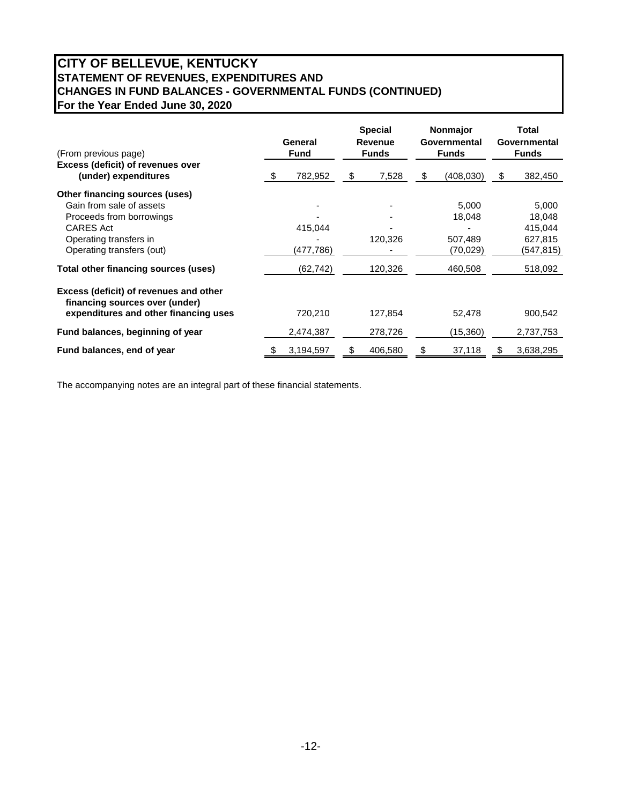### **CITY OF BELLEVUE, KENTUCKY STATEMENT OF REVENUES, EXPENDITURES AND CHANGES IN FUND BALANCES - GOVERNMENTAL FUNDS (CONTINUED) For the Year Ended June 30, 2020**

| (From previous page)                                                                                                                                      |    | General<br><b>Fund</b> |    | <b>Special</b><br>Revenue<br><b>Funds</b> |    | Nonmajor<br>Governmental<br><b>Funds</b> |    | Total<br>Governmental<br><b>Funds</b> |  |
|-----------------------------------------------------------------------------------------------------------------------------------------------------------|----|------------------------|----|-------------------------------------------|----|------------------------------------------|----|---------------------------------------|--|
| Excess (deficit) of revenues over<br>(under) expenditures                                                                                                 | -S | 782,952                | \$ | 7,528                                     | \$ | (408,030)                                | S. | 382,450                               |  |
| Other financing sources (uses)<br>Gain from sale of assets<br>Proceeds from borrowings<br><b>CARES Act</b><br>Operating transfers in                      |    | 415,044                |    | 120,326                                   |    | 5,000<br>18,048<br>507,489               |    | 5,000<br>18,048<br>415,044<br>627,815 |  |
| Operating transfers (out)                                                                                                                                 |    | (477,786)              |    |                                           |    | (70,029)                                 |    | (547,815)                             |  |
| Total other financing sources (uses)<br>Excess (deficit) of revenues and other<br>financing sources over (under)<br>expenditures and other financing uses |    | (62, 742)<br>720,210   |    | 120,326<br>127,854                        |    | 460,508<br>52,478                        |    | 518,092<br>900,542                    |  |
| Fund balances, beginning of year                                                                                                                          |    | 2,474,387              |    | 278,726                                   |    | (15,360)                                 |    | 2,737,753                             |  |
| Fund balances, end of year                                                                                                                                |    | 3,194,597              |    | 406,580                                   | S  | 37,118                                   |    | 3,638,295                             |  |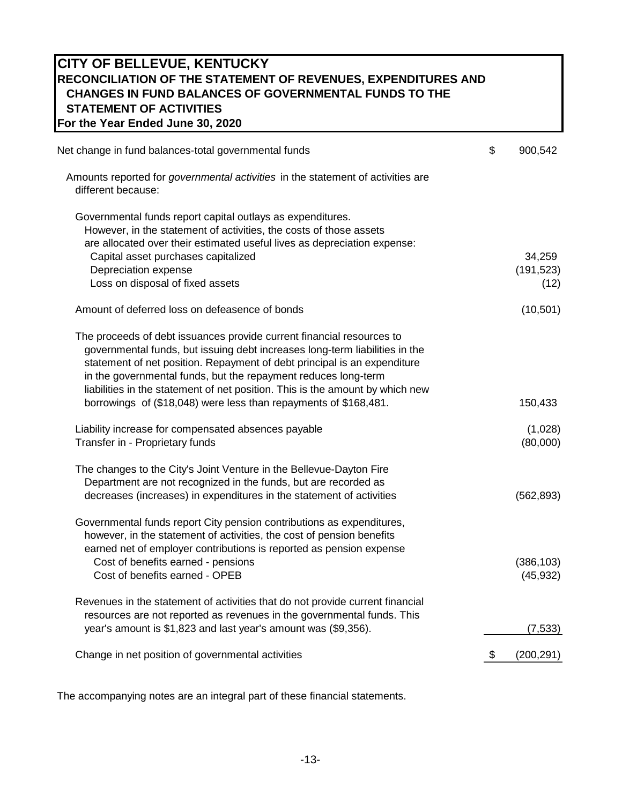### **CITY OF BELLEVUE, KENTUCKY RECONCILIATION OF THE STATEMENT OF REVENUES, EXPENDITURES AND CHANGES IN FUND BALANCES OF GOVERNMENTAL FUNDS TO THE STATEMENT OF ACTIVITIES For the Year Ended June 30, 2020**

| Net change in fund balances-total governmental funds                                                                                                                                                                                                                                                                                                                                                                                                    | \$ | 900,542                      |
|---------------------------------------------------------------------------------------------------------------------------------------------------------------------------------------------------------------------------------------------------------------------------------------------------------------------------------------------------------------------------------------------------------------------------------------------------------|----|------------------------------|
| Amounts reported for governmental activities in the statement of activities are<br>different because:                                                                                                                                                                                                                                                                                                                                                   |    |                              |
| Governmental funds report capital outlays as expenditures.<br>However, in the statement of activities, the costs of those assets<br>are allocated over their estimated useful lives as depreciation expense:<br>Capital asset purchases capitalized<br>Depreciation expense<br>Loss on disposal of fixed assets                                                                                                                                         |    | 34,259<br>(191, 523)<br>(12) |
| Amount of deferred loss on defeasence of bonds                                                                                                                                                                                                                                                                                                                                                                                                          |    | (10, 501)                    |
| The proceeds of debt issuances provide current financial resources to<br>governmental funds, but issuing debt increases long-term liabilities in the<br>statement of net position. Repayment of debt principal is an expenditure<br>in the governmental funds, but the repayment reduces long-term<br>liabilities in the statement of net position. This is the amount by which new<br>borrowings of (\$18,048) were less than repayments of \$168,481. |    | 150,433                      |
| Liability increase for compensated absences payable<br>Transfer in - Proprietary funds                                                                                                                                                                                                                                                                                                                                                                  |    | (1,028)<br>(80,000)          |
| The changes to the City's Joint Venture in the Bellevue-Dayton Fire<br>Department are not recognized in the funds, but are recorded as<br>decreases (increases) in expenditures in the statement of activities                                                                                                                                                                                                                                          |    | (562, 893)                   |
| Governmental funds report City pension contributions as expenditures,<br>however, in the statement of activities, the cost of pension benefits<br>earned net of employer contributions is reported as pension expense<br>Cost of benefits earned - pensions<br>Cost of benefits earned - OPEB                                                                                                                                                           |    | (386, 103)<br>(45, 932)      |
| Revenues in the statement of activities that do not provide current financial<br>resources are not reported as revenues in the governmental funds. This<br>year's amount is \$1,823 and last year's amount was (\$9,356).                                                                                                                                                                                                                               |    | (7, 533)                     |
| Change in net position of governmental activities                                                                                                                                                                                                                                                                                                                                                                                                       | £. | (200, 291)                   |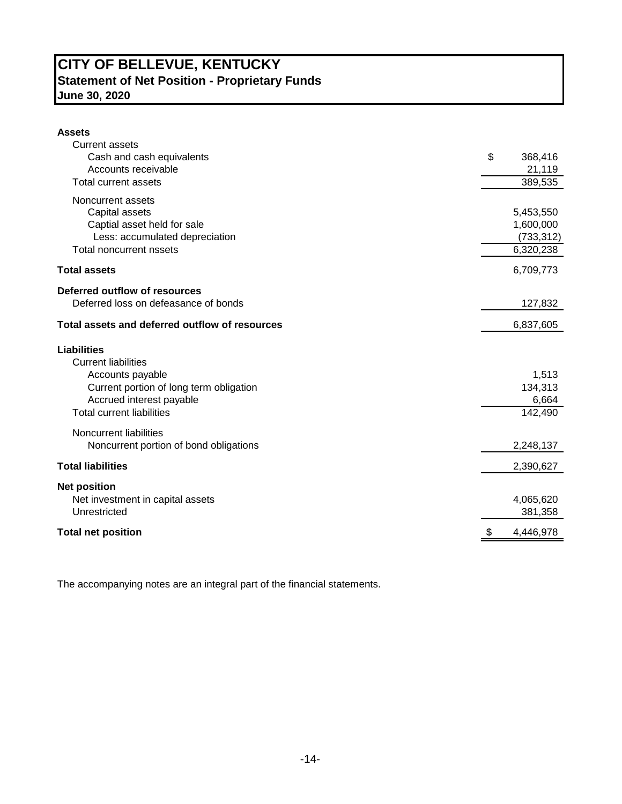# **CITY OF BELLEVUE, KENTUCKY Statement of Net Position - Proprietary Funds June 30, 2020**

#### **Assets**

| <b>Current assets</b>                          |                 |
|------------------------------------------------|-----------------|
| Cash and cash equivalents                      | \$<br>368,416   |
| Accounts receivable                            | 21,119          |
| <b>Total current assets</b>                    | 389,535         |
| Noncurrent assets                              |                 |
| Capital assets                                 | 5,453,550       |
| Captial asset held for sale                    | 1,600,000       |
| Less: accumulated depreciation                 | (733, 312)      |
| Total noncurrent nssets                        | 6,320,238       |
| <b>Total assets</b>                            | 6,709,773       |
| Deferred outflow of resources                  |                 |
| Deferred loss on defeasance of bonds           | 127,832         |
| Total assets and deferred outflow of resources | 6,837,605       |
| <b>Liabilities</b>                             |                 |
| <b>Current liabilities</b>                     |                 |
| Accounts payable                               | 1,513           |
| Current portion of long term obligation        | 134,313         |
| Accrued interest payable                       | 6,664           |
| <b>Total current liabilities</b>               | 142,490         |
| Noncurrent liabilities                         |                 |
| Noncurrent portion of bond obligations         | 2,248,137       |
| <b>Total liabilities</b>                       | 2,390,627       |
| <b>Net position</b>                            |                 |
| Net investment in capital assets               | 4,065,620       |
| Unrestricted                                   | 381,358         |
| <b>Total net position</b>                      | \$<br>4,446,978 |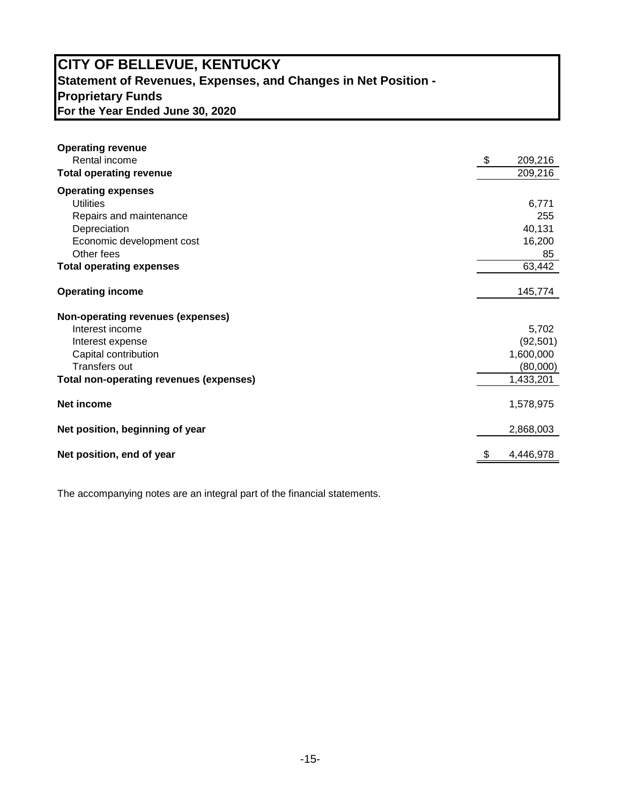# **CITY OF BELLEVUE, KENTUCKY Statement of Revenues, Expenses, and Changes in Net Position - Proprietary Funds**

**For the Year Ended June 30, 2020**

| <b>Operating revenue</b>                |               |
|-----------------------------------------|---------------|
| Rental income                           | \$<br>209,216 |
| <b>Total operating revenue</b>          | 209,216       |
| <b>Operating expenses</b>               |               |
| <b>Utilities</b>                        | 6,771         |
| Repairs and maintenance                 | 255           |
| Depreciation                            | 40,131        |
| Economic development cost               | 16,200        |
| Other fees                              | 85            |
| <b>Total operating expenses</b>         | 63,442        |
| <b>Operating income</b>                 | 145,774       |
| Non-operating revenues (expenses)       |               |
| Interest income                         | 5,702         |
| Interest expense                        | (92, 501)     |
| Capital contribution                    | 1,600,000     |
| Transfers out                           | (80,000)      |
| Total non-operating revenues (expenses) | 1,433,201     |
| Net income                              | 1,578,975     |
| Net position, beginning of year         | 2,868,003     |
| Net position, end of year               | 4,446,978     |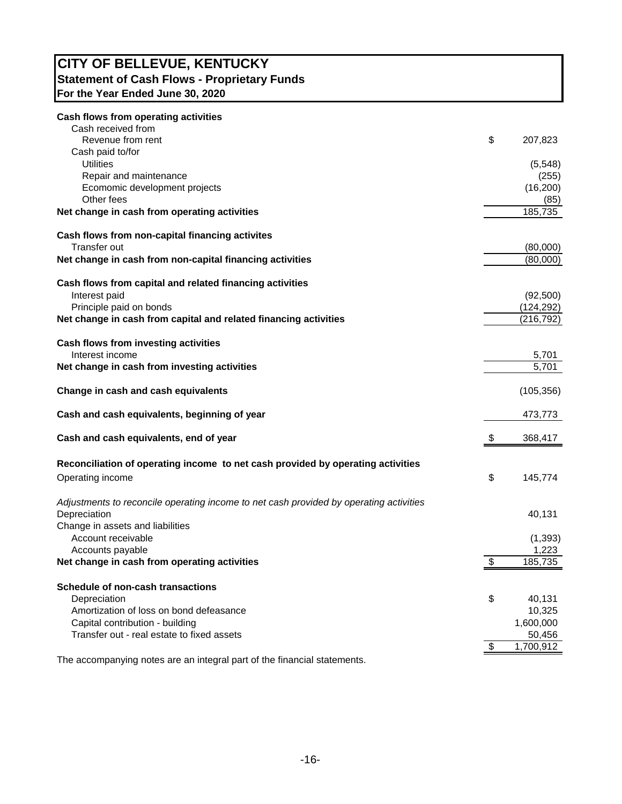# **CITY OF BELLEVUE, KENTUCKY Statement of Cash Flows - Proprietary Funds**

**For the Year Ended June 30, 2020**

| Cash flows from operating activities                                                   |                          |            |
|----------------------------------------------------------------------------------------|--------------------------|------------|
| Cash received from<br>Revenue from rent                                                | \$                       | 207,823    |
| Cash paid to/for                                                                       |                          |            |
| <b>Utilities</b>                                                                       |                          | (5, 548)   |
| Repair and maintenance                                                                 |                          | (255)      |
| Ecomomic development projects                                                          |                          | (16, 200)  |
| Other fees                                                                             |                          | (85)       |
| Net change in cash from operating activities                                           |                          | 185,735    |
| Cash flows from non-capital financing activites                                        |                          |            |
| <b>Transfer out</b>                                                                    |                          | (80,000)   |
| Net change in cash from non-capital financing activities                               |                          | (80,000)   |
| Cash flows from capital and related financing activities                               |                          |            |
| Interest paid                                                                          |                          | (92, 500)  |
| Principle paid on bonds                                                                |                          | (124, 292) |
| Net change in cash from capital and related financing activities                       |                          | (216, 792) |
| Cash flows from investing activities                                                   |                          |            |
| Interest income                                                                        |                          | 5,701      |
| Net change in cash from investing activities                                           |                          | 5,701      |
| Change in cash and cash equivalents                                                    |                          | (105, 356) |
| Cash and cash equivalents, beginning of year                                           |                          | 473,773    |
| Cash and cash equivalents, end of year                                                 | \$                       | 368,417    |
| Reconciliation of operating income to net cash provided by operating activities        |                          |            |
| Operating income                                                                       | \$                       | 145,774    |
| Adjustments to reconcile operating income to net cash provided by operating activities |                          |            |
| Depreciation                                                                           |                          | 40,131     |
| Change in assets and liabilities                                                       |                          |            |
| Account receivable                                                                     |                          | (1, 393)   |
| Accounts payable                                                                       |                          | 1,223      |
| Net change in cash from operating activities                                           | $\overline{\mathcal{S}}$ | 185,735    |
| Schedule of non-cash transactions                                                      |                          |            |
| Depreciation                                                                           | \$                       | 40,131     |
| Amortization of loss on bond defeasance                                                |                          | 10,325     |
| Capital contribution - building                                                        |                          | 1,600,000  |
| Transfer out - real estate to fixed assets                                             |                          | 50,456     |
|                                                                                        | \$                       | 1,700,912  |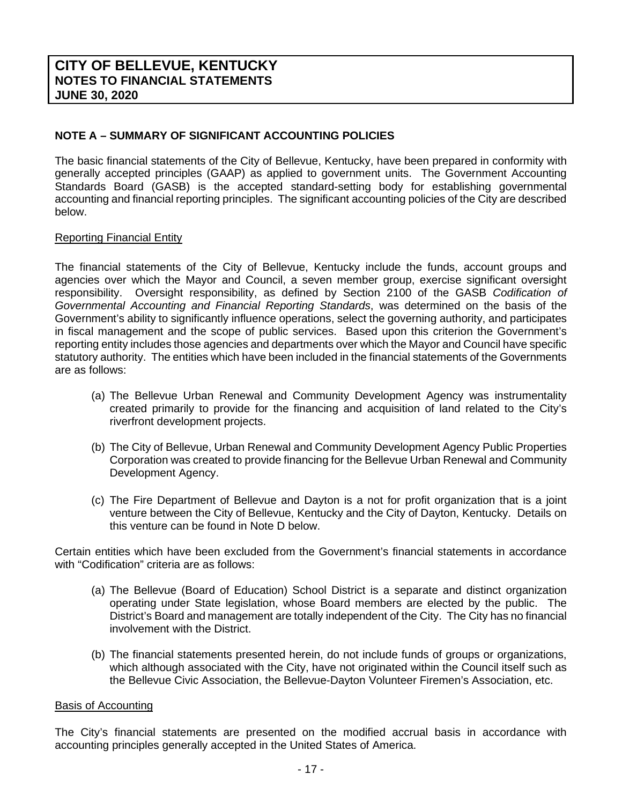### **NOTE A – SUMMARY OF SIGNIFICANT ACCOUNTING POLICIES**

The basic financial statements of the City of Bellevue, Kentucky, have been prepared in conformity with generally accepted principles (GAAP) as applied to government units. The Government Accounting Standards Board (GASB) is the accepted standard-setting body for establishing governmental accounting and financial reporting principles. The significant accounting policies of the City are described below.

#### Reporting Financial Entity

The financial statements of the City of Bellevue, Kentucky include the funds, account groups and agencies over which the Mayor and Council, a seven member group, exercise significant oversight responsibility. Oversight responsibility, as defined by Section 2100 of the GASB *Codification of Governmental Accounting and Financial Reporting Standards*, was determined on the basis of the Government's ability to significantly influence operations, select the governing authority, and participates in fiscal management and the scope of public services. Based upon this criterion the Government's reporting entity includes those agencies and departments over which the Mayor and Council have specific statutory authority. The entities which have been included in the financial statements of the Governments are as follows:

- (a) The Bellevue Urban Renewal and Community Development Agency was instrumentality created primarily to provide for the financing and acquisition of land related to the City's riverfront development projects.
- (b) The City of Bellevue, Urban Renewal and Community Development Agency Public Properties Corporation was created to provide financing for the Bellevue Urban Renewal and Community Development Agency.
- (c) The Fire Department of Bellevue and Dayton is a not for profit organization that is a joint venture between the City of Bellevue, Kentucky and the City of Dayton, Kentucky. Details on this venture can be found in Note D below.

Certain entities which have been excluded from the Government's financial statements in accordance with "Codification" criteria are as follows:

- (a) The Bellevue (Board of Education) School District is a separate and distinct organization operating under State legislation, whose Board members are elected by the public. The District's Board and management are totally independent of the City. The City has no financial involvement with the District.
- (b) The financial statements presented herein, do not include funds of groups or organizations, which although associated with the City, have not originated within the Council itself such as the Bellevue Civic Association, the Bellevue-Dayton Volunteer Firemen's Association, etc.

#### Basis of Accounting

The City's financial statements are presented on the modified accrual basis in accordance with accounting principles generally accepted in the United States of America.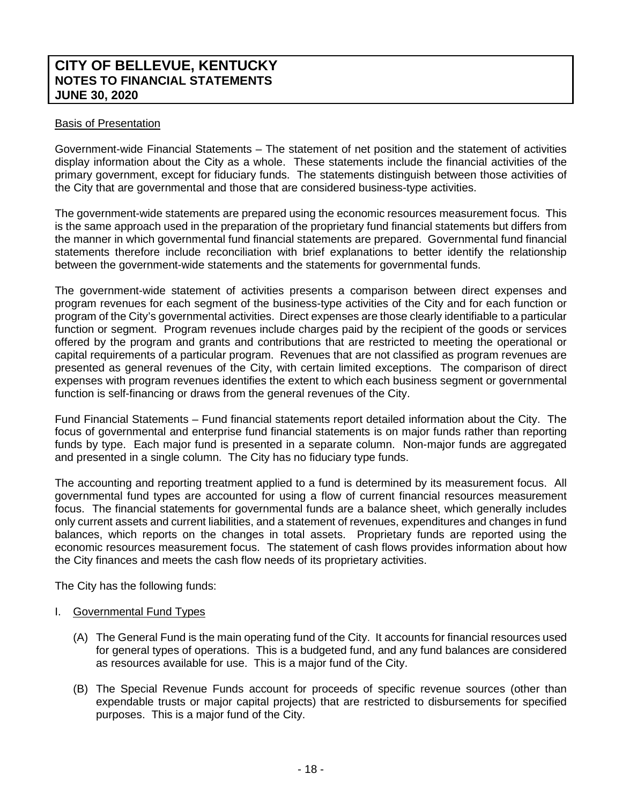#### Basis of Presentation

Government-wide Financial Statements – The statement of net position and the statement of activities display information about the City as a whole. These statements include the financial activities of the primary government, except for fiduciary funds. The statements distinguish between those activities of the City that are governmental and those that are considered business-type activities.

The government-wide statements are prepared using the economic resources measurement focus. This is the same approach used in the preparation of the proprietary fund financial statements but differs from the manner in which governmental fund financial statements are prepared. Governmental fund financial statements therefore include reconciliation with brief explanations to better identify the relationship between the government-wide statements and the statements for governmental funds.

The government-wide statement of activities presents a comparison between direct expenses and program revenues for each segment of the business-type activities of the City and for each function or program of the City's governmental activities. Direct expenses are those clearly identifiable to a particular function or segment. Program revenues include charges paid by the recipient of the goods or services offered by the program and grants and contributions that are restricted to meeting the operational or capital requirements of a particular program. Revenues that are not classified as program revenues are presented as general revenues of the City, with certain limited exceptions. The comparison of direct expenses with program revenues identifies the extent to which each business segment or governmental function is self-financing or draws from the general revenues of the City.

Fund Financial Statements – Fund financial statements report detailed information about the City. The focus of governmental and enterprise fund financial statements is on major funds rather than reporting funds by type. Each major fund is presented in a separate column. Non-major funds are aggregated and presented in a single column. The City has no fiduciary type funds.

The accounting and reporting treatment applied to a fund is determined by its measurement focus. All governmental fund types are accounted for using a flow of current financial resources measurement focus. The financial statements for governmental funds are a balance sheet, which generally includes only current assets and current liabilities, and a statement of revenues, expenditures and changes in fund balances, which reports on the changes in total assets. Proprietary funds are reported using the economic resources measurement focus. The statement of cash flows provides information about how the City finances and meets the cash flow needs of its proprietary activities.

The City has the following funds:

#### I. Governmental Fund Types

- (A) The General Fund is the main operating fund of the City. It accounts for financial resources used for general types of operations. This is a budgeted fund, and any fund balances are considered as resources available for use. This is a major fund of the City.
- (B) The Special Revenue Funds account for proceeds of specific revenue sources (other than expendable trusts or major capital projects) that are restricted to disbursements for specified purposes. This is a major fund of the City.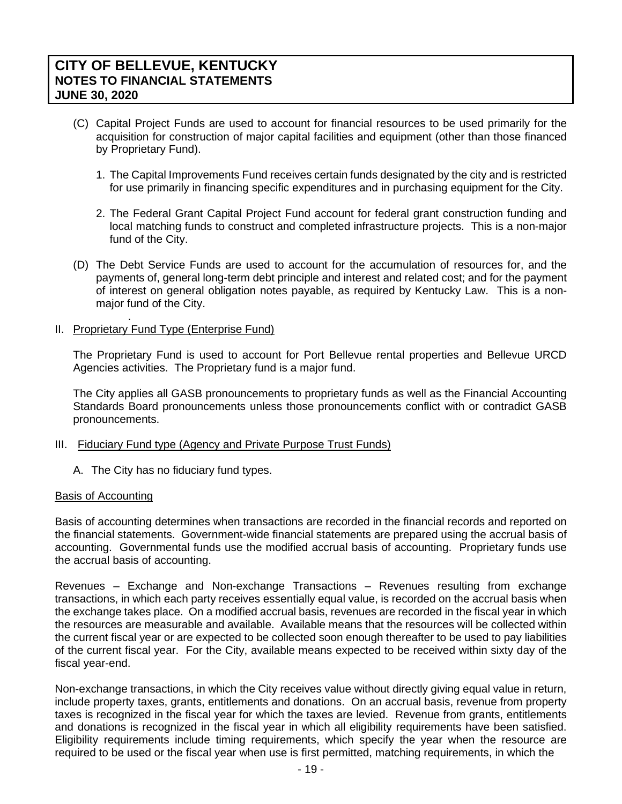- (C) Capital Project Funds are used to account for financial resources to be used primarily for the acquisition for construction of major capital facilities and equipment (other than those financed by Proprietary Fund).
	- 1. The Capital Improvements Fund receives certain funds designated by the city and is restricted for use primarily in financing specific expenditures and in purchasing equipment for the City.
	- 2. The Federal Grant Capital Project Fund account for federal grant construction funding and local matching funds to construct and completed infrastructure projects. This is a non-major fund of the City.
- (D) The Debt Service Funds are used to account for the accumulation of resources for, and the payments of, general long-term debt principle and interest and related cost; and for the payment of interest on general obligation notes payable, as required by Kentucky Law. This is a nonmajor fund of the City.

#### . II. Proprietary Fund Type (Enterprise Fund)

The Proprietary Fund is used to account for Port Bellevue rental properties and Bellevue URCD Agencies activities. The Proprietary fund is a major fund.

The City applies all GASB pronouncements to proprietary funds as well as the Financial Accounting Standards Board pronouncements unless those pronouncements conflict with or contradict GASB pronouncements.

#### III. Fiduciary Fund type (Agency and Private Purpose Trust Funds)

A. The City has no fiduciary fund types.

#### Basis of Accounting

Basis of accounting determines when transactions are recorded in the financial records and reported on the financial statements. Government-wide financial statements are prepared using the accrual basis of accounting. Governmental funds use the modified accrual basis of accounting. Proprietary funds use the accrual basis of accounting.

Revenues – Exchange and Non-exchange Transactions – Revenues resulting from exchange transactions, in which each party receives essentially equal value, is recorded on the accrual basis when the exchange takes place. On a modified accrual basis, revenues are recorded in the fiscal year in which the resources are measurable and available. Available means that the resources will be collected within the current fiscal year or are expected to be collected soon enough thereafter to be used to pay liabilities of the current fiscal year. For the City, available means expected to be received within sixty day of the fiscal year-end.

Non-exchange transactions, in which the City receives value without directly giving equal value in return, include property taxes, grants, entitlements and donations. On an accrual basis, revenue from property taxes is recognized in the fiscal year for which the taxes are levied. Revenue from grants, entitlements and donations is recognized in the fiscal year in which all eligibility requirements have been satisfied. Eligibility requirements include timing requirements, which specify the year when the resource are required to be used or the fiscal year when use is first permitted, matching requirements, in which the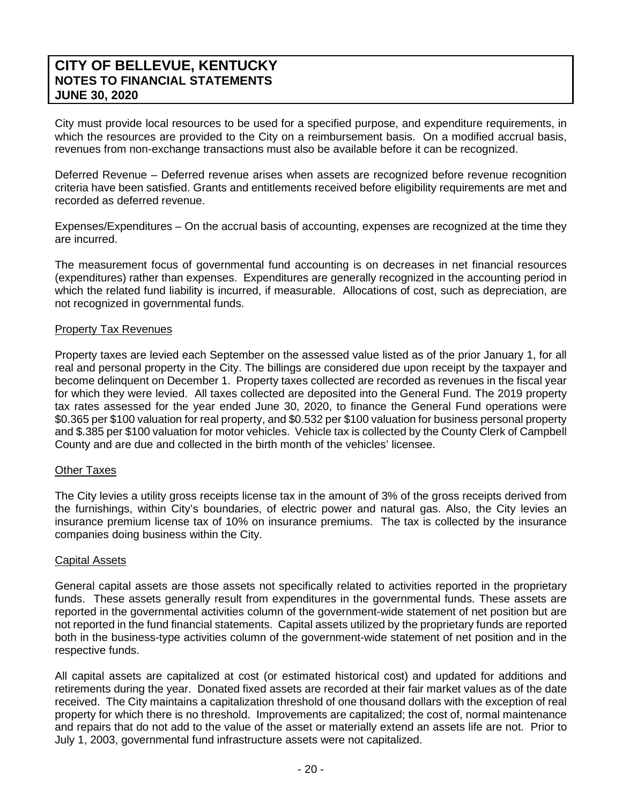City must provide local resources to be used for a specified purpose, and expenditure requirements, in which the resources are provided to the City on a reimbursement basis. On a modified accrual basis, revenues from non-exchange transactions must also be available before it can be recognized.

Deferred Revenue – Deferred revenue arises when assets are recognized before revenue recognition criteria have been satisfied. Grants and entitlements received before eligibility requirements are met and recorded as deferred revenue.

Expenses/Expenditures – On the accrual basis of accounting, expenses are recognized at the time they are incurred.

The measurement focus of governmental fund accounting is on decreases in net financial resources (expenditures) rather than expenses. Expenditures are generally recognized in the accounting period in which the related fund liability is incurred, if measurable. Allocations of cost, such as depreciation, are not recognized in governmental funds.

#### Property Tax Revenues

Property taxes are levied each September on the assessed value listed as of the prior January 1, for all real and personal property in the City. The billings are considered due upon receipt by the taxpayer and become delinquent on December 1. Property taxes collected are recorded as revenues in the fiscal year for which they were levied. All taxes collected are deposited into the General Fund. The 2019 property tax rates assessed for the year ended June 30, 2020, to finance the General Fund operations were \$0.365 per \$100 valuation for real property, and \$0.532 per \$100 valuation for business personal property and \$.385 per \$100 valuation for motor vehicles. Vehicle tax is collected by the County Clerk of Campbell County and are due and collected in the birth month of the vehicles' licensee.

#### Other Taxes

The City levies a utility gross receipts license tax in the amount of 3% of the gross receipts derived from the furnishings, within City's boundaries, of electric power and natural gas. Also, the City levies an insurance premium license tax of 10% on insurance premiums. The tax is collected by the insurance companies doing business within the City.

#### Capital Assets

General capital assets are those assets not specifically related to activities reported in the proprietary funds. These assets generally result from expenditures in the governmental funds. These assets are reported in the governmental activities column of the government-wide statement of net position but are not reported in the fund financial statements. Capital assets utilized by the proprietary funds are reported both in the business-type activities column of the government-wide statement of net position and in the respective funds.

All capital assets are capitalized at cost (or estimated historical cost) and updated for additions and retirements during the year. Donated fixed assets are recorded at their fair market values as of the date received. The City maintains a capitalization threshold of one thousand dollars with the exception of real property for which there is no threshold. Improvements are capitalized; the cost of, normal maintenance and repairs that do not add to the value of the asset or materially extend an assets life are not. Prior to July 1, 2003, governmental fund infrastructure assets were not capitalized.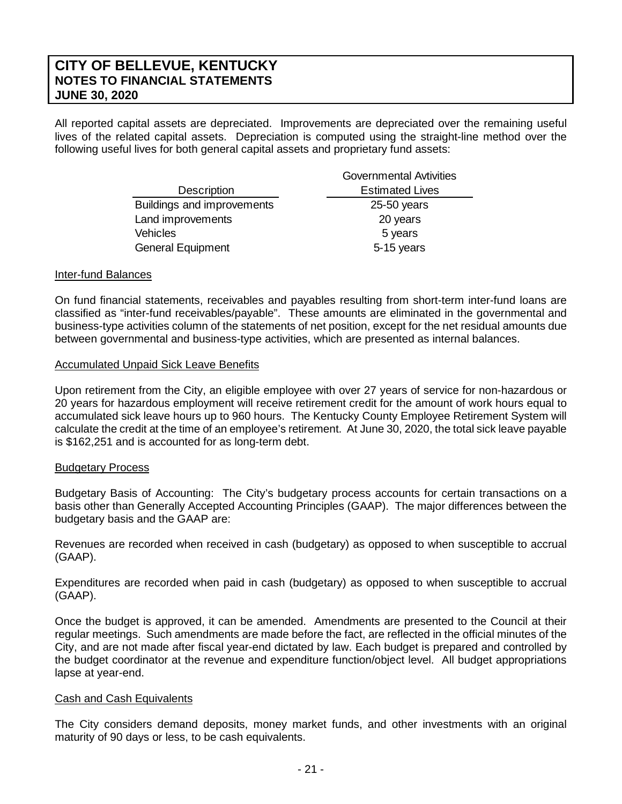All reported capital assets are depreciated. Improvements are depreciated over the remaining useful lives of the related capital assets. Depreciation is computed using the straight-line method over the following useful lives for both general capital assets and proprietary fund assets:

|                                   | <b>Governmental Avtivities</b> |
|-----------------------------------|--------------------------------|
| <b>Description</b>                | <b>Estimated Lives</b>         |
| <b>Buildings and improvements</b> | $25-50$ years                  |
| Land improvements                 | 20 years                       |
| Vehicles                          | 5 years                        |
| <b>General Equipment</b>          | 5-15 years                     |

#### Inter-fund Balances

On fund financial statements, receivables and payables resulting from short-term inter-fund loans are classified as "inter-fund receivables/payable". These amounts are eliminated in the governmental and business-type activities column of the statements of net position, except for the net residual amounts due between governmental and business-type activities, which are presented as internal balances.

#### **Accumulated Unpaid Sick Leave Benefits**

Upon retirement from the City, an eligible employee with over 27 years of service for non-hazardous or 20 years for hazardous employment will receive retirement credit for the amount of work hours equal to accumulated sick leave hours up to 960 hours. The Kentucky County Employee Retirement System will calculate the credit at the time of an employee's retirement. At June 30, 2020, the total sick leave payable is \$162,251 and is accounted for as long-term debt.

#### Budgetary Process

Budgetary Basis of Accounting: The City's budgetary process accounts for certain transactions on a basis other than Generally Accepted Accounting Principles (GAAP). The major differences between the budgetary basis and the GAAP are:

Revenues are recorded when received in cash (budgetary) as opposed to when susceptible to accrual (GAAP).

Expenditures are recorded when paid in cash (budgetary) as opposed to when susceptible to accrual (GAAP).

Once the budget is approved, it can be amended. Amendments are presented to the Council at their regular meetings. Such amendments are made before the fact, are reflected in the official minutes of the City, and are not made after fiscal year-end dictated by law. Each budget is prepared and controlled by the budget coordinator at the revenue and expenditure function/object level. All budget appropriations lapse at year-end.

#### Cash and Cash Equivalents

The City considers demand deposits, money market funds, and other investments with an original maturity of 90 days or less, to be cash equivalents.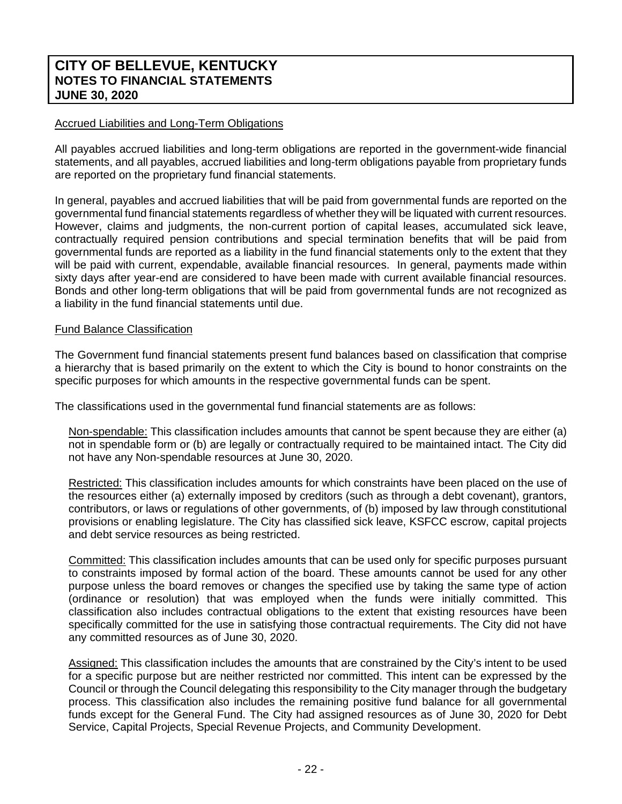#### Accrued Liabilities and Long-Term Obligations

All payables accrued liabilities and long-term obligations are reported in the government-wide financial statements, and all payables, accrued liabilities and long-term obligations payable from proprietary funds are reported on the proprietary fund financial statements.

In general, payables and accrued liabilities that will be paid from governmental funds are reported on the governmental fund financial statements regardless of whether they will be liquated with current resources. However, claims and judgments, the non-current portion of capital leases, accumulated sick leave, contractually required pension contributions and special termination benefits that will be paid from governmental funds are reported as a liability in the fund financial statements only to the extent that they will be paid with current, expendable, available financial resources. In general, payments made within sixty days after year-end are considered to have been made with current available financial resources. Bonds and other long-term obligations that will be paid from governmental funds are not recognized as a liability in the fund financial statements until due.

#### Fund Balance Classification

The Government fund financial statements present fund balances based on classification that comprise a hierarchy that is based primarily on the extent to which the City is bound to honor constraints on the specific purposes for which amounts in the respective governmental funds can be spent.

The classifications used in the governmental fund financial statements are as follows:

Non-spendable: This classification includes amounts that cannot be spent because they are either (a) not in spendable form or (b) are legally or contractually required to be maintained intact. The City did not have any Non-spendable resources at June 30, 2020.

Restricted: This classification includes amounts for which constraints have been placed on the use of the resources either (a) externally imposed by creditors (such as through a debt covenant), grantors, contributors, or laws or regulations of other governments, of (b) imposed by law through constitutional provisions or enabling legislature. The City has classified sick leave, KSFCC escrow, capital projects and debt service resources as being restricted.

Committed: This classification includes amounts that can be used only for specific purposes pursuant to constraints imposed by formal action of the board. These amounts cannot be used for any other purpose unless the board removes or changes the specified use by taking the same type of action (ordinance or resolution) that was employed when the funds were initially committed. This classification also includes contractual obligations to the extent that existing resources have been specifically committed for the use in satisfying those contractual requirements. The City did not have any committed resources as of June 30, 2020.

Assigned: This classification includes the amounts that are constrained by the City's intent to be used for a specific purpose but are neither restricted nor committed. This intent can be expressed by the Council or through the Council delegating this responsibility to the City manager through the budgetary process. This classification also includes the remaining positive fund balance for all governmental funds except for the General Fund. The City had assigned resources as of June 30, 2020 for Debt Service, Capital Projects, Special Revenue Projects, and Community Development.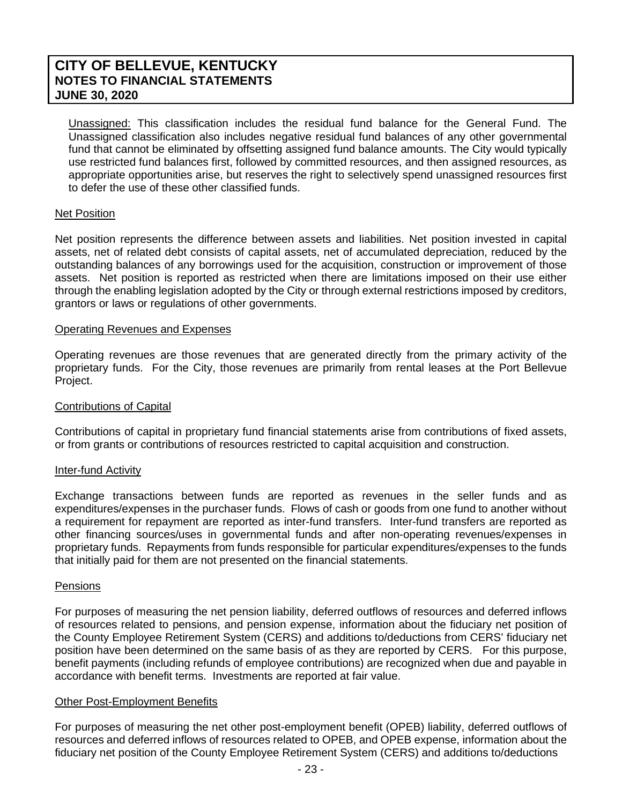Unassigned: This classification includes the residual fund balance for the General Fund. The Unassigned classification also includes negative residual fund balances of any other governmental fund that cannot be eliminated by offsetting assigned fund balance amounts. The City would typically use restricted fund balances first, followed by committed resources, and then assigned resources, as appropriate opportunities arise, but reserves the right to selectively spend unassigned resources first to defer the use of these other classified funds.

#### Net Position

Net position represents the difference between assets and liabilities. Net position invested in capital assets, net of related debt consists of capital assets, net of accumulated depreciation, reduced by the outstanding balances of any borrowings used for the acquisition, construction or improvement of those assets. Net position is reported as restricted when there are limitations imposed on their use either through the enabling legislation adopted by the City or through external restrictions imposed by creditors, grantors or laws or regulations of other governments.

#### Operating Revenues and Expenses

Operating revenues are those revenues that are generated directly from the primary activity of the proprietary funds. For the City, those revenues are primarily from rental leases at the Port Bellevue Project.

#### Contributions of Capital

Contributions of capital in proprietary fund financial statements arise from contributions of fixed assets, or from grants or contributions of resources restricted to capital acquisition and construction.

#### Inter-fund Activity

Exchange transactions between funds are reported as revenues in the seller funds and as expenditures/expenses in the purchaser funds. Flows of cash or goods from one fund to another without a requirement for repayment are reported as inter-fund transfers. Inter-fund transfers are reported as other financing sources/uses in governmental funds and after non-operating revenues/expenses in proprietary funds. Repayments from funds responsible for particular expenditures/expenses to the funds that initially paid for them are not presented on the financial statements.

#### Pensions

For purposes of measuring the net pension liability, deferred outflows of resources and deferred inflows of resources related to pensions, and pension expense, information about the fiduciary net position of the County Employee Retirement System (CERS) and additions to/deductions from CERS' fiduciary net position have been determined on the same basis of as they are reported by CERS. For this purpose, benefit payments (including refunds of employee contributions) are recognized when due and payable in accordance with benefit terms. Investments are reported at fair value.

#### Other Post-Employment Benefits

For purposes of measuring the net other post-employment benefit (OPEB) liability, deferred outflows of resources and deferred inflows of resources related to OPEB, and OPEB expense, information about the fiduciary net position of the County Employee Retirement System (CERS) and additions to/deductions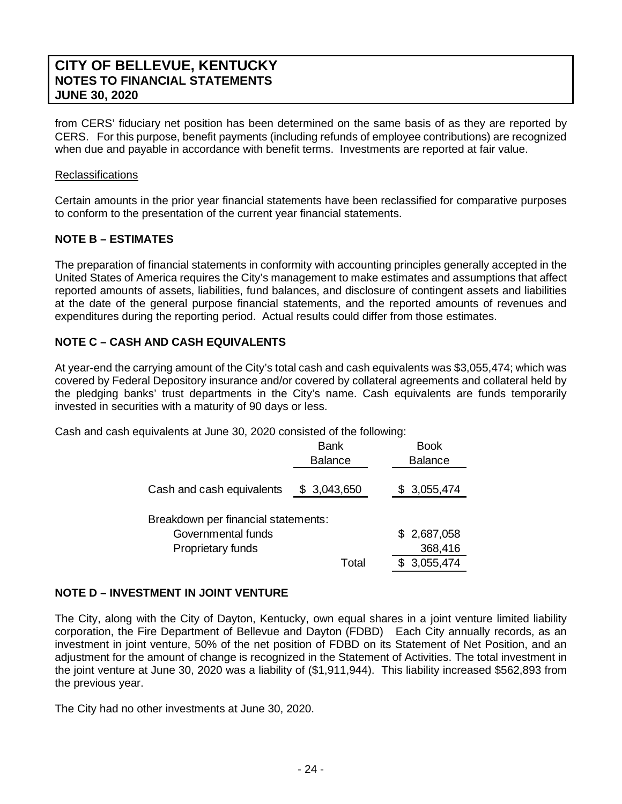from CERS' fiduciary net position has been determined on the same basis of as they are reported by CERS. For this purpose, benefit payments (including refunds of employee contributions) are recognized when due and payable in accordance with benefit terms. Investments are reported at fair value.

#### **Reclassifications**

Certain amounts in the prior year financial statements have been reclassified for comparative purposes to conform to the presentation of the current year financial statements.

#### **NOTE B – ESTIMATES**

The preparation of financial statements in conformity with accounting principles generally accepted in the United States of America requires the City's management to make estimates and assumptions that affect reported amounts of assets, liabilities, fund balances, and disclosure of contingent assets and liabilities at the date of the general purpose financial statements, and the reported amounts of revenues and expenditures during the reporting period. Actual results could differ from those estimates.

### **NOTE C – CASH AND CASH EQUIVALENTS**

At year-end the carrying amount of the City's total cash and cash equivalents was \$3,055,474; which was covered by Federal Depository insurance and/or covered by collateral agreements and collateral held by the pledging banks' trust departments in the City's name. Cash equivalents are funds temporarily invested in securities with a maturity of 90 days or less.

Cash and cash equivalents at June 30, 2020 consisted of the following:

|                                     | <b>Bank</b>    | <b>Book</b>    |
|-------------------------------------|----------------|----------------|
|                                     | <b>Balance</b> | <b>Balance</b> |
|                                     |                |                |
| Cash and cash equivalents           | \$3,043,650    | \$3,055,474    |
|                                     |                |                |
| Breakdown per financial statements: |                |                |
| Governmental funds                  |                | \$2,687,058    |
| Proprietary funds                   |                | 368,416        |
|                                     | Total          | 3,055,474      |

### **NOTE D – INVESTMENT IN JOINT VENTURE**

The City, along with the City of Dayton, Kentucky, own equal shares in a joint venture limited liability corporation, the Fire Department of Bellevue and Dayton (FDBD) Each City annually records, as an investment in joint venture, 50% of the net position of FDBD on its Statement of Net Position, and an adjustment for the amount of change is recognized in the Statement of Activities. The total investment in the joint venture at June 30, 2020 was a liability of (\$1,911,944). This liability increased \$562,893 from the previous year.

The City had no other investments at June 30, 2020.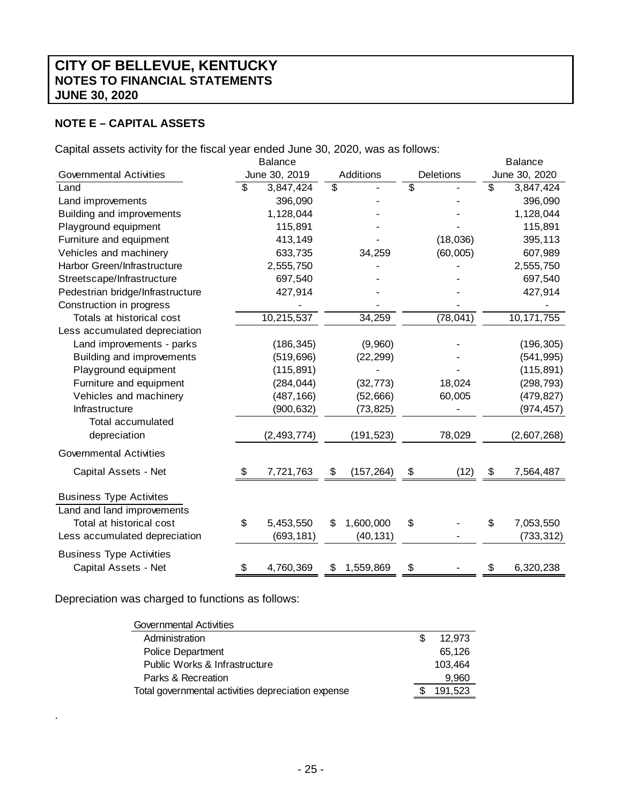### **NOTE E – CAPITAL ASSETS**

Capital assets activity for the fiscal year ended June 30, 2020, was as follows:

|                                  |     | <b>Balance</b> |                  |                          |           | <b>Balance</b>  |
|----------------------------------|-----|----------------|------------------|--------------------------|-----------|-----------------|
| <b>Governmental Activities</b>   |     | June 30, 2019  | Additions        |                          | Deletions | June 30, 2020   |
| Land                             | \$. | 3,847,424      | \$               | $\overline{\mathcal{G}}$ |           | \$<br>3,847,424 |
| Land improvements                |     | 396,090        |                  |                          |           | 396,090         |
| Building and improvements        |     | 1,128,044      |                  |                          |           | 1,128,044       |
| Playground equipment             |     | 115,891        |                  |                          |           | 115,891         |
| Furniture and equipment          |     | 413,149        |                  |                          | (18,036)  | 395,113         |
| Vehicles and machinery           |     | 633,735        | 34,259           |                          | (60,005)  | 607,989         |
| Harbor Green/Infrastructure      |     | 2,555,750      |                  |                          |           | 2,555,750       |
| Streetscape/Infrastructure       |     | 697,540        |                  |                          |           | 697,540         |
| Pedestrian bridge/Infrastructure |     | 427,914        |                  |                          |           | 427,914         |
| Construction in progress         |     |                |                  |                          |           |                 |
| Totals at historical cost        |     | 10,215,537     | 34,259           |                          | (78, 041) | 10, 171, 755    |
| Less accumulated depreciation    |     |                |                  |                          |           |                 |
| Land improvements - parks        |     | (186, 345)     | (9,960)          |                          |           | (196, 305)      |
| Building and improvements        |     | (519, 696)     | (22, 299)        |                          |           | (541, 995)      |
| Playground equipment             |     | (115, 891)     |                  |                          |           | (115, 891)      |
| Furniture and equipment          |     | (284, 044)     | (32, 773)        |                          | 18,024    | (298, 793)      |
| Vehicles and machinery           |     | (487, 166)     | (52,666)         |                          | 60,005    | (479, 827)      |
| Infrastructure                   |     | (900, 632)     | (73, 825)        |                          |           | (974, 457)      |
| Total accumulated                |     |                |                  |                          |           |                 |
| depreciation                     |     | (2, 493, 774)  | (191, 523)       |                          | 78,029    | (2,607,268)     |
| <b>Governmental Activities</b>   |     |                |                  |                          |           |                 |
| Capital Assets - Net             | \$  | 7,721,763      | \$<br>(157, 264) | \$                       | (12)      | \$<br>7,564,487 |
| <b>Business Type Activites</b>   |     |                |                  |                          |           |                 |
| Land and land improvements       |     |                |                  |                          |           |                 |
| Total at historical cost         | \$  | 5,453,550      | \$<br>1,600,000  | \$                       |           | \$<br>7,053,550 |
|                                  |     |                |                  |                          |           |                 |
| Less accumulated depreciation    |     | (693, 181)     | (40, 131)        |                          |           | (733, 312)      |
| <b>Business Type Activities</b>  |     |                |                  |                          |           |                 |
| Capital Assets - Net             | \$  | 4,760,369      | \$<br>1,559,869  | \$                       |           | \$<br>6,320,238 |

Depreciation was charged to functions as follows:

.

| Governmental Activities                            |         |
|----------------------------------------------------|---------|
| Administration                                     | 12.973  |
| <b>Police Department</b>                           | 65.126  |
| Public Works & Infrastructure                      | 103.464 |
| Parks & Recreation                                 | 9.960   |
| Total governmental activities depreciation expense | 191.523 |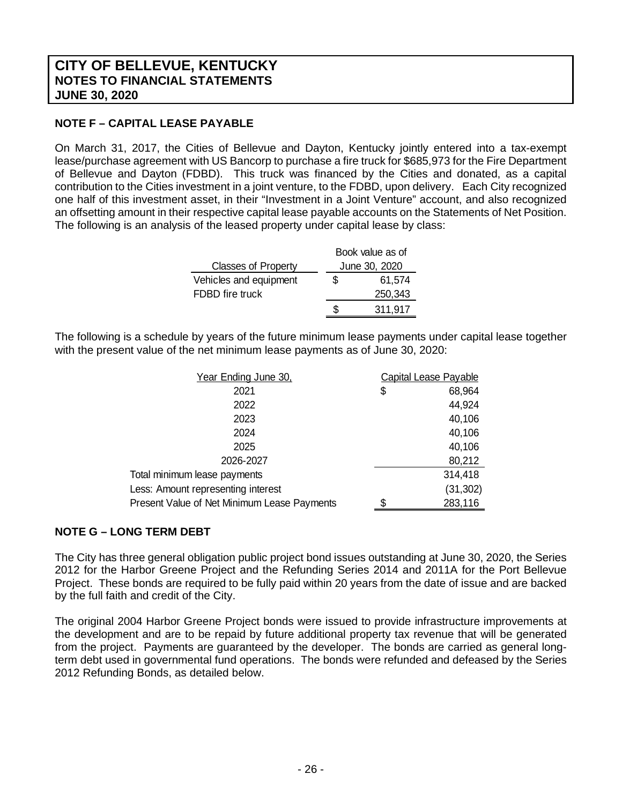### **NOTE F – CAPITAL LEASE PAYABLE**

On March 31, 2017, the Cities of Bellevue and Dayton, Kentucky jointly entered into a tax-exempt lease/purchase agreement with US Bancorp to purchase a fire truck for \$685,973 for the Fire Department of Bellevue and Dayton (FDBD). This truck was financed by the Cities and donated, as a capital contribution to the Cities investment in a joint venture, to the FDBD, upon delivery. Each City recognized one half of this investment asset, in their "Investment in a Joint Venture" account, and also recognized an offsetting amount in their respective capital lease payable accounts on the Statements of Net Position. The following is an analysis of the leased property under capital lease by class:

|                            |   | Book value as of |
|----------------------------|---|------------------|
| <b>Classes of Property</b> |   | June 30, 2020    |
| Vehicles and equipment     | S | 61,574           |
| FDBD fire truck            |   | 250,343          |
|                            |   | 311,917          |

The following is a schedule by years of the future minimum lease payments under capital lease together with the present value of the net minimum lease payments as of June 30, 2020:

| Year Ending June 30,                        | <b>Capital Lease Payable</b> |
|---------------------------------------------|------------------------------|
| 2021                                        | \$<br>68,964                 |
| 2022                                        | 44,924                       |
| 2023                                        | 40,106                       |
| 2024                                        | 40,106                       |
| 2025                                        | 40,106                       |
| 2026-2027                                   | 80,212                       |
| Total minimum lease payments                | 314,418                      |
| Less: Amount representing interest          | (31, 302)                    |
| Present Value of Net Minimum Lease Payments | \$<br>283,116                |

#### **NOTE G – LONG TERM DEBT**

The City has three general obligation public project bond issues outstanding at June 30, 2020, the Series 2012 for the Harbor Greene Project and the Refunding Series 2014 and 2011A for the Port Bellevue Project. These bonds are required to be fully paid within 20 years from the date of issue and are backed by the full faith and credit of the City.

The original 2004 Harbor Greene Project bonds were issued to provide infrastructure improvements at the development and are to be repaid by future additional property tax revenue that will be generated from the project. Payments are guaranteed by the developer. The bonds are carried as general longterm debt used in governmental fund operations. The bonds were refunded and defeased by the Series 2012 Refunding Bonds, as detailed below.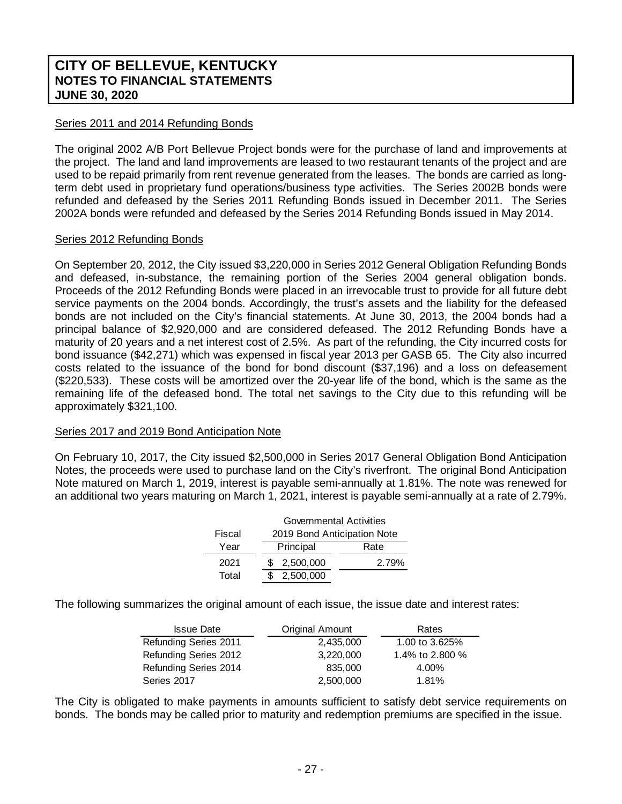#### Series 2011 and 2014 Refunding Bonds

The original 2002 A/B Port Bellevue Project bonds were for the purchase of land and improvements at the project. The land and land improvements are leased to two restaurant tenants of the project and are used to be repaid primarily from rent revenue generated from the leases. The bonds are carried as longterm debt used in proprietary fund operations/business type activities. The Series 2002B bonds were refunded and defeased by the Series 2011 Refunding Bonds issued in December 2011. The Series 2002A bonds were refunded and defeased by the Series 2014 Refunding Bonds issued in May 2014.

#### Series 2012 Refunding Bonds

On September 20, 2012, the City issued \$3,220,000 in Series 2012 General Obligation Refunding Bonds and defeased, in-substance, the remaining portion of the Series 2004 general obligation bonds. Proceeds of the 2012 Refunding Bonds were placed in an irrevocable trust to provide for all future debt service payments on the 2004 bonds. Accordingly, the trust's assets and the liability for the defeased bonds are not included on the City's financial statements. At June 30, 2013, the 2004 bonds had a principal balance of \$2,920,000 and are considered defeased. The 2012 Refunding Bonds have a maturity of 20 years and a net interest cost of 2.5%. As part of the refunding, the City incurred costs for bond issuance (\$42,271) which was expensed in fiscal year 2013 per GASB 65. The City also incurred costs related to the issuance of the bond for bond discount (\$37,196) and a loss on defeasement (\$220,533). These costs will be amortized over the 20-year life of the bond, which is the same as the remaining life of the defeased bond. The total net savings to the City due to this refunding will be approximately \$321,100.

#### Series 2017 and 2019 Bond Anticipation Note

On February 10, 2017, the City issued \$2,500,000 in Series 2017 General Obligation Bond Anticipation Notes, the proceeds were used to purchase land on the City's riverfront. The original Bond Anticipation Note matured on March 1, 2019, interest is payable semi-annually at 1.81%. The note was renewed for an additional two years maturing on March 1, 2021, interest is payable semi-annually at a rate of 2.79%.

|        | <b>Governmental Activities</b> |       |  |  |  |  |  |
|--------|--------------------------------|-------|--|--|--|--|--|
| Fiscal | 2019 Bond Anticipation Note    |       |  |  |  |  |  |
| Year   | Principal                      | Rate  |  |  |  |  |  |
| 2021   | \$2,500,000                    | 2.79% |  |  |  |  |  |
| Total  | 2,500,000                      |       |  |  |  |  |  |

The following summarizes the original amount of each issue, the issue date and interest rates:

| <b>Issue Date</b>     | <b>Original Amount</b> | Rates           |
|-----------------------|------------------------|-----------------|
| Refunding Series 2011 | 2,435,000              | 1.00 to 3.625%  |
| Refunding Series 2012 | 3,220,000              | 1.4% to 2.800 % |
| Refunding Series 2014 | 835,000                | 4.00%           |
| Series 2017           | 2,500,000              | 1.81%           |

The City is obligated to make payments in amounts sufficient to satisfy debt service requirements on bonds. The bonds may be called prior to maturity and redemption premiums are specified in the issue.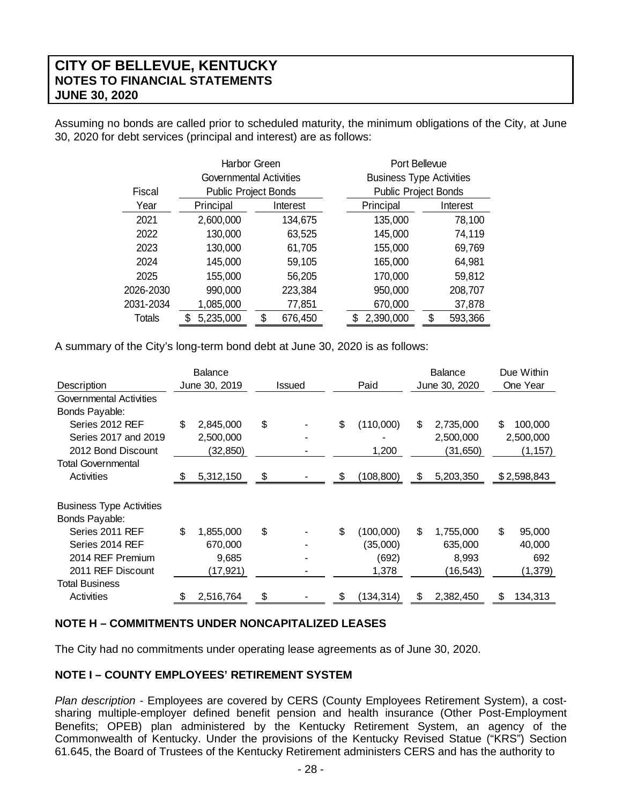Assuming no bonds are called prior to scheduled maturity, the minimum obligations of the City, at June 30, 2020 for debt services (principal and interest) are as follows:

|           |           | Harbor Green                | Port Bellevue                   |          |  |
|-----------|-----------|-----------------------------|---------------------------------|----------|--|
|           |           | Governmental Activities     | <b>Business Type Activities</b> |          |  |
| Fiscal    |           | <b>Public Project Bonds</b> | <b>Public Project Bonds</b>     |          |  |
| Year      | Principal | Interest                    | Principal                       | Interest |  |
| 2021      | 2,600,000 | 134,675                     | 135,000                         | 78,100   |  |
| 2022      | 130,000   | 63,525                      | 145,000                         | 74,119   |  |
| 2023      | 130,000   | 61,705                      | 155,000                         | 69,769   |  |
| 2024      | 145,000   | 59,105                      | 165,000                         | 64,981   |  |
| 2025      | 155,000   | 56,205                      | 170,000                         | 59,812   |  |
| 2026-2030 | 990,000   | 223,384                     | 950,000                         | 208,707  |  |
| 2031-2034 | 1,085,000 | 77,851                      | 670,000                         | 37,878   |  |
| Totals    | 5,235,000 | 676,450                     | 2,390,000                       | 593,366  |  |

A summary of the City's long-term bond debt at June 30, 2020 is as follows:

|                                 |    | <b>Balance</b> |        |    |            | <b>Balance</b>  | Due Within    |
|---------------------------------|----|----------------|--------|----|------------|-----------------|---------------|
| Description                     |    | June 30, 2019  | Issued |    | Paid       | June 30, 2020   | One Year      |
| Governmental Activities         |    |                |        |    |            |                 |               |
| Bonds Payable:                  |    |                |        |    |            |                 |               |
| Series 2012 REF                 | \$ | 2,845,000      | \$     | \$ | (110,000)  | \$<br>2,735,000 | \$<br>100,000 |
| Series 2017 and 2019            |    | 2,500,000      |        |    |            | 2,500,000       | 2,500,000     |
| 2012 Bond Discount              |    | (32, 850)      |        |    | 1,200      | (31, 650)       | (1, 157)      |
| <b>Total Governmental</b>       |    |                |        |    |            |                 |               |
| Activities                      | S  | 5,312,150      | \$     | S  | (108, 800) | \$<br>5,203,350 | \$2,598,843   |
|                                 |    |                |        |    |            |                 |               |
| <b>Business Type Activities</b> |    |                |        |    |            |                 |               |
| Bonds Payable:                  |    |                |        |    |            |                 |               |
| Series 2011 REF                 | \$ | 1,855,000      | \$     | \$ | (100,000)  | \$<br>1,755,000 | \$<br>95,000  |
| Series 2014 REF                 |    | 670,000        |        |    | (35,000)   | 635,000         | 40,000        |
| 2014 REF Premium                |    | 9,685          |        |    | (692)      | 8,993           | 692           |
| 2011 REF Discount               |    | (17,921)       |        |    | 1,378      | (16, 543)       | (1, 379)      |
| <b>Total Business</b>           |    |                |        |    |            |                 |               |
| Activities                      | \$ | 2,516,764      | \$     | \$ | (134, 314) | \$<br>2,382,450 | \$<br>134,313 |

#### **NOTE H – COMMITMENTS UNDER NONCAPITALIZED LEASES**

The City had no commitments under operating lease agreements as of June 30, 2020.

#### **NOTE I – COUNTY EMPLOYEES' RETIREMENT SYSTEM**

*Plan description -* Employees are covered by CERS (County Employees Retirement System), a costsharing multiple-employer defined benefit pension and health insurance (Other Post-Employment Benefits; OPEB) plan administered by the Kentucky Retirement System, an agency of the Commonwealth of Kentucky. Under the provisions of the Kentucky Revised Statue ("KRS") Section 61.645, the Board of Trustees of the Kentucky Retirement administers CERS and has the authority to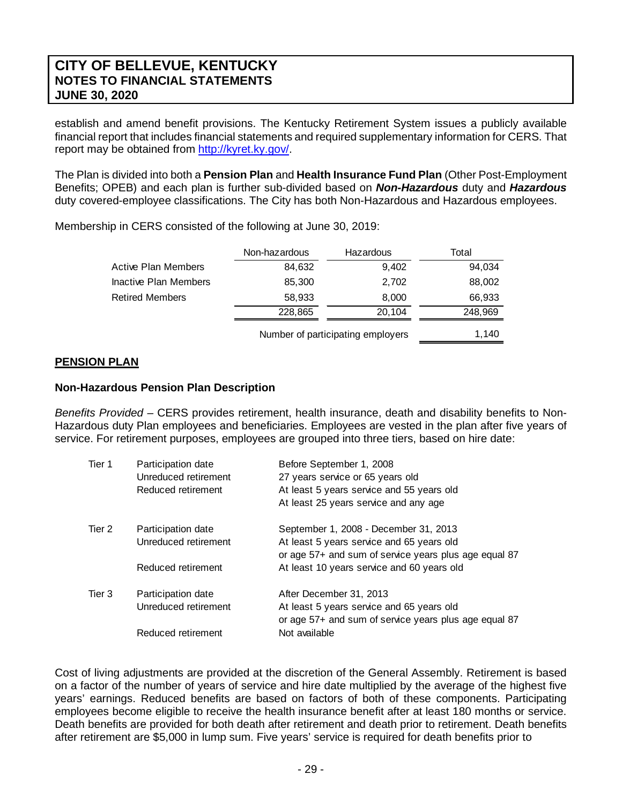establish and amend benefit provisions. The Kentucky Retirement System issues a publicly available financial report that includes financial statements and required supplementary information for CERS. That report may be obtained from http://kyret.ky.gov/.

The Plan is divided into both a **Pension Plan** and **Health Insurance Fund Plan** (Other Post-Employment Benefits; OPEB) and each plan is further sub-divided based on *Non-Hazardous* duty and *Hazardous* duty covered-employee classifications. The City has both Non-Hazardous and Hazardous employees.

Membership in CERS consisted of the following at June 30, 2019:

|                        | Non-hazardous | Hazardous                         | Total   |
|------------------------|---------------|-----------------------------------|---------|
| Active Plan Members    | 84,632        | 9,402                             | 94,034  |
| Inactive Plan Members  | 85,300        | 2,702                             | 88,002  |
| <b>Retired Members</b> | 58,933        | 8,000                             | 66,933  |
|                        | 228,865       | 20,104                            | 248,969 |
|                        |               | Number of participating employers | 1.140   |

#### **PENSION PLAN**

#### **Non-Hazardous Pension Plan Description**

*Benefits Provided –* CERS provides retirement, health insurance, death and disability benefits to Non-Hazardous duty Plan employees and beneficiaries. Employees are vested in the plan after five years of service. For retirement purposes, employees are grouped into three tiers, based on hire date:

| Tier 1 | Participation date<br>Unreduced retirement<br>Reduced retirement | Before September 1, 2008<br>27 years service or 65 years old<br>At least 5 years service and 55 years old<br>At least 25 years service and any age |
|--------|------------------------------------------------------------------|----------------------------------------------------------------------------------------------------------------------------------------------------|
| Tier 2 | Participation date                                               | September 1, 2008 - December 31, 2013                                                                                                              |
|        | Unreduced retirement                                             | At least 5 years service and 65 years old<br>or age 57+ and sum of service years plus age equal 87                                                 |
|        | Reduced retirement                                               | At least 10 years service and 60 years old                                                                                                         |
| Tier 3 | Participation date                                               | After December 31, 2013                                                                                                                            |
|        | Unreduced retirement                                             | At least 5 years service and 65 years old<br>or age 57+ and sum of service years plus age equal 87                                                 |
|        | Reduced retirement                                               | Not available                                                                                                                                      |

Cost of living adjustments are provided at the discretion of the General Assembly. Retirement is based on a factor of the number of years of service and hire date multiplied by the average of the highest five years' earnings. Reduced benefits are based on factors of both of these components. Participating employees become eligible to receive the health insurance benefit after at least 180 months or service. Death benefits are provided for both death after retirement and death prior to retirement. Death benefits after retirement are \$5,000 in lump sum. Five years' service is required for death benefits prior to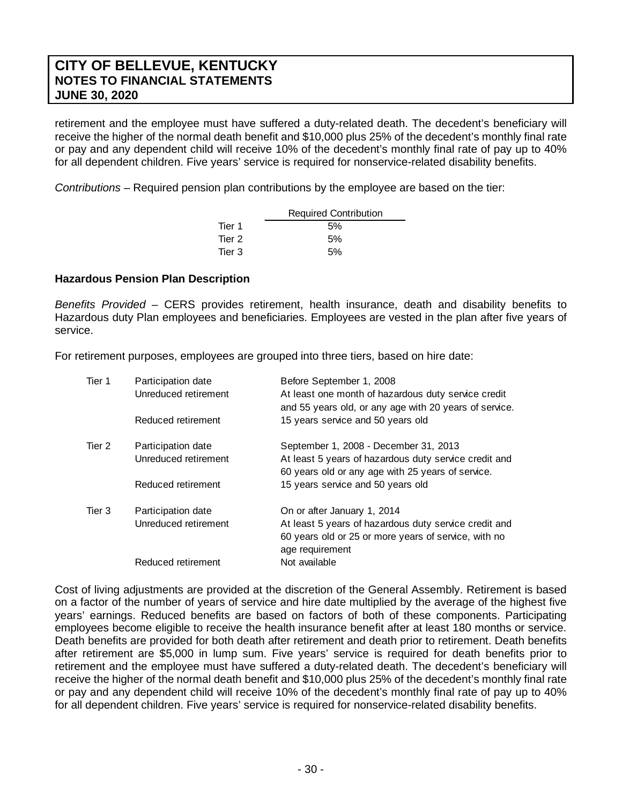retirement and the employee must have suffered a duty-related death. The decedent's beneficiary will receive the higher of the normal death benefit and \$10,000 plus 25% of the decedent's monthly final rate or pay and any dependent child will receive 10% of the decedent's monthly final rate of pay up to 40% for all dependent children. Five years' service is required for nonservice-related disability benefits.

*Contributions –* Required pension plan contributions by the employee are based on the tier:

|        | <b>Required Contribution</b> |
|--------|------------------------------|
| Tier 1 | 5%                           |
| Tier 2 | 5%                           |
| Tier 3 | 5%                           |

#### **Hazardous Pension Plan Description**

*Benefits Provided –* CERS provides retirement, health insurance, death and disability benefits to Hazardous duty Plan employees and beneficiaries. Employees are vested in the plan after five years of service.

For retirement purposes, employees are grouped into three tiers, based on hire date:

| Tier 1 | Participation date<br>Unreduced retirement | Before September 1, 2008<br>At least one month of hazardous duty service credit<br>and 55 years old, or any age with 20 years of service. |
|--------|--------------------------------------------|-------------------------------------------------------------------------------------------------------------------------------------------|
|        | Reduced retirement                         | 15 years service and 50 years old                                                                                                         |
| Tier 2 | Participation date                         | September 1, 2008 - December 31, 2013                                                                                                     |
|        | Unreduced retirement                       | At least 5 years of hazardous duty service credit and<br>60 years old or any age with 25 years of service.                                |
|        | Reduced retirement                         | 15 years service and 50 years old                                                                                                         |
| Tier 3 | Participation date                         | On or after January 1, 2014                                                                                                               |
|        | Unreduced retirement                       | At least 5 years of hazardous duty service credit and<br>60 years old or 25 or more years of service, with no<br>age requirement          |
|        | Reduced retirement                         | Not available                                                                                                                             |

Cost of living adjustments are provided at the discretion of the General Assembly. Retirement is based on a factor of the number of years of service and hire date multiplied by the average of the highest five years' earnings. Reduced benefits are based on factors of both of these components. Participating employees become eligible to receive the health insurance benefit after at least 180 months or service. Death benefits are provided for both death after retirement and death prior to retirement. Death benefits after retirement are \$5,000 in lump sum. Five years' service is required for death benefits prior to retirement and the employee must have suffered a duty-related death. The decedent's beneficiary will receive the higher of the normal death benefit and \$10,000 plus 25% of the decedent's monthly final rate or pay and any dependent child will receive 10% of the decedent's monthly final rate of pay up to 40% for all dependent children. Five years' service is required for nonservice-related disability benefits.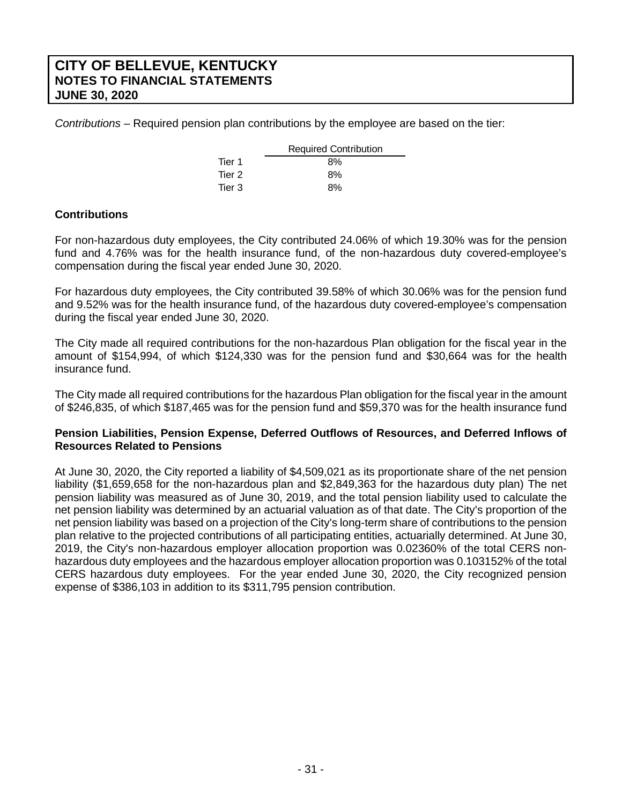*Contributions –* Required pension plan contributions by the employee are based on the tier:

|        | <b>Required Contribution</b> |  |
|--------|------------------------------|--|
| Tier 1 | 8%                           |  |
| Tier 2 | 8%                           |  |
| Tier 3 | 8%                           |  |

#### **Contributions**

For non-hazardous duty employees, the City contributed 24.06% of which 19.30% was for the pension fund and 4.76% was for the health insurance fund, of the non-hazardous duty covered-employee's compensation during the fiscal year ended June 30, 2020.

For hazardous duty employees, the City contributed 39.58% of which 30.06% was for the pension fund and 9.52% was for the health insurance fund, of the hazardous duty covered-employee's compensation during the fiscal year ended June 30, 2020.

The City made all required contributions for the non-hazardous Plan obligation for the fiscal year in the amount of \$154,994, of which \$124,330 was for the pension fund and \$30,664 was for the health insurance fund.

The City made all required contributions for the hazardous Plan obligation for the fiscal year in the amount of \$246,835, of which \$187,465 was for the pension fund and \$59,370 was for the health insurance fund

#### **Pension Liabilities, Pension Expense, Deferred Outflows of Resources, and Deferred Inflows of Resources Related to Pensions**

At June 30, 2020, the City reported a liability of \$4,509,021 as its proportionate share of the net pension liability (\$1,659,658 for the non-hazardous plan and \$2,849,363 for the hazardous duty plan) The net pension liability was measured as of June 30, 2019, and the total pension liability used to calculate the net pension liability was determined by an actuarial valuation as of that date. The City's proportion of the net pension liability was based on a projection of the City's long-term share of contributions to the pension plan relative to the projected contributions of all participating entities, actuarially determined. At June 30, 2019, the City's non-hazardous employer allocation proportion was 0.02360% of the total CERS nonhazardous duty employees and the hazardous employer allocation proportion was 0.103152% of the total CERS hazardous duty employees. For the year ended June 30, 2020, the City recognized pension expense of \$386,103 in addition to its \$311,795 pension contribution.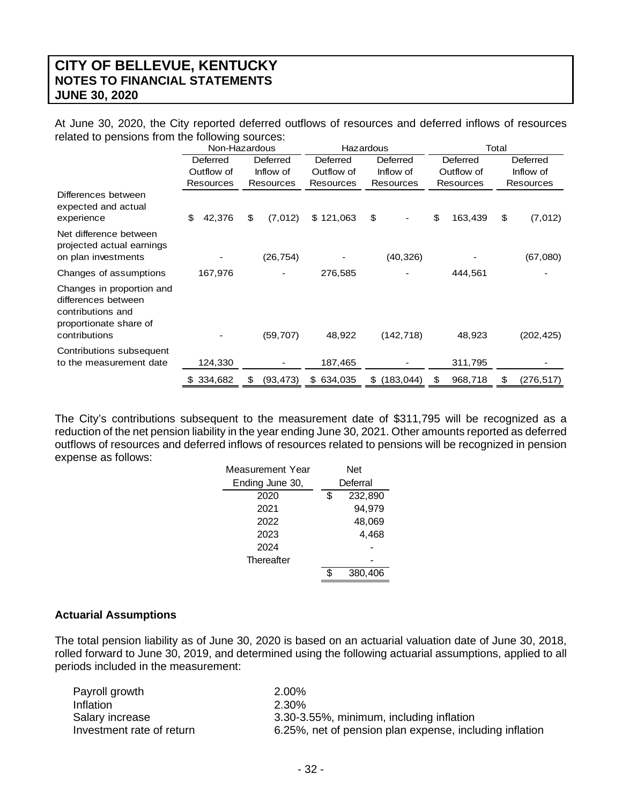At June 30, 2020, the City reported deferred outflows of resources and deferred inflows of resources related to pensions from the following sources:

|                                                                                                 | Non-Hazardous        |                  | Hazardous       |                  |    | Total            |    |            |    |                  |
|-------------------------------------------------------------------------------------------------|----------------------|------------------|-----------------|------------------|----|------------------|----|------------|----|------------------|
|                                                                                                 | Deferred<br>Deferred |                  | Deferred        | Deferred         |    | Deferred         |    | Deferred   |    |                  |
|                                                                                                 |                      | Outflow of       | Inflow of       | Outflow of       |    | Inflow of        |    | Outflow of |    | Inflow of        |
|                                                                                                 |                      | <b>Resources</b> | Resources       | <b>Resources</b> |    | <b>Resources</b> |    | Resources  |    | <b>Resources</b> |
| Differences between<br>expected and actual<br>experience                                        | \$                   | 42,376           | \$<br>(7, 012)  | \$121,063        | \$ |                  | \$ | 163,439    | \$ | (7, 012)         |
| Net difference between<br>projected actual earnings<br>on plan investments                      |                      |                  | (26, 754)       |                  |    | (40, 326)        |    |            |    | (67,080)         |
| Changes of assumptions                                                                          |                      | 167,976          |                 | 276,585          |    |                  |    | 444,561    |    |                  |
| Changes in proportion and<br>differences between<br>contributions and<br>proportionate share of |                      |                  |                 |                  |    |                  |    |            |    |                  |
| contributions                                                                                   |                      |                  | (59, 707)       | 48,922           |    | (142, 718)       |    | 48,923     |    | (202, 425)       |
| Contributions subsequent<br>to the measurement date                                             |                      | 124,330          |                 | 187,465          |    |                  |    | 311,795    |    |                  |
|                                                                                                 | \$.                  | 334,682          | \$<br>(93, 473) | 634,035<br>\$.   |    | \$(183,044)      | \$ | 968,718    | \$ | (276, 517)       |

The City's contributions subsequent to the measurement date of \$311,795 will be recognized as a reduction of the net pension liability in the year ending June 30, 2021. Other amounts reported as deferred outflows of resources and deferred inflows of resources related to pensions will be recognized in pension expense as follows:

| Measurement Year | Net           |
|------------------|---------------|
| Ending June 30,  | Deferral      |
| 2020             | \$<br>232,890 |
| 2021             | 94,979        |
| 2022             | 48,069        |
| 2023             | 4,468         |
| 2024             |               |
| Thereafter       |               |
|                  | 380,406       |

#### **Actuarial Assumptions**

The total pension liability as of June 30, 2020 is based on an actuarial valuation date of June 30, 2018, rolled forward to June 30, 2019, and determined using the following actuarial assumptions, applied to all periods included in the measurement:

| Payroll growth            | $2.00\%$                                                |
|---------------------------|---------------------------------------------------------|
| Inflation                 | 2.30%                                                   |
| Salary increase           | 3.30-3.55%, minimum, including inflation                |
| Investment rate of return | 6.25%, net of pension plan expense, including inflation |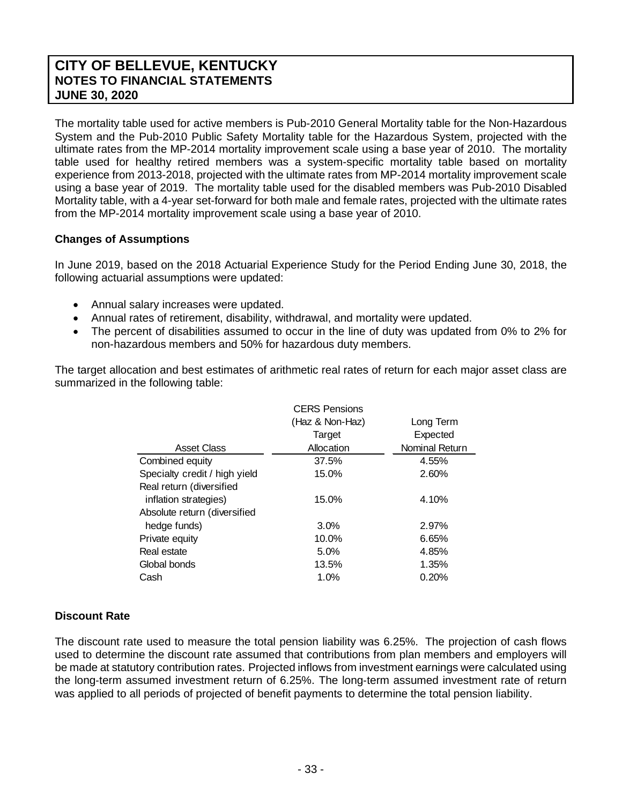The mortality table used for active members is Pub-2010 General Mortality table for the Non-Hazardous System and the Pub-2010 Public Safety Mortality table for the Hazardous System, projected with the ultimate rates from the MP-2014 mortality improvement scale using a base year of 2010. The mortality table used for healthy retired members was a system-specific mortality table based on mortality experience from 2013-2018, projected with the ultimate rates from MP-2014 mortality improvement scale using a base year of 2019. The mortality table used for the disabled members was Pub-2010 Disabled Mortality table, with a 4-year set-forward for both male and female rates, projected with the ultimate rates from the MP-2014 mortality improvement scale using a base year of 2010.

#### **Changes of Assumptions**

In June 2019, based on the 2018 Actuarial Experience Study for the Period Ending June 30, 2018, the following actuarial assumptions were updated:

- Annual salary increases were updated.
- Annual rates of retirement, disability, withdrawal, and mortality were updated.
- The percent of disabilities assumed to occur in the line of duty was updated from 0% to 2% for non-hazardous members and 50% for hazardous duty members.

The target allocation and best estimates of arithmetic real rates of return for each major asset class are summarized in the following table:

|                               | <b>CERS Pensions</b> |                |
|-------------------------------|----------------------|----------------|
|                               | (Haz & Non-Haz)      | Long Term      |
|                               | Target               | Expected       |
| <b>Asset Class</b>            | Allocation           | Nominal Return |
| Combined equity               | 37.5%                | 4.55%          |
| Specialty credit / high yield | 15.0%                | 2.60%          |
| Real return (diversified      |                      |                |
| inflation strategies)         | 15.0%                | 4.10%          |
| Absolute return (diversified  |                      |                |
| hedge funds)                  | 3.0%                 | 2.97%          |
| Private equity                | 10.0%                | 6.65%          |
| Real estate                   | 5.0%                 | 4.85%          |
| Global bonds                  | 13.5%                | 1.35%          |
| Cash                          | 1.0%                 | 0.20%          |

#### **Discount Rate**

The discount rate used to measure the total pension liability was 6.25%. The projection of cash flows used to determine the discount rate assumed that contributions from plan members and employers will be made at statutory contribution rates. Projected inflows from investment earnings were calculated using the long‐term assumed investment return of 6.25%. The long‐term assumed investment rate of return was applied to all periods of projected of benefit payments to determine the total pension liability.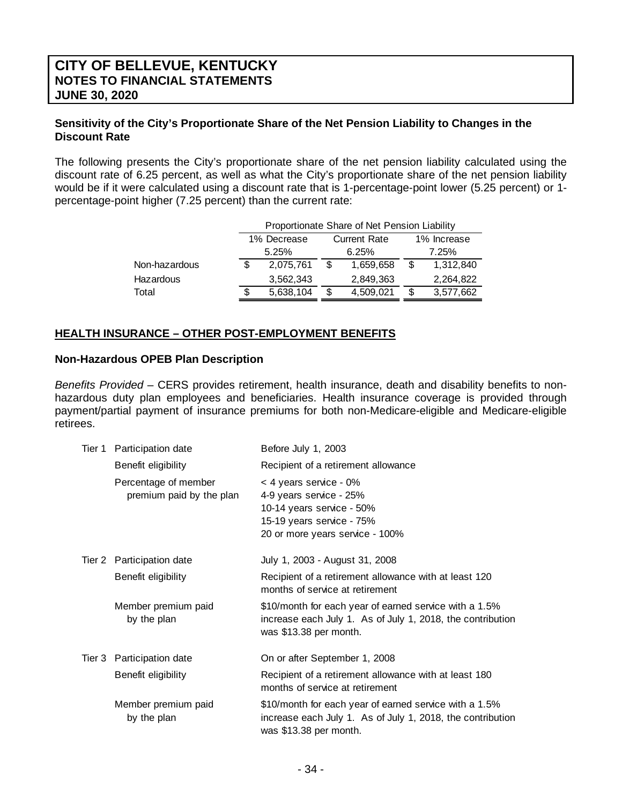#### **Sensitivity of the City's Proportionate Share of the Net Pension Liability to Changes in the Discount Rate**

The following presents the City's proportionate share of the net pension liability calculated using the discount rate of 6.25 percent, as well as what the City's proportionate share of the net pension liability would be if it were calculated using a discount rate that is 1-percentage-point lower (5.25 percent) or 1 percentage-point higher (7.25 percent) than the current rate:

|               |             | Proportionate Share of Net Pension Liability |                     |           |             |           |  |
|---------------|-------------|----------------------------------------------|---------------------|-----------|-------------|-----------|--|
|               | 1% Decrease |                                              | <b>Current Rate</b> |           | 1% Increase |           |  |
|               | 5.25%       |                                              | 6.25%               |           | 7.25%       |           |  |
| Non-hazardous | S           | 2,075,761                                    | \$                  | 1,659,658 | S           | 1,312,840 |  |
| Hazardous     |             | 3,562,343                                    |                     | 2,849,363 |             | 2.264.822 |  |
| Total         | S           | 5,638,104                                    | \$                  | 4,509,021 | S           | 3,577,662 |  |

### **HEALTH INSURANCE – OTHER POST-EMPLOYMENT BENEFITS**

#### **Non-Hazardous OPEB Plan Description**

*Benefits Provided* – CERS provides retirement, health insurance, death and disability benefits to nonhazardous duty plan employees and beneficiaries. Health insurance coverage is provided through payment/partial payment of insurance premiums for both non-Medicare-eligible and Medicare-eligible retirees.

| Tier 1 | Participation date                               | Before July 1, 2003                                                                                                                            |  |  |
|--------|--------------------------------------------------|------------------------------------------------------------------------------------------------------------------------------------------------|--|--|
|        | Benefit eligibility                              | Recipient of a retirement allowance                                                                                                            |  |  |
|        | Percentage of member<br>premium paid by the plan | < 4 years service - 0%<br>4-9 years service - 25%<br>10-14 years service - 50%<br>15-19 years service - 75%<br>20 or more years service - 100% |  |  |
|        | Tier 2 Participation date                        | July 1, 2003 - August 31, 2008                                                                                                                 |  |  |
|        | Benefit eligibility                              | Recipient of a retirement allowance with at least 120<br>months of service at retirement                                                       |  |  |
|        | Member premium paid<br>by the plan               | \$10/month for each year of earned service with a 1.5%<br>increase each July 1. As of July 1, 2018, the contribution<br>was \$13.38 per month. |  |  |
|        | Tier 3 Participation date                        | On or after September 1, 2008                                                                                                                  |  |  |
|        | Benefit eligibility                              | Recipient of a retirement allowance with at least 180<br>months of service at retirement                                                       |  |  |
|        | Member premium paid<br>by the plan               | \$10/month for each year of earned service with a 1.5%<br>increase each July 1. As of July 1, 2018, the contribution<br>was \$13.38 per month. |  |  |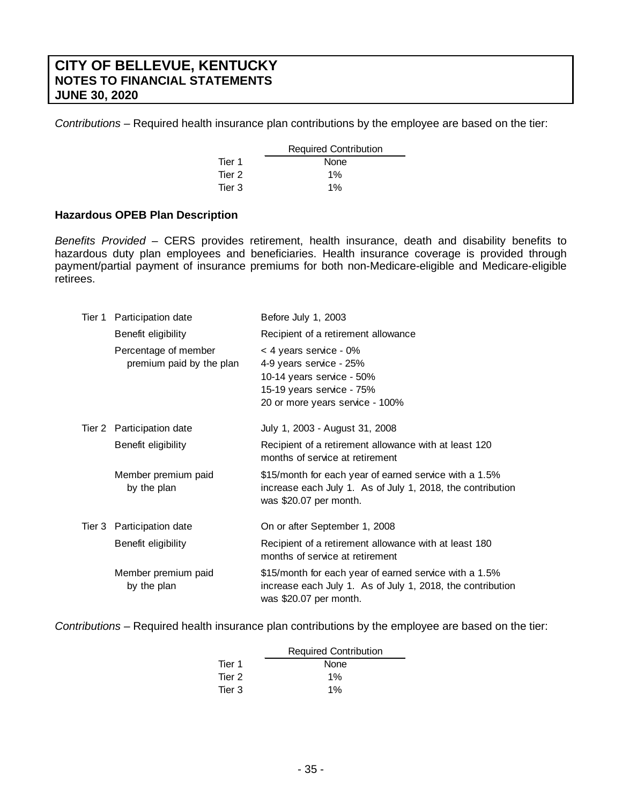*Contributions –* Required health insurance plan contributions by the employee are based on the tier:

|        | <b>Required Contribution</b> |  |
|--------|------------------------------|--|
| Tier 1 | None                         |  |
| Tier 2 | $1\%$                        |  |
| Tier 3 | $1\%$                        |  |

#### **Hazardous OPEB Plan Description**

*Benefits Provided* – CERS provides retirement, health insurance, death and disability benefits to hazardous duty plan employees and beneficiaries. Health insurance coverage is provided through payment/partial payment of insurance premiums for both non-Medicare-eligible and Medicare-eligible retirees.

| Tier 1 Participation date                        | Before July 1, 2003                                                                                                                            |
|--------------------------------------------------|------------------------------------------------------------------------------------------------------------------------------------------------|
| Benefit eligibility                              | Recipient of a retirement allowance                                                                                                            |
| Percentage of member<br>premium paid by the plan | < 4 years service - 0%<br>4-9 years service - 25%<br>10-14 years service - 50%<br>15-19 years service - 75%<br>20 or more years service - 100% |
| Tier 2 Participation date                        | July 1, 2003 - August 31, 2008                                                                                                                 |
| Benefit eligibility                              | Recipient of a retirement allowance with at least 120<br>months of service at retirement                                                       |
| Member premium paid<br>by the plan               | \$15/month for each year of earned service with a 1.5%<br>increase each July 1. As of July 1, 2018, the contribution<br>was \$20.07 per month. |
| Tier 3 Participation date                        | On or after September 1, 2008                                                                                                                  |
| Benefit eligibility                              | Recipient of a retirement allowance with at least 180<br>months of service at retirement                                                       |
| Member premium paid<br>by the plan               | \$15/month for each year of earned service with a 1.5%<br>increase each July 1. As of July 1, 2018, the contribution<br>was \$20.07 per month. |

*Contributions –* Required health insurance plan contributions by the employee are based on the tier:

|        | <b>Required Contribution</b> |
|--------|------------------------------|
| Tier 1 | None                         |
| Tier 2 | $1\%$                        |
| Tier 3 | $1\%$                        |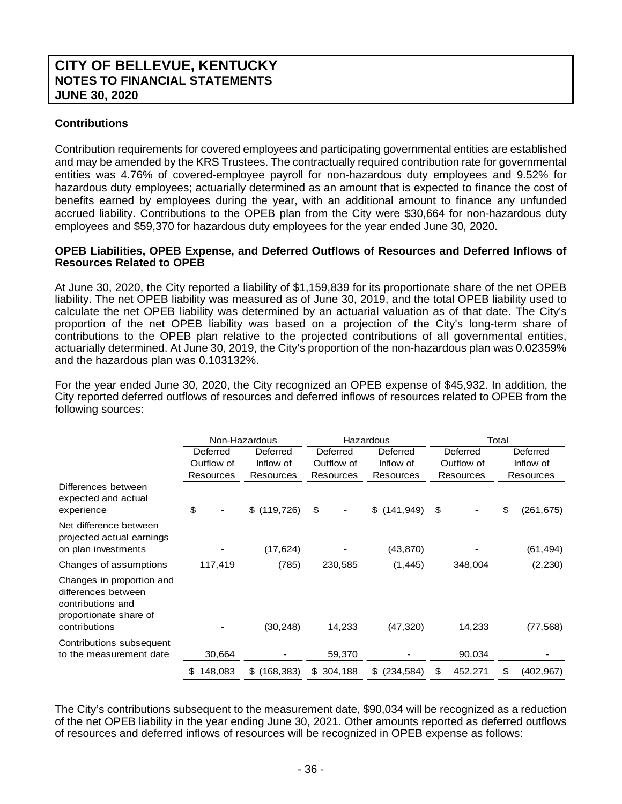### **Contributions**

Contribution requirements for covered employees and participating governmental entities are established and may be amended by the KRS Trustees. The contractually required contribution rate for governmental entities was 4.76% of covered-employee payroll for non-hazardous duty employees and 9.52% for hazardous duty employees; actuarially determined as an amount that is expected to finance the cost of benefits earned by employees during the year, with an additional amount to finance any unfunded accrued liability. Contributions to the OPEB plan from the City were \$30,664 for non-hazardous duty employees and \$59,370 for hazardous duty employees for the year ended June 30, 2020.

#### **OPEB Liabilities, OPEB Expense, and Deferred Outflows of Resources and Deferred Inflows of Resources Related to OPEB**

At June 30, 2020, the City reported a liability of \$1,159,839 for its proportionate share of the net OPEB liability. The net OPEB liability was measured as of June 30, 2019, and the total OPEB liability used to calculate the net OPEB liability was determined by an actuarial valuation as of that date. The City's proportion of the net OPEB liability was based on a projection of the City's long-term share of contributions to the OPEB plan relative to the projected contributions of all governmental entities, actuarially determined. At June 30, 2019, the City's proportion of the non-hazardous plan was 0.02359% and the hazardous plan was 0.103132%.

For the year ended June 30, 2020, the City recognized an OPEB expense of \$45,932. In addition, the City reported deferred outflows of resources and deferred inflows of resources related to OPEB from the following sources:

|                                                                                                                  |                  | Non-Hazardous    |                  | Hazardous        | Total         |                  |  |  |  |
|------------------------------------------------------------------------------------------------------------------|------------------|------------------|------------------|------------------|---------------|------------------|--|--|--|
|                                                                                                                  | Deferred         | Deferred         | Deferred         | Deferred         | Deferred      | Deferred         |  |  |  |
|                                                                                                                  | Outflow of       | Inflow of        | Outflow of       | Inflow of        | Outflow of    | Inflow of        |  |  |  |
|                                                                                                                  | <b>Resources</b> | <b>Resources</b> | <b>Resources</b> | <b>Resources</b> | Resources     | Resources        |  |  |  |
| Differences between<br>expected and actual<br>experience                                                         | \$<br>۰          | \$(119, 726)     | \$<br>-          | \$(141, 949)     | \$            | \$<br>(261, 675) |  |  |  |
| Net difference between<br>projected actual earnings<br>on plan investments                                       |                  | (17, 624)        |                  | (43, 870)        |               | (61, 494)        |  |  |  |
| Changes of assumptions                                                                                           | 117,419          | (785)            | 230,585          | (1, 445)         | 348,004       | (2, 230)         |  |  |  |
| Changes in proportion and<br>differences between<br>contributions and<br>proportionate share of<br>contributions |                  | (30, 248)        | 14,233           | (47, 320)        | 14,233        | (77, 568)        |  |  |  |
| Contributions subsequent<br>to the measurement date                                                              | 30,664           |                  | 59,370           |                  | 90,034        |                  |  |  |  |
|                                                                                                                  | 148,083          | \$(168, 383)     | 304,188<br>\$.   | \$<br>(234, 584) | \$<br>452,271 | \$<br>(402, 967) |  |  |  |

The City's contributions subsequent to the measurement date, \$90,034 will be recognized as a reduction of the net OPEB liability in the year ending June 30, 2021. Other amounts reported as deferred outflows of resources and deferred inflows of resources will be recognized in OPEB expense as follows: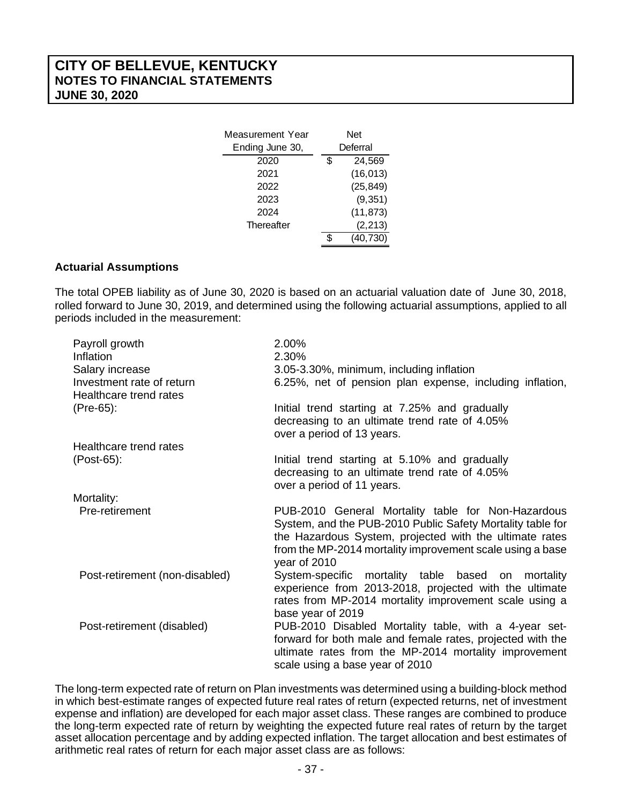| Measurement Year |    | Net       |
|------------------|----|-----------|
| Ending June 30,  |    | Deferral  |
| 2020             | \$ | 24,569    |
| 2021             |    | (16, 013) |
| 2022             |    | (25, 849) |
| 2023             |    | (9, 351)  |
| 2024             |    | (11, 873) |
| Thereafter       |    | (2, 213)  |
|                  | ፍ  | (40,730)  |

#### **Actuarial Assumptions**

The total OPEB liability as of June 30, 2020 is based on an actuarial valuation date of June 30, 2018, rolled forward to June 30, 2019, and determined using the following actuarial assumptions, applied to all periods included in the measurement:

| Payroll growth                 | 2.00%                                                      |
|--------------------------------|------------------------------------------------------------|
| <b>Inflation</b>               | 2.30%                                                      |
| Salary increase                | 3.05-3.30%, minimum, including inflation                   |
| Investment rate of return      | 6.25%, net of pension plan expense, including inflation,   |
| Healthcare trend rates         |                                                            |
| (Pre-65):                      | Initial trend starting at 7.25% and gradually              |
|                                | decreasing to an ultimate trend rate of 4.05%              |
|                                | over a period of 13 years.                                 |
| Healthcare trend rates         |                                                            |
| (Post-65):                     | Initial trend starting at 5.10% and gradually              |
|                                | decreasing to an ultimate trend rate of 4.05%              |
|                                |                                                            |
|                                | over a period of 11 years.                                 |
| Mortality:                     |                                                            |
| Pre-retirement                 | PUB-2010 General Mortality table for Non-Hazardous         |
|                                | System, and the PUB-2010 Public Safety Mortality table for |
|                                | the Hazardous System, projected with the ultimate rates    |
|                                | from the MP-2014 mortality improvement scale using a base  |
|                                | year of 2010                                               |
| Post-retirement (non-disabled) | System-specific mortality table based on mortality         |
|                                | experience from 2013-2018, projected with the ultimate     |
|                                | rates from MP-2014 mortality improvement scale using a     |
|                                | base year of 2019                                          |
| Post-retirement (disabled)     | PUB-2010 Disabled Mortality table, with a 4-year set-      |
|                                | forward for both male and female rates, projected with the |
|                                | ultimate rates from the MP-2014 mortality improvement      |
|                                |                                                            |
|                                | scale using a base year of 2010                            |

The long-term expected rate of return on Plan investments was determined using a building-block method in which best-estimate ranges of expected future real rates of return (expected returns, net of investment expense and inflation) are developed for each major asset class. These ranges are combined to produce the long-term expected rate of return by weighting the expected future real rates of return by the target asset allocation percentage and by adding expected inflation. The target allocation and best estimates of arithmetic real rates of return for each major asset class are as follows: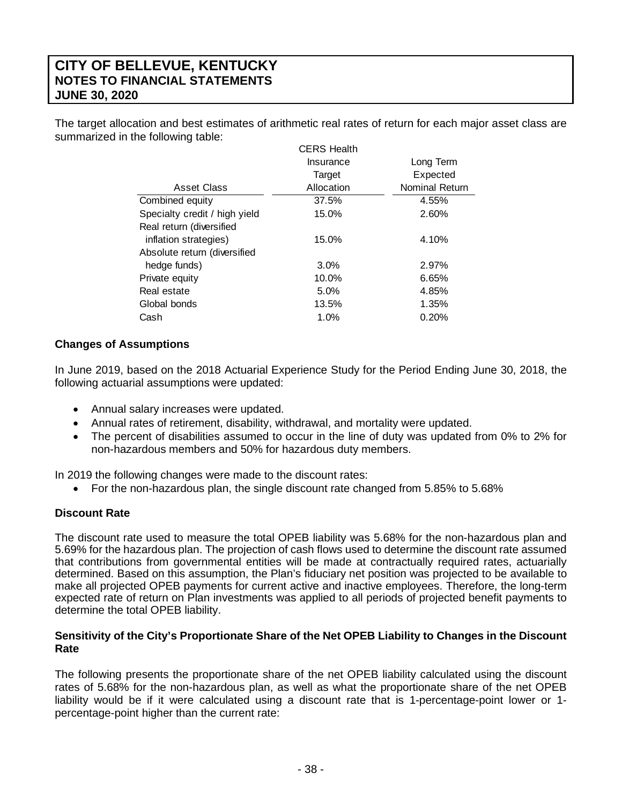The target allocation and best estimates of arithmetic real rates of return for each major asset class are summarized in the following table:  $C = C$ 

|                               | CERS Health |                |
|-------------------------------|-------------|----------------|
|                               | Insurance   | Long Term      |
|                               | Target      | Expected       |
| Asset Class                   | Allocation  | Nominal Return |
| Combined equity               | 37.5%       | 4.55%          |
| Specialty credit / high yield | 15.0%       | 2.60%          |
| Real return (diversified      |             |                |
| inflation strategies)         | 15.0%       | 4.10%          |
| Absolute return (diversified  |             |                |
| hedge funds)                  | 3.0%        | 2.97%          |
| Private equity                | 10.0%       | 6.65%          |
| Real estate                   | 5.0%        | 4.85%          |
| Global bonds                  | 13.5%       | 1.35%          |
| Cash                          | 1.0%        | 0.20%          |
|                               |             |                |

#### **Changes of Assumptions**

In June 2019, based on the 2018 Actuarial Experience Study for the Period Ending June 30, 2018, the following actuarial assumptions were updated:

- Annual salary increases were updated.
- Annual rates of retirement, disability, withdrawal, and mortality were updated.
- The percent of disabilities assumed to occur in the line of duty was updated from 0% to 2% for non-hazardous members and 50% for hazardous duty members.

In 2019 the following changes were made to the discount rates:

• For the non-hazardous plan, the single discount rate changed from 5.85% to 5.68%

#### **Discount Rate**

The discount rate used to measure the total OPEB liability was 5.68% for the non-hazardous plan and 5.69% for the hazardous plan. The projection of cash flows used to determine the discount rate assumed that contributions from governmental entities will be made at contractually required rates, actuarially determined. Based on this assumption, the Plan's fiduciary net position was projected to be available to make all projected OPEB payments for current active and inactive employees. Therefore, the long-term expected rate of return on Plan investments was applied to all periods of projected benefit payments to determine the total OPEB liability.

#### **Sensitivity of the City's Proportionate Share of the Net OPEB Liability to Changes in the Discount Rate**

The following presents the proportionate share of the net OPEB liability calculated using the discount rates of 5.68% for the non-hazardous plan, as well as what the proportionate share of the net OPEB liability would be if it were calculated using a discount rate that is 1-percentage-point lower or 1 percentage-point higher than the current rate: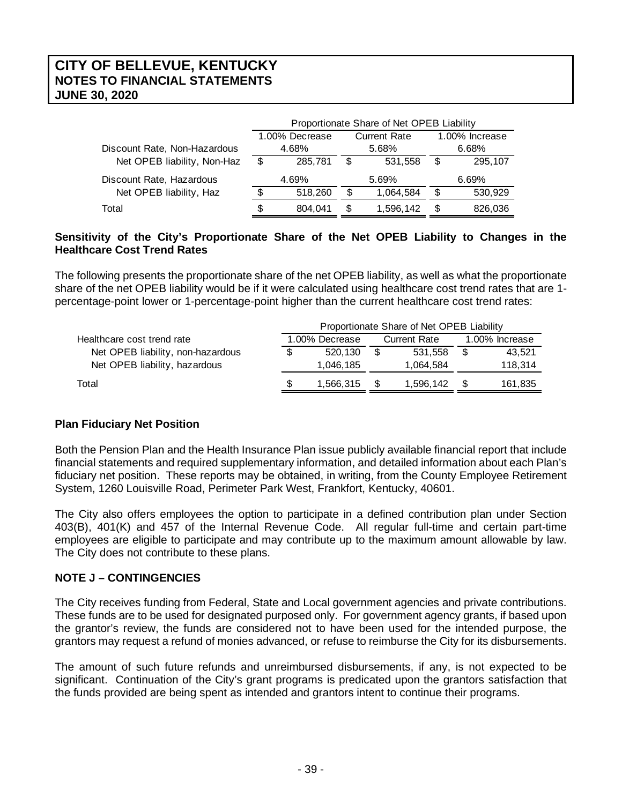|                              | Proportionate Share of Net OPEB Liability |                |   |                     |       |                |  |  |  |  |  |  |  |
|------------------------------|-------------------------------------------|----------------|---|---------------------|-------|----------------|--|--|--|--|--|--|--|
|                              |                                           | 1.00% Decrease |   | <b>Current Rate</b> |       | 1.00% Increase |  |  |  |  |  |  |  |
| Discount Rate, Non-Hazardous |                                           | 4.68%          |   | 5.68%               | 6.68% |                |  |  |  |  |  |  |  |
| Net OPEB liability, Non-Haz  | \$                                        | 285.781        | S | 531,558             | \$    | 295,107        |  |  |  |  |  |  |  |
| Discount Rate, Hazardous     |                                           | 4.69%          |   | 5.69%               | 6.69% |                |  |  |  |  |  |  |  |
| Net OPEB liability, Haz      |                                           | 518.260        | S | 1,064,584           | \$    | 530.929        |  |  |  |  |  |  |  |
| Total                        | S                                         | 804.041        | S | 1,596,142           | S     | 826,036        |  |  |  |  |  |  |  |

#### **Sensitivity of the City's Proportionate Share of the Net OPEB Liability to Changes in the Healthcare Cost Trend Rates**

The following presents the proportionate share of the net OPEB liability, as well as what the proportionate share of the net OPEB liability would be if it were calculated using healthcare cost trend rates that are 1 percentage-point lower or 1-percentage-point higher than the current healthcare cost trend rates:

|                                   | Proportionate Share of Net OPEB Liability |                |  |                     |                |         |  |  |  |  |  |  |
|-----------------------------------|-------------------------------------------|----------------|--|---------------------|----------------|---------|--|--|--|--|--|--|
| Healthcare cost trend rate        |                                           | 1.00% Decrease |  | <b>Current Rate</b> | 1.00% Increase |         |  |  |  |  |  |  |
| Net OPEB liability, non-hazardous |                                           | 520.130        |  | 531.558             | \$.            | 43.521  |  |  |  |  |  |  |
| Net OPEB liability, hazardous     |                                           | 1,046,185      |  | 1.064.584           |                | 118.314 |  |  |  |  |  |  |
| Total                             | S                                         | 1.566.315      |  | 1.596.142           | -SS            | 161,835 |  |  |  |  |  |  |

#### **Plan Fiduciary Net Position**

Both the Pension Plan and the Health Insurance Plan issue publicly available financial report that include financial statements and required supplementary information, and detailed information about each Plan's fiduciary net position. These reports may be obtained, in writing, from the County Employee Retirement System, 1260 Louisville Road, Perimeter Park West, Frankfort, Kentucky, 40601.

The City also offers employees the option to participate in a defined contribution plan under Section 403(B), 401(K) and 457 of the Internal Revenue Code. All regular full-time and certain part-time employees are eligible to participate and may contribute up to the maximum amount allowable by law. The City does not contribute to these plans.

#### **NOTE J – CONTINGENCIES**

The City receives funding from Federal, State and Local government agencies and private contributions. These funds are to be used for designated purposed only. For government agency grants, if based upon the grantor's review, the funds are considered not to have been used for the intended purpose, the grantors may request a refund of monies advanced, or refuse to reimburse the City for its disbursements.

The amount of such future refunds and unreimbursed disbursements, if any, is not expected to be significant. Continuation of the City's grant programs is predicated upon the grantors satisfaction that the funds provided are being spent as intended and grantors intent to continue their programs.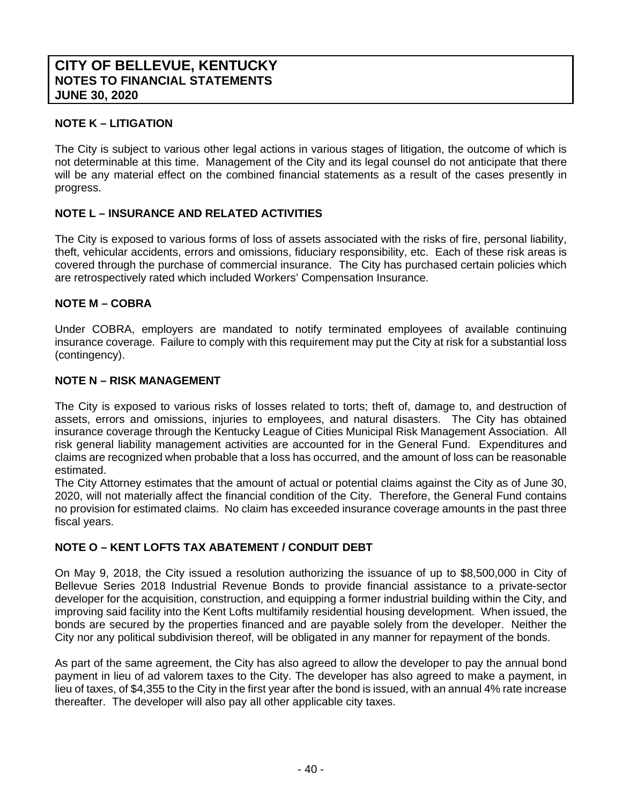#### **NOTE K – LITIGATION**

The City is subject to various other legal actions in various stages of litigation, the outcome of which is not determinable at this time. Management of the City and its legal counsel do not anticipate that there will be any material effect on the combined financial statements as a result of the cases presently in progress.

#### **NOTE L – INSURANCE AND RELATED ACTIVITIES**

The City is exposed to various forms of loss of assets associated with the risks of fire, personal liability, theft, vehicular accidents, errors and omissions, fiduciary responsibility, etc. Each of these risk areas is covered through the purchase of commercial insurance. The City has purchased certain policies which are retrospectively rated which included Workers' Compensation Insurance.

#### **NOTE M – COBRA**

Under COBRA, employers are mandated to notify terminated employees of available continuing insurance coverage. Failure to comply with this requirement may put the City at risk for a substantial loss (contingency).

#### **NOTE N – RISK MANAGEMENT**

The City is exposed to various risks of losses related to torts; theft of, damage to, and destruction of assets, errors and omissions, injuries to employees, and natural disasters. The City has obtained insurance coverage through the Kentucky League of Cities Municipal Risk Management Association. All risk general liability management activities are accounted for in the General Fund. Expenditures and claims are recognized when probable that a loss has occurred, and the amount of loss can be reasonable estimated.

The City Attorney estimates that the amount of actual or potential claims against the City as of June 30, 2020, will not materially affect the financial condition of the City. Therefore, the General Fund contains no provision for estimated claims. No claim has exceeded insurance coverage amounts in the past three fiscal years.

#### **NOTE O – KENT LOFTS TAX ABATEMENT / CONDUIT DEBT**

On May 9, 2018, the City issued a resolution authorizing the issuance of up to \$8,500,000 in City of Bellevue Series 2018 Industrial Revenue Bonds to provide financial assistance to a private-sector developer for the acquisition, construction, and equipping a former industrial building within the City, and improving said facility into the Kent Lofts multifamily residential housing development. When issued, the bonds are secured by the properties financed and are payable solely from the developer. Neither the City nor any political subdivision thereof, will be obligated in any manner for repayment of the bonds.

As part of the same agreement, the City has also agreed to allow the developer to pay the annual bond payment in lieu of ad valorem taxes to the City. The developer has also agreed to make a payment, in lieu of taxes, of \$4,355 to the City in the first year after the bond is issued, with an annual 4% rate increase thereafter. The developer will also pay all other applicable city taxes.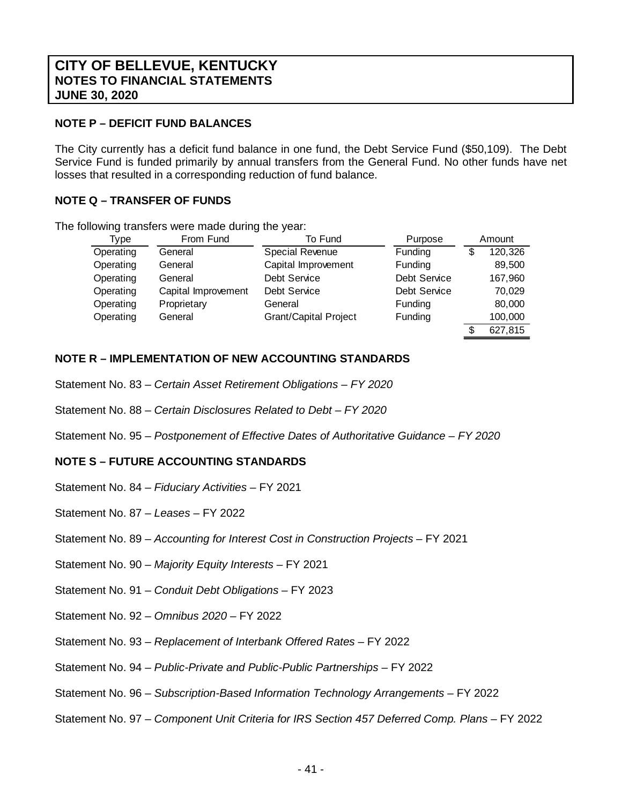#### **NOTE P – DEFICIT FUND BALANCES**

The City currently has a deficit fund balance in one fund, the Debt Service Fund (\$50,109). The Debt Service Fund is funded primarily by annual transfers from the General Fund. No other funds have net losses that resulted in a corresponding reduction of fund balance.

#### **NOTE Q – TRANSFER OF FUNDS**

The following transfers were made during the year:

| Type      | From Fund           | To Fund                      | Purpose        |   | Amount  |
|-----------|---------------------|------------------------------|----------------|---|---------|
| Operating | General             | Special Revenue              | <b>Funding</b> | σ | 120,326 |
| Operating | General             | Capital Improvement          | Funding        |   | 89,500  |
| Operating | General             | Debt Service                 | Debt Service   |   | 167,960 |
| Operating | Capital Improvement | Debt Service                 | Debt Service   |   | 70,029  |
| Operating | Proprietary         | General                      | Funding        |   | 80,000  |
| Operating | General             | <b>Grant/Capital Project</b> | Funding        |   | 100,000 |
|           |                     |                              |                | œ | 627,815 |

#### **NOTE R – IMPLEMENTATION OF NEW ACCOUNTING STANDARDS**

- Statement No. 83 *Certain Asset Retirement Obligations FY 2020*
- Statement No. 88 *Certain Disclosures Related to Debt FY 2020*
- Statement No. 95 *Postponement of Effective Dates of Authoritative Guidance FY 2020*

#### **NOTE S – FUTURE ACCOUNTING STANDARDS**

- Statement No. 84 *Fiduciary Activities* FY 2021
- Statement No. 87 *Leases* FY 2022
- Statement No. 89 *Accounting for Interest Cost in Construction Projects* FY 2021
- Statement No. 90 *Majority Equity Interests –* FY 2021
- Statement No. 91 *Conduit Debt Obligations* FY 2023
- Statement No. 92 *Omnibus 2020* FY 2022
- Statement No. 93 *Replacement of Interbank Offered Rates* FY 2022
- Statement No. 94 *Public-Private and Public-Public Partnerships* FY 2022
- Statement No. 96 *Subscription-Based Information Technology Arrangements* FY 2022
- Statement No. 97 *Component Unit Criteria for IRS Section 457 Deferred Comp. Plans* FY 2022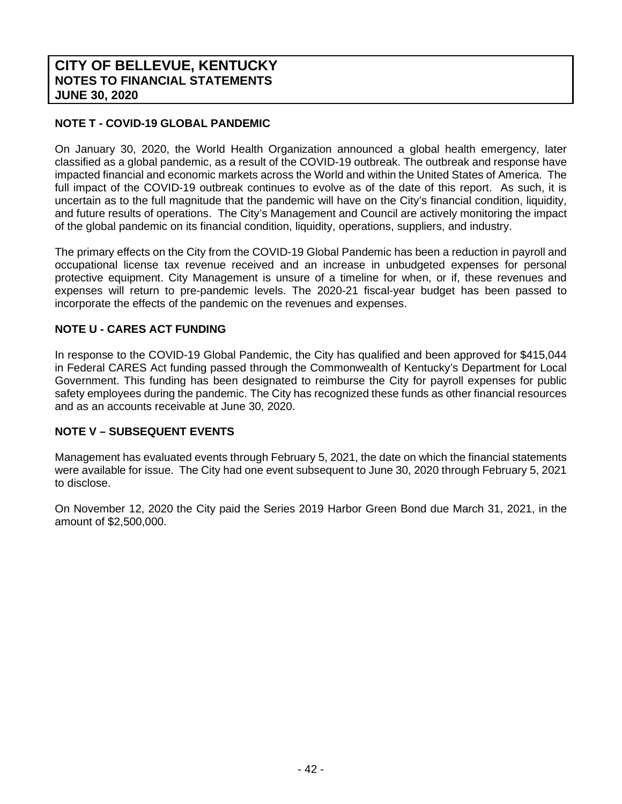### **NOTE T - COVID-19 GLOBAL PANDEMIC**

On January 30, 2020, the World Health Organization announced a global health emergency, later classified as a global pandemic, as a result of the COVID-19 outbreak. The outbreak and response have impacted financial and economic markets across the World and within the United States of America. The full impact of the COVID-19 outbreak continues to evolve as of the date of this report. As such, it is uncertain as to the full magnitude that the pandemic will have on the City's financial condition, liquidity, and future results of operations. The City's Management and Council are actively monitoring the impact of the global pandemic on its financial condition, liquidity, operations, suppliers, and industry.

The primary effects on the City from the COVID-19 Global Pandemic has been a reduction in payroll and occupational license tax revenue received and an increase in unbudgeted expenses for personal protective equipment. City Management is unsure of a timeline for when, or if, these revenues and expenses will return to pre-pandemic levels. The 2020-21 fiscal-year budget has been passed to incorporate the effects of the pandemic on the revenues and expenses.

### **NOTE U - CARES ACT FUNDING**

In response to the COVID-19 Global Pandemic, the City has qualified and been approved for \$415,044 in Federal CARES Act funding passed through the Commonwealth of Kentucky's Department for Local Government. This funding has been designated to reimburse the City for payroll expenses for public safety employees during the pandemic. The City has recognized these funds as other financial resources and as an accounts receivable at June 30, 2020.

#### **NOTE V – SUBSEQUENT EVENTS**

Management has evaluated events through February 5, 2021, the date on which the financial statements were available for issue. The City had one event subsequent to June 30, 2020 through February 5, 2021 to disclose.

On November 12, 2020 the City paid the Series 2019 Harbor Green Bond due March 31, 2021, in the amount of \$2,500,000.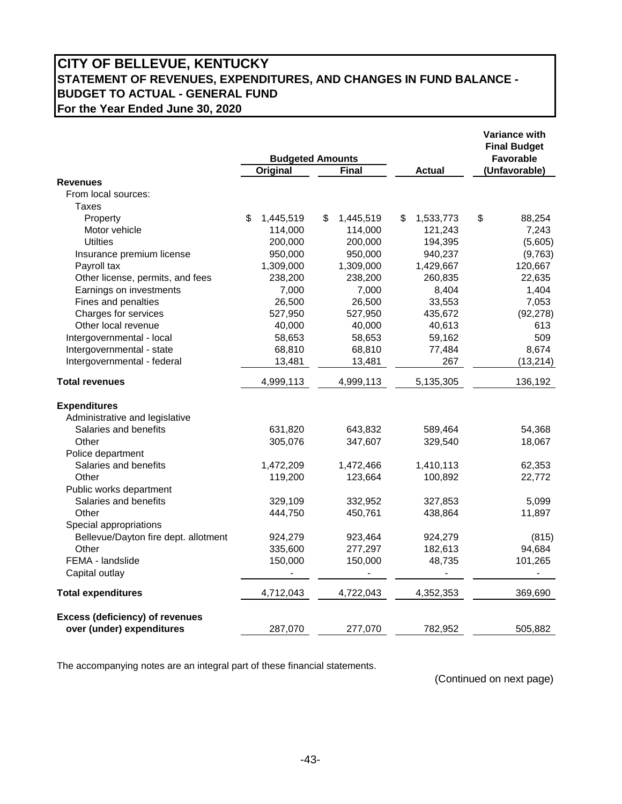### **CITY OF BELLEVUE, KENTUCKY STATEMENT OF REVENUES, EXPENDITURES, AND CHANGES IN FUND BALANCE - BUDGET TO ACTUAL - GENERAL FUND For the Year Ended June 30, 2020**

|                                        |                 |                         |                 | Variance with<br><b>Final Budget</b> |  |  |  |  |
|----------------------------------------|-----------------|-------------------------|-----------------|--------------------------------------|--|--|--|--|
|                                        |                 | <b>Budgeted Amounts</b> |                 | <b>Favorable</b>                     |  |  |  |  |
|                                        | Original        | <b>Final</b>            | <b>Actual</b>   | (Unfavorable)                        |  |  |  |  |
| <b>Revenues</b>                        |                 |                         |                 |                                      |  |  |  |  |
| From local sources:                    |                 |                         |                 |                                      |  |  |  |  |
| Taxes                                  |                 |                         |                 |                                      |  |  |  |  |
| Property                               | \$<br>1,445,519 | \$<br>1,445,519         | \$<br>1,533,773 | \$<br>88,254                         |  |  |  |  |
| Motor vehicle                          | 114,000         | 114,000                 | 121,243         | 7,243                                |  |  |  |  |
| <b>Utilties</b>                        | 200,000         | 200,000                 | 194,395         | (5,605)                              |  |  |  |  |
| Insurance premium license              | 950,000         | 950,000                 | 940,237         | (9,763)                              |  |  |  |  |
| Payroll tax                            | 1,309,000       | 1,309,000               | 1,429,667       | 120,667                              |  |  |  |  |
| Other license, permits, and fees       | 238,200         | 238,200                 | 260,835         | 22,635                               |  |  |  |  |
| Earnings on investments                | 7,000           | 7,000                   | 8,404           | 1,404                                |  |  |  |  |
| Fines and penalties                    | 26,500          | 26,500                  | 33,553          | 7,053                                |  |  |  |  |
| Charges for services                   | 527,950         | 527,950                 | 435,672         | (92, 278)                            |  |  |  |  |
| Other local revenue                    | 40,000          | 40,000                  | 40,613          | 613                                  |  |  |  |  |
| Intergovernmental - local              | 58,653          | 58,653                  | 59,162          | 509                                  |  |  |  |  |
| Intergovernmental - state              | 68,810          | 68,810                  | 77,484          | 8,674                                |  |  |  |  |
| Intergovernmental - federal            | 13,481          | 13,481                  | 267             | (13, 214)                            |  |  |  |  |
| <b>Total revenues</b>                  | 4,999,113       | 4,999,113               | 5,135,305       | 136,192                              |  |  |  |  |
| <b>Expenditures</b>                    |                 |                         |                 |                                      |  |  |  |  |
| Administrative and legislative         |                 |                         |                 |                                      |  |  |  |  |
| Salaries and benefits                  | 631,820         | 643,832                 | 589,464         | 54,368                               |  |  |  |  |
| Other                                  | 305,076         | 347,607                 | 329,540         | 18,067                               |  |  |  |  |
| Police department                      |                 |                         |                 |                                      |  |  |  |  |
| Salaries and benefits                  | 1,472,209       | 1,472,466               | 1,410,113       | 62,353                               |  |  |  |  |
| Other                                  | 119,200         | 123,664                 | 100,892         | 22,772                               |  |  |  |  |
| Public works department                |                 |                         |                 |                                      |  |  |  |  |
| Salaries and benefits                  | 329,109         | 332,952                 | 327,853         | 5,099                                |  |  |  |  |
| Other                                  | 444,750         | 450,761                 | 438,864         | 11,897                               |  |  |  |  |
|                                        |                 |                         |                 |                                      |  |  |  |  |
| Special appropriations                 |                 |                         |                 |                                      |  |  |  |  |
| Bellevue/Dayton fire dept. allotment   | 924,279         | 923,464                 | 924,279         | (815)                                |  |  |  |  |
| Other                                  | 335,600         | 277,297                 | 182,613         | 94,684                               |  |  |  |  |
| FEMA - landslide<br>Capital outlay     | 150,000         | 150,000                 | 48,735          | 101,265                              |  |  |  |  |
|                                        |                 |                         |                 |                                      |  |  |  |  |
| <b>Total expenditures</b>              | 4,712,043       | 4,722,043               | 4,352,353       | 369,690                              |  |  |  |  |
| <b>Excess (deficiency) of revenues</b> |                 |                         |                 |                                      |  |  |  |  |
| over (under) expenditures              | 287,070         | 277,070                 | 782,952         | 505,882                              |  |  |  |  |

The accompanying notes are an integral part of these financial statements.

(Continued on next page)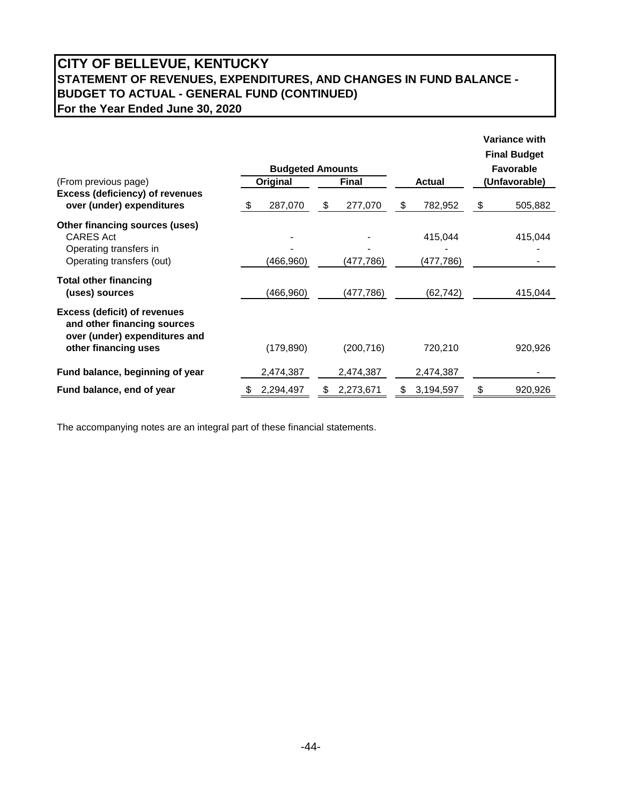### **CITY OF BELLEVUE, KENTUCKY STATEMENT OF REVENUES, EXPENDITURES, AND CHANGES IN FUND BALANCE - BUDGET TO ACTUAL - GENERAL FUND (CONTINUED) For the Year Ended June 30, 2020**

|                                                                                                                             |     | <b>Budgeted Amounts</b> |    |              | <b>Variance with</b><br><b>Final Budget</b><br><b>Favorable</b> |                      |    |               |
|-----------------------------------------------------------------------------------------------------------------------------|-----|-------------------------|----|--------------|-----------------------------------------------------------------|----------------------|----|---------------|
| (From previous page)                                                                                                        |     | Original                |    | <b>Final</b> |                                                                 | <b>Actual</b>        |    | (Unfavorable) |
| <b>Excess (deficiency) of revenues</b><br>over (under) expenditures                                                         | -\$ | 287,070                 | \$ | 277,070      | \$                                                              | 782,952              | \$ | 505,882       |
| Other financing sources (uses)<br><b>CARES Act</b><br>Operating transfers in<br>Operating transfers (out)                   |     | (466,960)               |    | (477,786)    |                                                                 | 415,044<br>(477,786) |    | 415,044       |
| <b>Total other financing</b><br>(uses) sources                                                                              |     | (466,960)               |    | (477,786)    |                                                                 | (62,742)             |    | 415,044       |
| <b>Excess (deficit) of revenues</b><br>and other financing sources<br>over (under) expenditures and<br>other financing uses |     | (179, 890)              |    | (200, 716)   |                                                                 | 720,210              |    | 920,926       |
| Fund balance, beginning of year                                                                                             |     | 2,474,387               |    | 2,474,387    |                                                                 | 2,474,387            |    |               |
| Fund balance, end of year                                                                                                   |     | 2,294,497               | S  | 2,273,671    |                                                                 | 3,194,597            | \$ | 920,926       |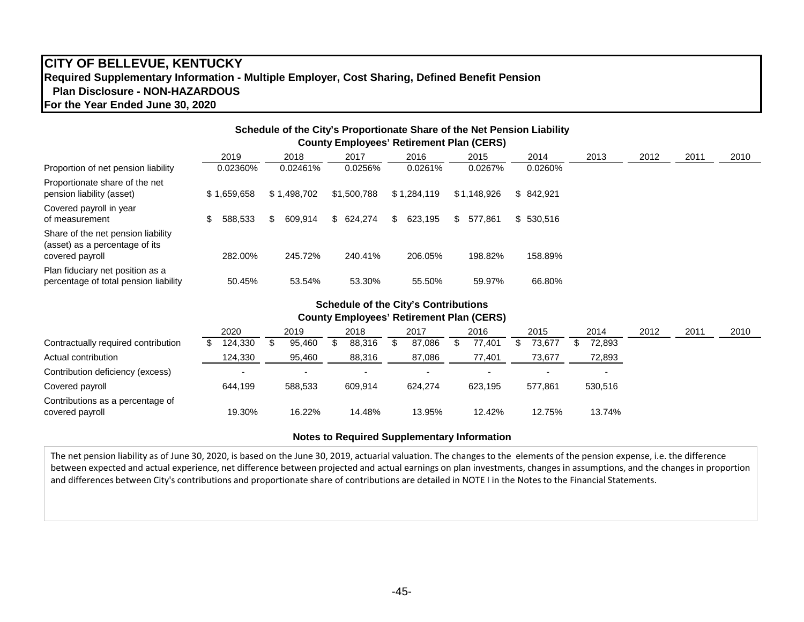#### **CITY OF BELLEVUE, KENTUCKY Required Supplementary Information - Multiple Employer, Cost Sharing, Defined Benefit Pension Plan Disclosure - NON-HAZARDOUS For the Year Ended June 30, 2020**

| Schedule of the City's Proportionate Share of the Net Pension Liability<br><b>County Employees' Retirement Plan (CERS)</b> |               |                |             |               |                |              |      |      |      |      |  |  |
|----------------------------------------------------------------------------------------------------------------------------|---------------|----------------|-------------|---------------|----------------|--------------|------|------|------|------|--|--|
|                                                                                                                            | 2019          | 2018           | 2017        | 2016          | 2015           | 2014         | 2013 | 2012 | 2011 | 2010 |  |  |
| Proportion of net pension liability                                                                                        | 0.02360%      | 0.02461%       | 0.0256%     | 0.0261%       | 0.0267%        | 0.0260%      |      |      |      |      |  |  |
| Proportionate share of the net<br>pension liability (asset)                                                                | \$1,659,658   | \$1,498,702    | \$1,500,788 | \$1,284,119   | \$1.148.926    | 842.921<br>S |      |      |      |      |  |  |
| Covered payroll in year<br>of measurement                                                                                  | \$<br>588,533 | 609.914<br>\$. | \$624.274   | 623.195<br>S. | 577.861<br>\$. | \$530.516    |      |      |      |      |  |  |
| Share of the net pension liability<br>(asset) as a percentage of its<br>covered payroll                                    | 282.00%       | 245.72%        | 240.41%     | 206.05%       | 198.82%        | 158.89%      |      |      |      |      |  |  |
| Plan fiduciary net position as a<br>percentage of total pension liability                                                  | 50.45%        | 53.54%         | 53.30%      | 55.50%        | 59.97%         | 66.80%       |      |      |      |      |  |  |

#### **Schedule of the City's Contributions County Employees' Retirement Plan (CERS)**

|                                                     | 2020    | 2019    | 2018    |  | 2017                     |  | 2016    |  | 2015    |  | 2014    | 2012 | 2011 | 2010 |
|-----------------------------------------------------|---------|---------|---------|--|--------------------------|--|---------|--|---------|--|---------|------|------|------|
| Contractually required contribution                 | 124,330 | 95,460  | 88,316  |  | 87,086                   |  | 77.401  |  | 73,677  |  | 72,893  |      |      |      |
| Actual contribution                                 | 124,330 | 95,460  | 88,316  |  | 87,086                   |  | 77.401  |  | 73,677  |  | 72,893  |      |      |      |
| Contribution deficiency (excess)                    |         |         |         |  | $\overline{\phantom{0}}$ |  |         |  |         |  |         |      |      |      |
| Covered payroll                                     | 644.199 | 588.533 | 609,914 |  | 624,274                  |  | 623.195 |  | 577.861 |  | 530,516 |      |      |      |
| Contributions as a percentage of<br>covered payroll | 19.30%  | 16.22%  | 14.48%  |  | 13.95%                   |  | 12.42%  |  | 12.75%  |  | 13.74%  |      |      |      |

#### **Notes to Required Supplementary Information**

The net pension liability as of June 30, 2020, is based on the June 30, 2019, actuarial valuation. The changes to the elements of the pension expense, i.e. the difference between expected and actual experience, net difference between projected and actual earnings on plan investments, changes in assumptions, and the changes in proportion and differences between City's contributions and proportionate share of contributions are detailed in NOTE I in the Notes to the Financial Statements.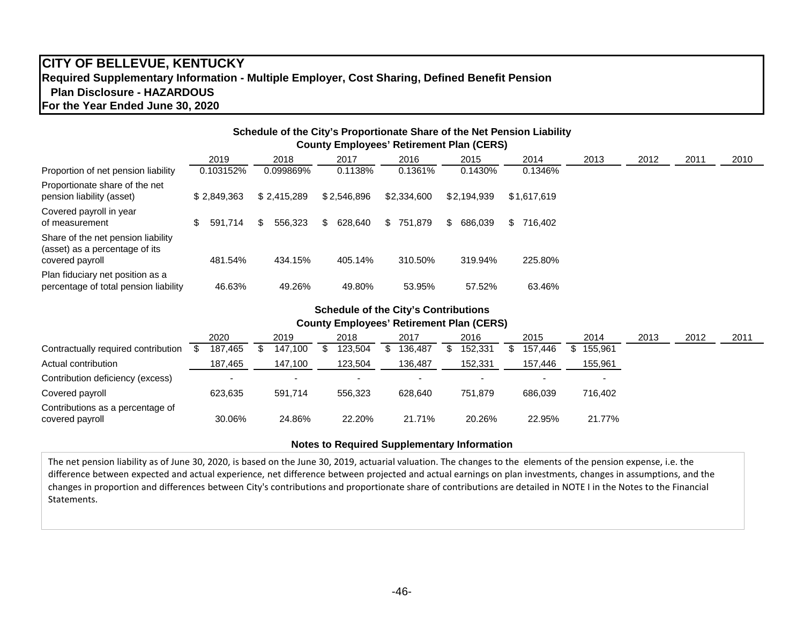### **CITY OF BELLEVUE, KENTUCKY Required Supplementary Information - Multiple Employer, Cost Sharing, Defined Benefit Pension Plan Disclosure - HAZARDOUS For the Year Ended June 30, 2020**

| Schedule of the City's Proportionate Share of the Net Pension Liability<br><b>County Employees' Retirement Plan (CERS)</b> |             |                |                |             |                |               |      |      |      |      |  |  |  |  |
|----------------------------------------------------------------------------------------------------------------------------|-------------|----------------|----------------|-------------|----------------|---------------|------|------|------|------|--|--|--|--|
|                                                                                                                            | 2019        | 2018           | 2017           | 2016        | 2015           | 2014          | 2013 | 2012 | 2011 | 2010 |  |  |  |  |
| Proportion of net pension liability                                                                                        | 0.103152%   | 0.099869%      | 0.1138%        | 0.1361%     | 0.1430%        | 0.1346%       |      |      |      |      |  |  |  |  |
| Proportionate share of the net<br>pension liability (asset)                                                                | \$2.849.363 | \$2.415.289    | \$2.546.896    | \$2,334,600 | \$2.194.939    | \$1.617.619   |      |      |      |      |  |  |  |  |
| Covered payroll in year<br>of measurement                                                                                  | 591.714     | 556.323<br>\$. | 628.640<br>\$. | \$751.879   | 686.039<br>\$. | 716.402<br>S. |      |      |      |      |  |  |  |  |
| Share of the net pension liability<br>(asset) as a percentage of its<br>covered payroll                                    | 481.54%     | 434.15%        | 405.14%        | 310.50%     | 319.94%        | 225.80%       |      |      |      |      |  |  |  |  |
| Plan fiduciary net position as a<br>percentage of total pension liability                                                  | 46.63%      | 49.26%         | 49.80%         | 53.95%      | 57.52%         | 63.46%        |      |      |      |      |  |  |  |  |

#### **Schedule of the City's Contributions County Employees' Retirement Plan (CERS)**

|                                     | 2020    | 2019    |   | 2018    | 2017    | 2016    | 2015    | 2014                     |        | 2012 | 2011 |
|-------------------------------------|---------|---------|---|---------|---------|---------|---------|--------------------------|--------|------|------|
| Contractually required contribution | 187.465 | 147.100 | S | 123.504 | 136,487 | 152.331 | 157,446 | 155.961                  |        |      |      |
|                                     | 187,465 | 147,100 |   | 123,504 | 136,487 | 152,331 | 157,446 | 155,961                  |        |      |      |
|                                     |         |         |   |         |         |         |         | $\overline{\phantom{a}}$ |        |      |      |
|                                     | 623,635 | 591.714 |   | 556.323 | 628.640 | 751.879 | 686.039 | 716.402                  |        |      |      |
|                                     | 30.06%  | 24.86%  |   | 22.20%  | 21.71%  | 20.26%  | 22.95%  |                          |        |      |      |
|                                     |         |         |   |         |         |         |         |                          | 21.77% | 2013 |      |

#### **Notes to Required Supplementary Information**

The net pension liability as of June 30, 2020, is based on the June 30, 2019, actuarial valuation. The changes to the elements of the pension expense, i.e. the difference between expected and actual experience, net difference between projected and actual earnings on plan investments, changes in assumptions, and the changes in proportion and differences between City's contributions and proportionate share of contributions are detailed in NOTE I in the Notes to the Financial Statements.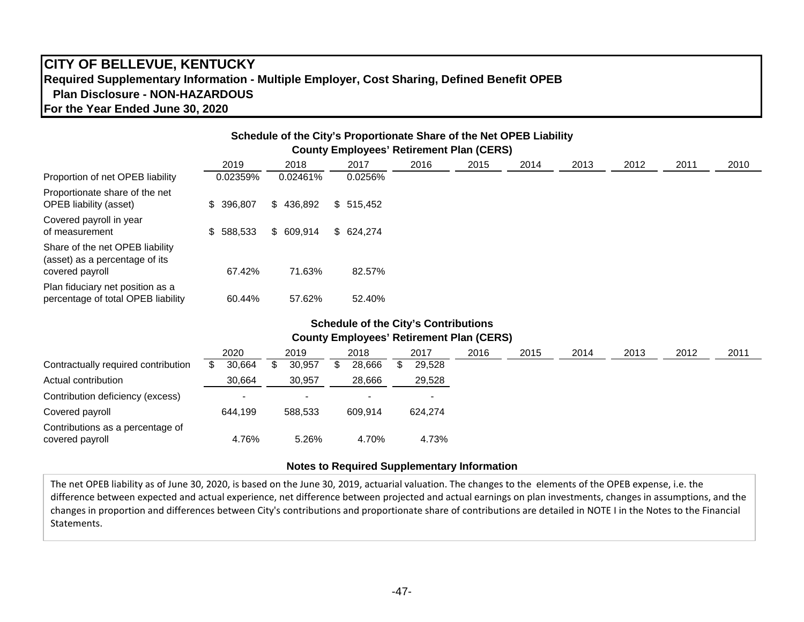### **CITY OF BELLEVUE, KENTUCKY Required Supplementary Information - Multiple Employer, Cost Sharing, Defined Benefit OPEB Plan Disclosure - NON-HAZARDOUS For the Year Ended June 30, 2020**

| Schedule of the City's Proportionate Share of the Net OPEB Liability<br><b>County Employees' Retirement Plan (CERS)</b> |            |           |            |      |      |      |      |      |      |      |  |  |  |
|-------------------------------------------------------------------------------------------------------------------------|------------|-----------|------------|------|------|------|------|------|------|------|--|--|--|
|                                                                                                                         | 2019       | 2018      | 2017       | 2016 | 2015 | 2014 | 2013 | 2012 | 2011 | 2010 |  |  |  |
| Proportion of net OPEB liability                                                                                        | 0.02359%   | 0.02461%  | 0.0256%    |      |      |      |      |      |      |      |  |  |  |
| Proportionate share of the net<br><b>OPEB</b> liability (asset)                                                         | \$ 396,807 | \$436.892 | \$ 515.452 |      |      |      |      |      |      |      |  |  |  |
| Covered payroll in year<br>of measurement                                                                               | \$588.533  | \$609.914 | \$ 624,274 |      |      |      |      |      |      |      |  |  |  |
| Share of the net OPEB liability<br>(asset) as a percentage of its<br>covered payroll                                    | 67.42%     | 71.63%    | 82.57%     |      |      |      |      |      |      |      |  |  |  |
| Plan fiduciary net position as a<br>percentage of total OPEB liability                                                  | 60.44%     | 57.62%    | 52.40%     |      |      |      |      |      |      |      |  |  |  |

#### **Schedule of the City's Contributions County Employees' Retirement Plan (CERS)**

|                                                     | 2020    |       | 2019                     | 2018                     | 2017                     | 2016 | 2015 | 2014 | 2013 | 2012 | 2011 |
|-----------------------------------------------------|---------|-------|--------------------------|--------------------------|--------------------------|------|------|------|------|------|------|
| Contractually required contribution                 | 30.664  |       | 30,957                   | 28,666                   | 29.528                   |      |      |      |      |      |      |
| Actual contribution                                 | 30,664  |       | 30,957                   | 28,666                   | 29,528                   |      |      |      |      |      |      |
| Contribution deficiency (excess)                    |         |       | $\overline{\phantom{a}}$ | $\overline{\phantom{0}}$ | $\overline{\phantom{a}}$ |      |      |      |      |      |      |
| Covered payroll                                     | 644.199 |       | 588.533                  | 609.914                  | 624,274                  |      |      |      |      |      |      |
| Contributions as a percentage of<br>covered payroll |         | 4.76% | 5.26%                    | 4.70%                    | 4.73%                    |      |      |      |      |      |      |

#### **Notes to Required Supplementary Information**

The net OPEB liability as of June 30, 2020, is based on the June 30, 2019, actuarial valuation. The changes to the elements of the OPEB expense, i.e. the difference between expected and actual experience, net difference between projected and actual earnings on plan investments, changes in assumptions, and the changes in proportion and differences between City's contributions and proportionate share of contributions are detailed in NOTE I in the Notes to the Financial Statements.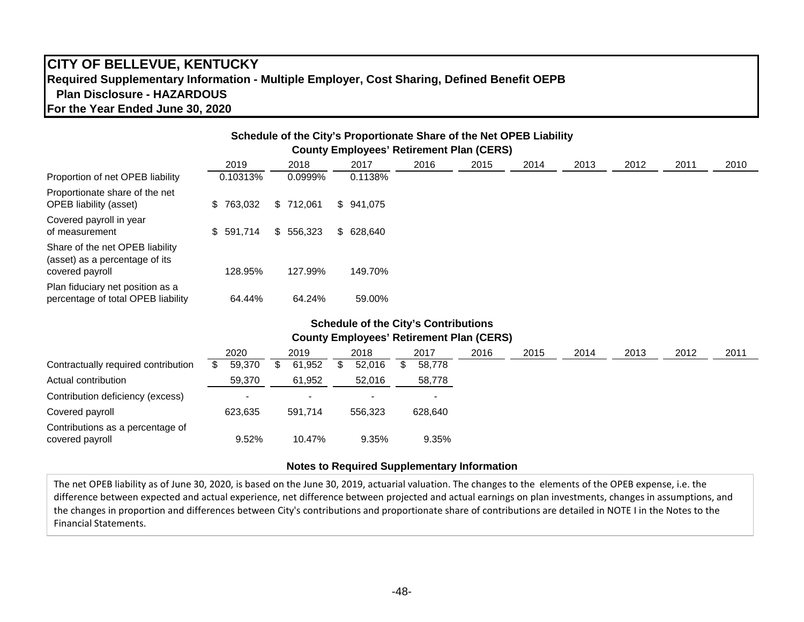### **CITY OF BELLEVUE, KENTUCKY Required Supplementary Information - Multiple Employer, Cost Sharing, Defined Benefit OEPB Plan Disclosure - HAZARDOUS For the Year Ended June 30, 2020**

| Schedule of the City's Proportionate Share of the Net OPEB Liability                 |           |           |            |      |      |      |      |      |      |      |  |  |  |  |
|--------------------------------------------------------------------------------------|-----------|-----------|------------|------|------|------|------|------|------|------|--|--|--|--|
| <b>County Employees' Retirement Plan (CERS)</b>                                      |           |           |            |      |      |      |      |      |      |      |  |  |  |  |
|                                                                                      | 2019      | 2018      | 2017       | 2016 | 2015 | 2014 | 2013 | 2012 | 2011 | 2010 |  |  |  |  |
| Proportion of net OPEB liability                                                     | 0.10313%  | 0.0999%   | 0.1138%    |      |      |      |      |      |      |      |  |  |  |  |
| Proportionate share of the net<br><b>OPEB</b> liability (asset)                      | \$763,032 | \$712.061 | \$941.075  |      |      |      |      |      |      |      |  |  |  |  |
| Covered payroll in year<br>of measurement                                            | \$591.714 | \$556,323 | \$ 628,640 |      |      |      |      |      |      |      |  |  |  |  |
| Share of the net OPEB liability<br>(asset) as a percentage of its<br>covered payroll | 128.95%   | 127.99%   | 149.70%    |      |      |      |      |      |      |      |  |  |  |  |
| Plan fiduciary net position as a<br>percentage of total OPEB liability               | 64.44%    | 64.24%    | 59.00%     |      |      |      |      |      |      |      |  |  |  |  |

#### **Schedule of the City's Contributions County Employees' Retirement Plan (CERS)**

|                                                     | 2020    | 2019    | 2018    | 2017    | 2016 | 2015 | 2014 | 2013 | 2012 | 2011 |
|-----------------------------------------------------|---------|---------|---------|---------|------|------|------|------|------|------|
| Contractually required contribution                 | 59,370  | 61,952  | 52,016  | 58,778  |      |      |      |      |      |      |
| Actual contribution                                 | 59,370  | 61,952  | 52,016  | 58,778  |      |      |      |      |      |      |
| Contribution deficiency (excess)                    |         |         |         |         |      |      |      |      |      |      |
| Covered payroll                                     | 623.635 | 591.714 | 556.323 | 628.640 |      |      |      |      |      |      |
| Contributions as a percentage of<br>covered payroll | 9.52%   | 10.47%  | 9.35%   | 9.35%   |      |      |      |      |      |      |

#### **Notes to Required Supplementary Information**

The net OPEB liability as of June 30, 2020, is based on the June 30, 2019, actuarial valuation. The changes to the elements of the OPEB expense, i.e. the difference between expected and actual experience, net difference between projected and actual earnings on plan investments, changes in assumptions, and the changes in proportion and differences between City's contributions and proportionate share of contributions are detailed in NOTE I in the Notes to the Financial Statements.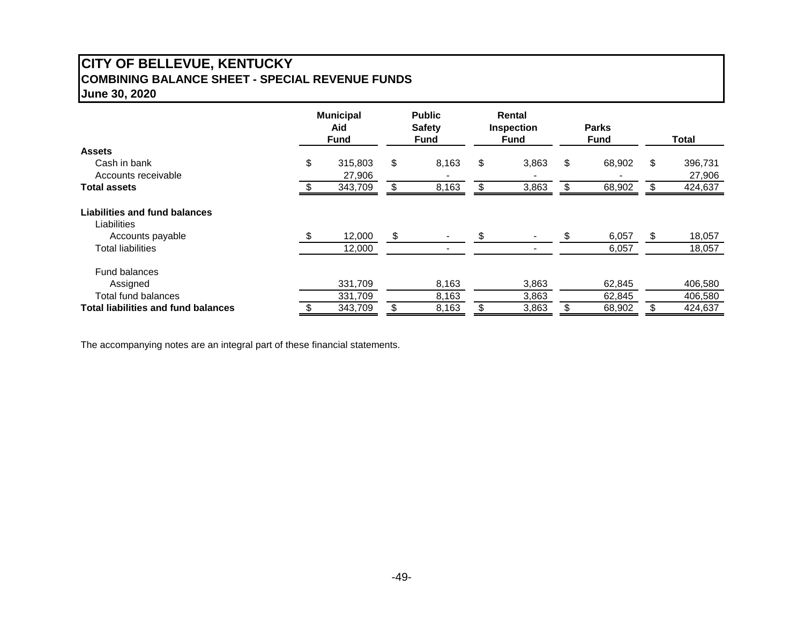### **CITY OF BELLEVUE, KENTUCKY COMBINING BALANCE SHEET - SPECIAL REVENUE FUNDS June 30, 2020**

|                                            |    | <b>Municipal</b><br>Aid<br><b>Fund</b> |     | <b>Public</b><br><b>Safety</b><br><b>Fund</b> |     | Rental<br>Inspection<br><b>Fund</b> | <b>Parks</b><br><b>Fund</b> | <b>Total</b>  |
|--------------------------------------------|----|----------------------------------------|-----|-----------------------------------------------|-----|-------------------------------------|-----------------------------|---------------|
| <b>Assets</b>                              |    |                                        |     |                                               |     |                                     |                             |               |
| Cash in bank                               | \$ | 315,803                                | \$  | 8,163                                         | \$  | 3,863                               | \$<br>68,902                | \$<br>396,731 |
| Accounts receivable                        |    | 27,906                                 |     |                                               |     |                                     |                             | 27,906        |
| <b>Total assets</b>                        |    | 343,709                                |     | 8,163                                         |     | 3,863                               | 68,902                      | 424,637       |
| Liabilities and fund balances              |    |                                        |     |                                               |     |                                     |                             |               |
| Liabilities                                |    |                                        |     |                                               |     |                                     |                             |               |
| Accounts payable                           | £. | 12,000                                 | -\$ |                                               | \$. |                                     | \$<br>6,057                 | \$<br>18,057  |
| <b>Total liabilities</b>                   |    | 12,000                                 |     |                                               |     |                                     | 6,057                       | 18,057        |
| Fund balances                              |    |                                        |     |                                               |     |                                     |                             |               |
| Assigned                                   |    | 331.709                                |     | 8,163                                         |     | 3,863                               | 62,845                      | 406,580       |
| Total fund balances                        |    | 331.709                                |     | 8,163                                         |     | 3,863                               | 62,845                      | 406,580       |
| <b>Total liabilities and fund balances</b> |    | 343,709                                |     | 8,163                                         |     | 3,863                               | 68,902                      | 424,637       |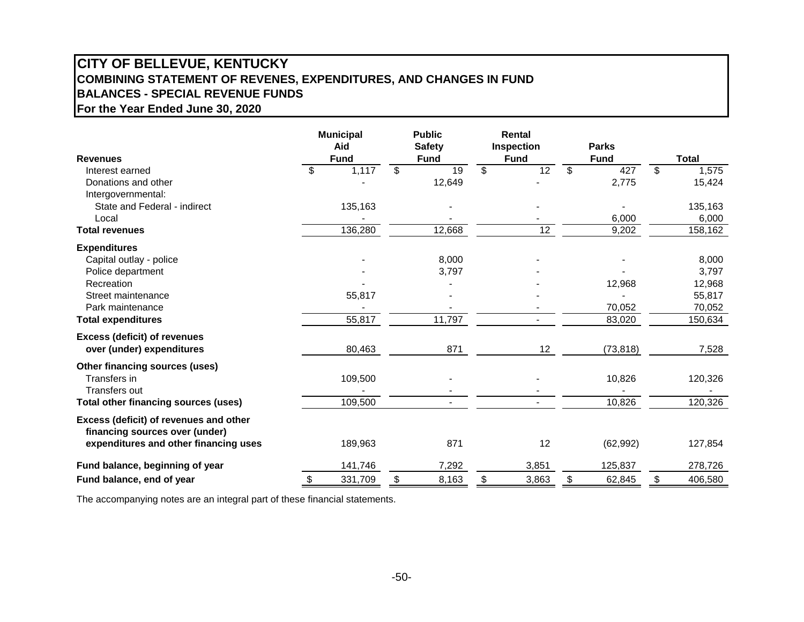# **CITY OF BELLEVUE, KENTUCKY COMBINING STATEMENT OF REVENES, EXPENDITURES, AND CHANGES IN FUND BALANCES - SPECIAL REVENUE FUNDS**

**For the Year Ended June 30, 2020**

| <b>Revenues</b><br>Interest earned                                       | <b>Municipal</b><br>Aid<br><b>Fund</b> |         |    | <b>Public</b><br><b>Safety</b><br><b>Fund</b> | Rental<br><b>Inspection</b><br><b>Fund</b> | <b>Parks</b><br><b>Fund</b> | <b>Total</b>  |
|--------------------------------------------------------------------------|----------------------------------------|---------|----|-----------------------------------------------|--------------------------------------------|-----------------------------|---------------|
|                                                                          | \$                                     | 1,117   | \$ | 19                                            | \$<br>12                                   | \$<br>427                   | \$<br>1,575   |
| Donations and other                                                      |                                        |         |    | 12,649                                        |                                            | 2,775                       | 15,424        |
| Intergovernmental:                                                       |                                        |         |    |                                               |                                            |                             |               |
| State and Federal - indirect                                             |                                        | 135,163 |    |                                               |                                            |                             | 135,163       |
| Local                                                                    |                                        |         |    |                                               |                                            | 6,000                       | 6,000         |
| <b>Total revenues</b>                                                    |                                        | 136,280 |    | 12,668                                        | 12                                         | 9,202                       | 158,162       |
| <b>Expenditures</b>                                                      |                                        |         |    |                                               |                                            |                             |               |
| Capital outlay - police                                                  |                                        |         |    | 8,000                                         |                                            |                             | 8,000         |
| Police department                                                        |                                        |         |    | 3,797                                         |                                            |                             | 3,797         |
| Recreation                                                               |                                        |         |    |                                               |                                            | 12,968                      | 12,968        |
| Street maintenance                                                       |                                        | 55,817  |    |                                               |                                            |                             | 55,817        |
| Park maintenance                                                         |                                        |         |    |                                               |                                            | 70,052                      | 70,052        |
| <b>Total expenditures</b>                                                |                                        | 55,817  |    | 11,797                                        |                                            | 83,020                      | 150,634       |
| <b>Excess (deficit) of revenues</b><br>over (under) expenditures         |                                        | 80,463  |    | 871                                           | 12                                         | (73, 818)                   | 7,528         |
| Other financing sources (uses)                                           |                                        |         |    |                                               |                                            |                             |               |
| Transfers in                                                             |                                        | 109,500 |    |                                               |                                            | 10,826                      | 120,326       |
| Transfers out                                                            |                                        |         |    |                                               |                                            |                             |               |
| <b>Total other financing sources (uses)</b>                              |                                        | 109,500 |    |                                               |                                            | 10,826                      | 120,326       |
| Excess (deficit) of revenues and other<br>financing sources over (under) |                                        |         |    |                                               |                                            |                             |               |
| expenditures and other financing uses                                    |                                        | 189,963 |    | 871                                           | 12                                         | (62, 992)                   | 127,854       |
| Fund balance, beginning of year                                          |                                        | 141,746 |    | 7,292                                         | 3,851                                      | 125,837                     | 278,726       |
| Fund balance, end of year                                                | \$                                     | 331,709 | \$ | 8,163                                         | \$<br>3,863                                | \$<br>62,845                | \$<br>406,580 |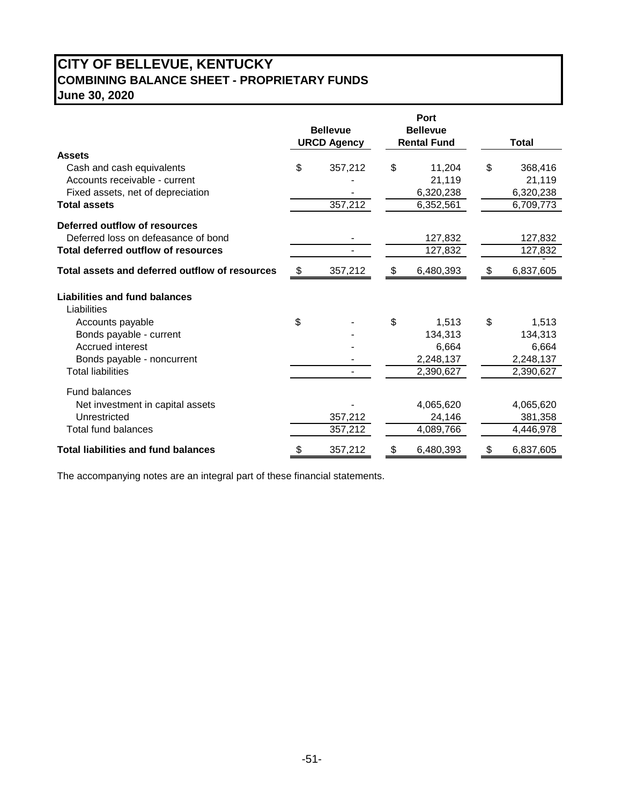# **CITY OF BELLEVUE, KENTUCKY COMBINING BALANCE SHEET - PROPRIETARY FUNDS June 30, 2020**

|                                                                                                                                                                                  |     | <b>Bellevue</b><br><b>URCD Agency</b> | <b>Port</b><br><b>Bellevue</b><br><b>Rental Fund</b>      |    | <b>Total</b>                                        |
|----------------------------------------------------------------------------------------------------------------------------------------------------------------------------------|-----|---------------------------------------|-----------------------------------------------------------|----|-----------------------------------------------------|
| <b>Assets</b><br>Cash and cash equivalents<br>Accounts receivable - current<br>Fixed assets, net of depreciation<br><b>Total assets</b>                                          | \$  | 357,212<br>357,212                    | \$<br>11,204<br>21,119<br>6,320,238<br>6,352,561          | \$ | 368,416<br>21,119<br>6,320,238<br>6,709,773         |
| Deferred outflow of resources<br>Deferred loss on defeasance of bond<br>Total deferred outflow of resources                                                                      |     |                                       | 127,832<br>127,832                                        |    | 127,832<br>127,832                                  |
| Total assets and deferred outflow of resources                                                                                                                                   | -\$ | 357,212                               | \$<br>6,480,393                                           | \$ | 6,837,605                                           |
| <b>Liabilities and fund balances</b><br>Liabilities<br>Accounts payable<br>Bonds payable - current<br>Accrued interest<br>Bonds payable - noncurrent<br><b>Total liabilities</b> | \$  |                                       | \$<br>1,513<br>134,313<br>6,664<br>2,248,137<br>2,390,627 | \$ | 1,513<br>134,313<br>6,664<br>2,248,137<br>2,390,627 |
| <b>Fund balances</b><br>Net investment in capital assets<br>Unrestricted<br><b>Total fund balances</b>                                                                           |     | 357,212<br>357,212                    | 4,065,620<br>24,146<br>4,089,766                          |    | 4,065,620<br>381,358<br>4,446,978                   |
| <b>Total liabilities and fund balances</b>                                                                                                                                       | S   | 357,212                               | 6,480,393                                                 | P. | 6,837,605                                           |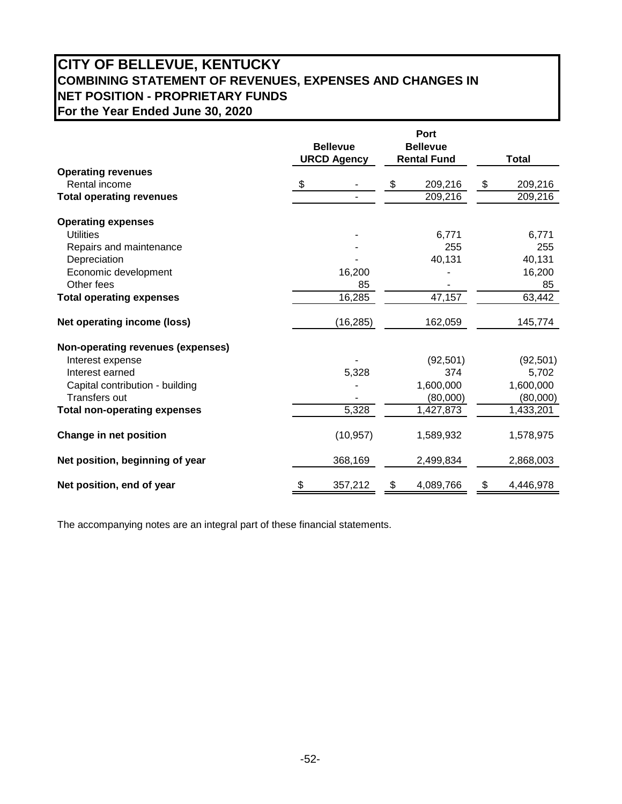# **CITY OF BELLEVUE, KENTUCKY COMBINING STATEMENT OF REVENUES, EXPENSES AND CHANGES IN NET POSITION - PROPRIETARY FUNDS For the Year Ended June 30, 2020**

|                                     |                    | Port               |                 |
|-------------------------------------|--------------------|--------------------|-----------------|
|                                     | <b>Bellevue</b>    | <b>Bellevue</b>    |                 |
|                                     | <b>URCD Agency</b> | <b>Rental Fund</b> | <b>Total</b>    |
| <b>Operating revenues</b>           |                    |                    |                 |
| Rental income                       | \$                 | \$<br>209,216      | \$<br>209,216   |
| <b>Total operating revenues</b>     |                    | 209,216            | 209,216         |
| <b>Operating expenses</b>           |                    |                    |                 |
| <b>Utilities</b>                    |                    | 6,771              | 6,771           |
| Repairs and maintenance             |                    | 255                | 255             |
| Depreciation                        |                    | 40,131             | 40,131          |
| Economic development                | 16,200             |                    | 16,200          |
| Other fees                          | 85                 |                    | 85              |
| <b>Total operating expenses</b>     | 16,285             | 47,157             | 63,442          |
| Net operating income (loss)         | (16, 285)          | 162,059            | 145,774         |
| Non-operating revenues (expenses)   |                    |                    |                 |
| Interest expense                    |                    | (92, 501)          | (92, 501)       |
| Interest earned                     | 5,328              | 374                | 5,702           |
| Capital contribution - building     |                    | 1,600,000          | 1,600,000       |
| <b>Transfers out</b>                |                    | (80,000)           | (80,000)        |
| <b>Total non-operating expenses</b> | 5,328              | 1,427,873          | 1,433,201       |
| Change in net position              | (10, 957)          | 1,589,932          | 1,578,975       |
| Net position, beginning of year     | 368,169            | 2,499,834          | 2,868,003       |
| Net position, end of year           | \$<br>357,212      | \$<br>4,089,766    | \$<br>4,446,978 |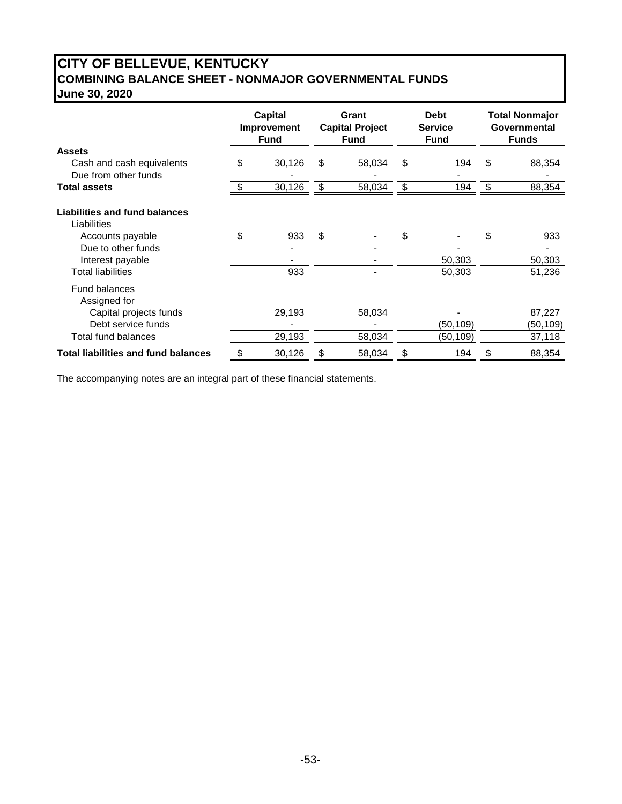## **CITY OF BELLEVUE, KENTUCKY COMBINING BALANCE SHEET - NONMAJOR GOVERNMENTAL FUNDS June 30, 2020**

|                                                                                                                                        | Capital<br><b>Improvement</b><br><b>Fund</b> |    | Grant<br><b>Capital Project</b><br><b>Fund</b> |    | <b>Debt</b><br><b>Service</b><br><b>Fund</b> |    | <b>Total Nonmajor</b><br><b>Governmental</b><br><b>Funds</b> |
|----------------------------------------------------------------------------------------------------------------------------------------|----------------------------------------------|----|------------------------------------------------|----|----------------------------------------------|----|--------------------------------------------------------------|
| <b>Assets</b><br>Cash and cash equivalents<br>Due from other funds                                                                     | \$<br>30,126                                 | \$ | 58,034                                         | S  | 194                                          | \$ | 88,354                                                       |
| <b>Total assets</b>                                                                                                                    | 30,126                                       | \$ | 58,034                                         | \$ | 194                                          | \$ | 88,354                                                       |
| Liabilities and fund balances<br>Liabilities<br>Accounts payable<br>Due to other funds<br>Interest payable<br><b>Total liabilities</b> | \$<br>933<br>933                             | \$ |                                                | \$ | 50,303<br>50,303                             | \$ | 933<br>50,303<br>51,236                                      |
| <b>Fund balances</b><br>Assigned for<br>Capital projects funds<br>Debt service funds<br>Total fund balances                            | 29,193<br>29,193                             |    | 58,034<br>58,034                               |    | (50, 109)<br>(50, 109)                       |    | 87,227<br>(50,109)<br>37,118                                 |
| <b>Total liabilities and fund balances</b>                                                                                             | \$<br>30,126                                 | S  | 58,034                                         | \$ | 194                                          | S  | 88,354                                                       |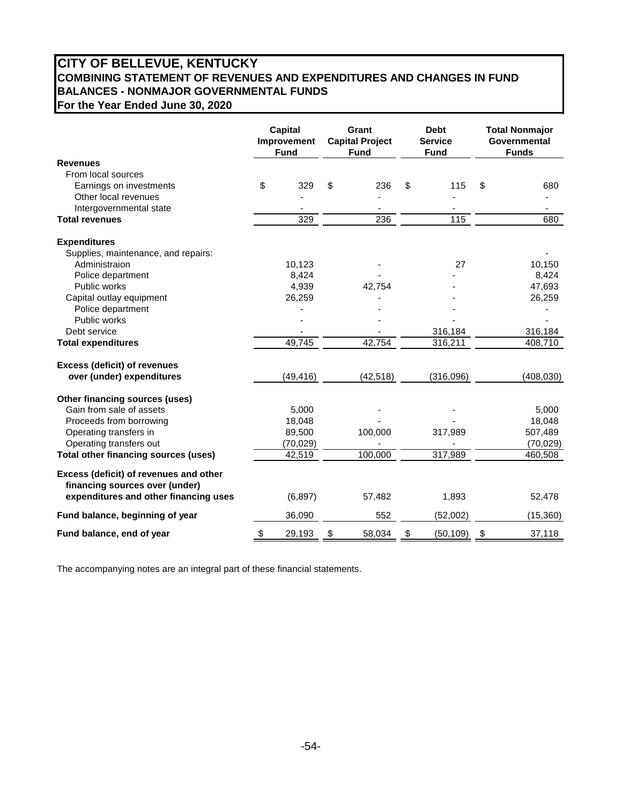### **CITY OF BELLEVUE, KENTUCKY COMBINING STATEMENT OF REVENUES AND EXPENDITURES AND CHANGES IN FUND BALANCES - NONMAJOR GOVERNMENTAL FUNDS For the Year Ended June 30, 2020**

|                                                                          | Capital<br>Improvement<br><b>Fund</b> | Grant<br><b>Capital Project</b><br><b>Fund</b> | <b>Debt</b><br><b>Service</b><br><b>Fund</b> | <b>Total Nonmajor</b><br>Governmental<br><b>Funds</b> |
|--------------------------------------------------------------------------|---------------------------------------|------------------------------------------------|----------------------------------------------|-------------------------------------------------------|
| <b>Revenues</b>                                                          |                                       |                                                |                                              |                                                       |
| From local sources                                                       |                                       |                                                |                                              |                                                       |
| Earnings on investments                                                  | \$<br>329                             | \$<br>236                                      | \$<br>115                                    | \$<br>680                                             |
| Other local revenues                                                     |                                       |                                                |                                              |                                                       |
| Intergovernmental state                                                  |                                       |                                                |                                              |                                                       |
| <b>Total revenues</b>                                                    | 329                                   | 236                                            | 115                                          | 680                                                   |
| <b>Expenditures</b>                                                      |                                       |                                                |                                              |                                                       |
| Supplies, maintenance, and repairs:                                      |                                       |                                                |                                              |                                                       |
| Administraion                                                            | 10,123                                |                                                | 27                                           | 10,150                                                |
| Police department                                                        | 8,424                                 |                                                |                                              | 8,424                                                 |
| Public works                                                             | 4,939                                 | 42,754                                         |                                              | 47,693                                                |
| Capital outlay equipment                                                 | 26,259                                |                                                |                                              | 26,259                                                |
| Police department                                                        |                                       |                                                |                                              |                                                       |
| Public works                                                             |                                       |                                                |                                              |                                                       |
| Debt service                                                             |                                       |                                                | 316,184                                      | 316,184                                               |
| <b>Total expenditures</b>                                                | 49,745                                | 42,754                                         | 316,211                                      | 408,710                                               |
| <b>Excess (deficit) of revenues</b>                                      |                                       |                                                |                                              |                                                       |
| over (under) expenditures                                                | (49, 416)                             | (42, 518)                                      | (316,096)                                    | (408, 030)                                            |
| Other financing sources (uses)                                           |                                       |                                                |                                              |                                                       |
| Gain from sale of assets                                                 | 5,000                                 |                                                |                                              | 5,000                                                 |
| Proceeds from borrowing                                                  | 18,048                                |                                                |                                              | 18,048                                                |
| Operating transfers in                                                   | 89,500                                | 100,000                                        | 317,989                                      | 507,489                                               |
| Operating transfers out                                                  | (70, 029)                             |                                                |                                              | (70, 029)                                             |
| <b>Total other financing sources (uses)</b>                              | 42,519                                | 100,000                                        | 317,989                                      | 460,508                                               |
| Excess (deficit) of revenues and other<br>financing sources over (under) |                                       |                                                |                                              |                                                       |
| expenditures and other financing uses                                    | (6, 897)                              | 57,482                                         | 1,893                                        | 52,478                                                |
| Fund balance, beginning of year                                          | 36,090                                | 552                                            | (52,002)                                     | (15, 360)                                             |
| Fund balance, end of year                                                | \$<br>29,193                          | \$<br>58,034                                   | \$<br>(50, 109)                              | \$<br>37,118                                          |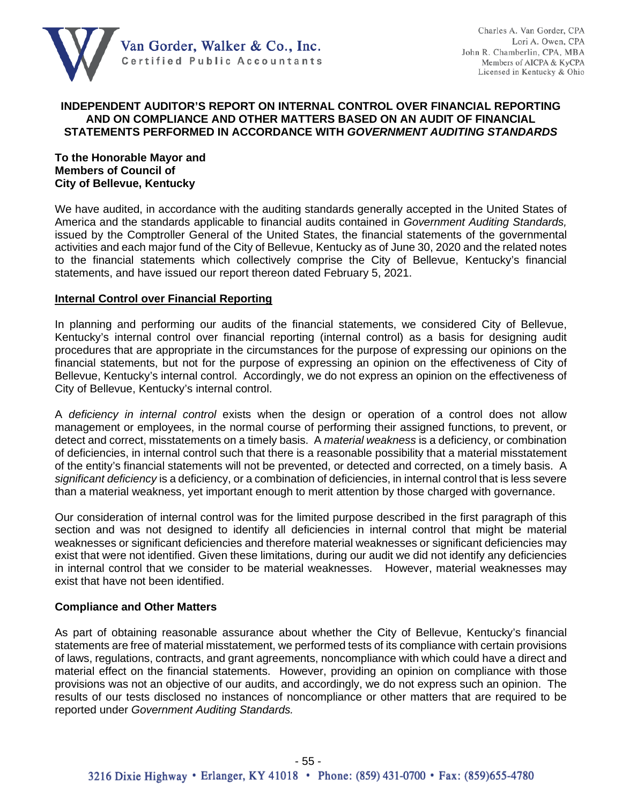

#### **INDEPENDENT AUDITOR'S REPORT ON INTERNAL CONTROL OVER FINANCIAL REPORTING AND ON COMPLIANCE AND OTHER MATTERS BASED ON AN AUDIT OF FINANCIAL STATEMENTS PERFORMED IN ACCORDANCE WITH** *GOVERNMENT AUDITING STANDARDS*

#### **To the Honorable Mayor and Members of Council of City of Bellevue, Kentucky**

We have audited, in accordance with the auditing standards generally accepted in the United States of America and the standards applicable to financial audits contained in *Government Auditing Standards,* issued by the Comptroller General of the United States, the financial statements of the governmental activities and each major fund of the City of Bellevue, Kentucky as of June 30, 2020 and the related notes to the financial statements which collectively comprise the City of Bellevue, Kentucky's financial statements, and have issued our report thereon dated February 5, 2021.

#### **Internal Control over Financial Reporting**

In planning and performing our audits of the financial statements, we considered City of Bellevue, Kentucky's internal control over financial reporting (internal control) as a basis for designing audit procedures that are appropriate in the circumstances for the purpose of expressing our opinions on the financial statements, but not for the purpose of expressing an opinion on the effectiveness of City of Bellevue, Kentucky's internal control. Accordingly, we do not express an opinion on the effectiveness of City of Bellevue, Kentucky's internal control.

A *deficiency in internal control* exists when the design or operation of a control does not allow management or employees, in the normal course of performing their assigned functions, to prevent, or detect and correct, misstatements on a timely basis. A *material weakness* is a deficiency, or combination of deficiencies, in internal control such that there is a reasonable possibility that a material misstatement of the entity's financial statements will not be prevented, or detected and corrected, on a timely basis. A *significant deficiency* is a deficiency, or a combination of deficiencies, in internal control that is less severe than a material weakness, yet important enough to merit attention by those charged with governance.

Our consideration of internal control was for the limited purpose described in the first paragraph of this section and was not designed to identify all deficiencies in internal control that might be material weaknesses or significant deficiencies and therefore material weaknesses or significant deficiencies may exist that were not identified. Given these limitations, during our audit we did not identify any deficiencies in internal control that we consider to be material weaknesses. However, material weaknesses may exist that have not been identified.

#### **Compliance and Other Matters**

As part of obtaining reasonable assurance about whether the City of Bellevue, Kentucky's financial statements are free of material misstatement, we performed tests of its compliance with certain provisions of laws, regulations, contracts, and grant agreements, noncompliance with which could have a direct and material effect on the financial statements. However, providing an opinion on compliance with those provisions was not an objective of our audits, and accordingly, we do not express such an opinion. The results of our tests disclosed no instances of noncompliance or other matters that are required to be reported under *Government Auditing Standards.*